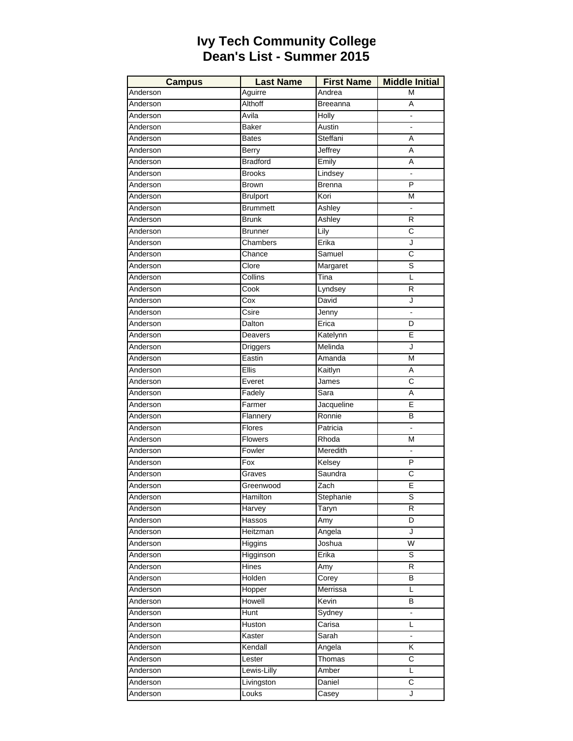## **Dean's List - Summer 2015 Ivy Tech Community College**

| <b>Campus</b>        | <b>Last Name</b>   | <b>First Name</b> | <b>Middle Initial</b>   |
|----------------------|--------------------|-------------------|-------------------------|
| Anderson             | Aguirre            | Andrea            | м                       |
| Anderson             | Althoff            | <b>Breeanna</b>   | A                       |
| Anderson             | Avila              | Holly             |                         |
| Anderson             | <b>Baker</b>       | Austin            | ä,                      |
| Anderson             | <b>Bates</b>       | Steffani          | A                       |
| Anderson             | Berry              | Jeffrey           | A                       |
| Anderson             | <b>Bradford</b>    | Emily             | Α                       |
| Anderson             | <b>Brooks</b>      | Lindsey           |                         |
| Anderson             | Brown              | <b>Brenna</b>     | P                       |
| Anderson             | <b>Brulport</b>    | Kori              | M                       |
| Anderson             | <b>Brummett</b>    | Ashley            |                         |
| Anderson             | Brunk              | Ashley            | $\mathsf{R}$            |
| Anderson             | <b>Brunner</b>     | Lily              | C                       |
| Anderson             | Chambers           | Erika             | J                       |
| Anderson             | Chance             | Samuel            | C                       |
| Anderson             | Clore              | Margaret          | S                       |
| Anderson             | Collins            | Tina              | L                       |
| Anderson             | Cook               | Lyndsey           | R                       |
| Anderson             | Cox                | David             | J                       |
| Anderson             | Csire              | Jenny             |                         |
| Anderson             | Dalton             | Erica             | D                       |
| Anderson             | Deavers            | Katelynn          | Е                       |
| Anderson             | Driggers           | Melinda           | J                       |
| Anderson             | Eastin             | Amanda            | M                       |
| Anderson             | Ellis              | Kaitlyn           | Α                       |
| Anderson             | Everet             | James             | C                       |
| Anderson             | Fadely             | Sara              | Α                       |
| Anderson             | Farmer             | Jacqueline        | Ε                       |
|                      |                    | Ronnie            |                         |
| Anderson<br>Anderson | Flannery<br>Flores | Patricia          | в                       |
|                      |                    |                   | $\blacksquare$          |
| Anderson<br>Anderson | Flowers<br>Fowler  | Rhoda<br>Meredith | M                       |
|                      | Fox                |                   | $\overline{P}$          |
| Anderson             |                    | Kelsey            |                         |
| Anderson             | Graves             | Saundra           | $\overline{c}$          |
| Anderson             | Greenwood          | Zach              | Ē                       |
| Anderson             | Hamilton           | Stephanie         | $\overline{s}$          |
| Anderson             | Harvey             | Taryn             | R                       |
| Anderson             | Hassos             | Amy               | D                       |
| Anderson             | Heitzman           | Angela            | J                       |
| Anderson             | Higgins            | Joshua            | $\overline{\mathsf{W}}$ |
| Anderson             | Higginson          | Erika             | S                       |
| Anderson             | Hines              | Amy               | R                       |
| Anderson             | Holden             | Corey             | В                       |
| Anderson             | Hopper             | Merrissa          | L                       |
| Anderson             | <b>Howell</b>      | Kevin             | В                       |
| Anderson             | Hunt               | Sydney            | $\blacksquare$          |
| Anderson             | Huston             | Carisa            | L                       |
| Anderson             | Kaster             | Sarah             |                         |
| Anderson             | Kendall            | Angela            | Κ                       |
| Anderson             | Lester             | Thomas            | $\overline{C}$          |
| Anderson             | Lewis-Lilly        | Amber             | L                       |
| Anderson             | Livingston         | Daniel            | C                       |
| Anderson             | Louks              | Casey             | J                       |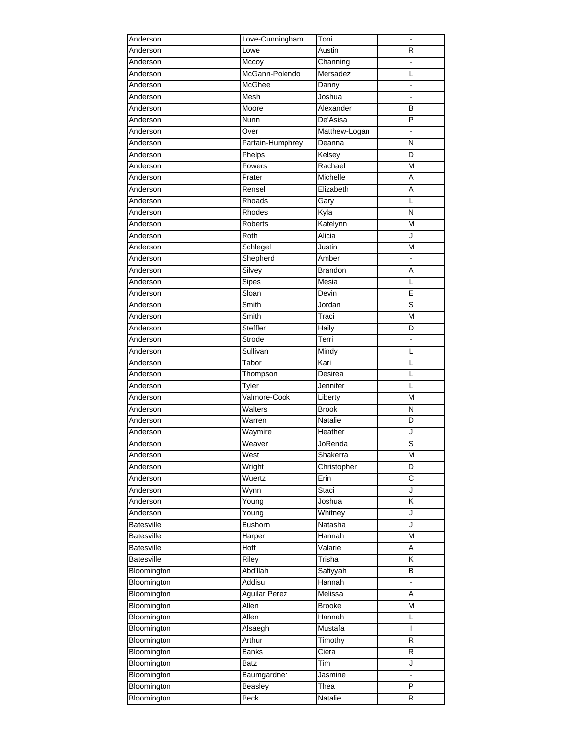| Anderson          | Love-Cunningham                | Toni          |                |
|-------------------|--------------------------------|---------------|----------------|
| Anderson          | Lowe                           | Austin        | R              |
| Anderson          | Mccoy                          | Channing      | ÷,             |
| Anderson          | McGann-Polendo                 | Mersadez      | L              |
| Anderson          | McGhee                         | Danny         | $\blacksquare$ |
| Anderson          | Mesh                           | Joshua        | L.             |
| Anderson          | Moore                          | Alexander     | B              |
| Anderson          | Nunn                           | De'Asisa      | P              |
| Anderson          | Over                           | Matthew-Logan |                |
| Anderson          | Partain-Humphrey               | Deanna        | N              |
| Anderson          | Phelps                         | Kelsey        | D              |
| Anderson          | Powers                         | Rachael       | M              |
| Anderson          | Prater                         | Michelle      | Α              |
|                   | Rensel                         |               | A              |
| Anderson          |                                | Elizabeth     |                |
| Anderson          | Rhoads                         | Gary          | L              |
| Anderson          | Rhodes                         | Kyla          | N              |
| Anderson          | <b>Roberts</b>                 | Katelynn      | M              |
| Anderson          | Roth                           | Alicia        | J              |
| Anderson          | Schlegel                       | Justin        | M              |
| Anderson          | Shepherd                       | Amber         |                |
| Anderson          | Silvey                         | Brandon       | A              |
| Anderson          | Sipes                          | Mesia         | L              |
| Anderson          | Sloan                          | Devin         | E              |
| Anderson          | Smith                          | Jordan        | S              |
| Anderson          | Smith                          | Traci         | M              |
| Anderson          | <b>Steffler</b>                | Haily         | D              |
| Anderson          | Strode                         | Terri         |                |
| Anderson          | Sullivan                       | Mindy         | L              |
| Anderson          | Tabor                          | Kari          | L              |
| Anderson          | Thompson                       | Desirea       | L              |
| Anderson          | Tyler                          | Jennifer      | L              |
| Anderson          | Valmore-Cook                   | Liberty       | M              |
| Anderson          | Walters                        | <b>Brook</b>  | N              |
| Anderson          | Warren                         | Natalie       | D              |
| Anderson          | $\overline{\mathsf{W}}$ aymire | Heather       | J              |
| Anderson          | Weaver                         | JoRenda       | S              |
| Anderson          | West                           | Shakerra      | M              |
| Anderson          | Wright                         | Christopher   | D              |
| Anderson          | Wuertz                         | Erin          | C              |
| Anderson          | Wynn                           | Staci         | J              |
| Anderson          | Young                          | Joshua        | K              |
| Anderson          | Young                          | Whitney       | J              |
| <b>Batesville</b> | <b>Bushorn</b>                 | Natasha       | J              |
| Batesville        | Harper                         | Hannah        | M              |
| Batesville        | Hoff                           | Valarie       | Α              |
| <b>Batesville</b> | Riley                          | Trisha        | Κ              |
| Bloomington       | Abd'llah                       | Safiyyah      | в              |
| Bloomington       | Addisu                         | Hannah        | ۰              |
| Bloomington       | <b>Aguilar Perez</b>           | Melissa       | A              |
| Bloomington       | Allen                          | <b>Brooke</b> | M              |
| Bloomington       | Allen                          | Hannah        | Г              |
| Bloomington       | Alsaegh                        | Mustafa       | L              |
| Bloomington       | Arthur                         | Timothy       | $\overline{R}$ |
| Bloomington       | <b>Banks</b>                   | Ciera         | R              |
| Bloomington       | <b>Batz</b>                    | Tim           | J              |
| Bloomington       | Baumgardner                    | Jasmine       | L.             |
| Bloomington       | Beasley                        | Thea          | $\overline{P}$ |
| Bloomington       | <b>Beck</b>                    | Natalie       | R              |
|                   |                                |               |                |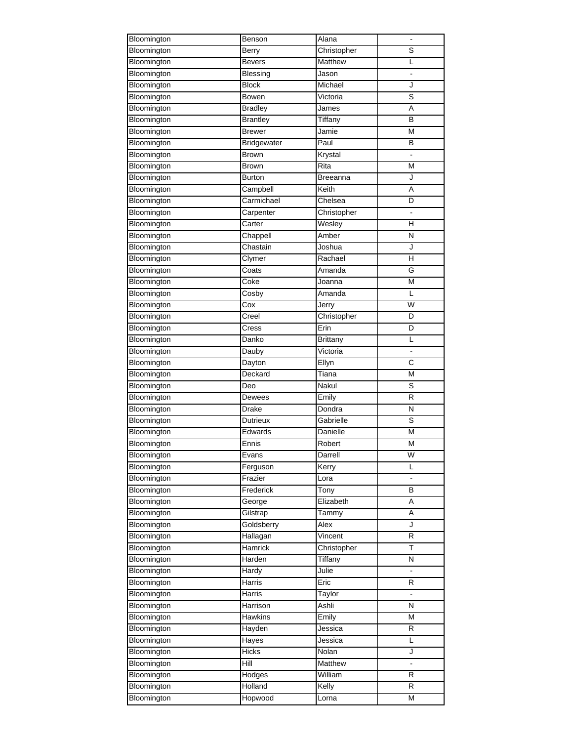| Bloomington | Benson            | Alana       |                          |
|-------------|-------------------|-------------|--------------------------|
| Bloomington | Berry             | Christopher | S                        |
| Bloomington | <b>Bevers</b>     | Matthew     | L                        |
| Bloomington | Blessing          | Jason       | $\overline{\phantom{0}}$ |
| Bloomington | <b>Block</b>      | Michael     | J                        |
| Bloomington | Bowen             | Victoria    | S                        |
| Bloomington | <b>Bradley</b>    | James       | Α                        |
| Bloomington | <b>Brantley</b>   | Tiffany     | В                        |
| Bloomington | <b>Brewer</b>     | Jamie       | M                        |
| Bloomington | Bridgewater       | Paul        | В                        |
| Bloomington | Brown             | Krystal     |                          |
| Bloomington | Brown             | Rita        | Μ                        |
| Bloomington | Burton            | Breeanna    | J                        |
| Bloomington | Campbell          | Keith       | A                        |
| Bloomington | Carmichael        | Chelsea     | D                        |
| Bloomington | Carpenter         | Christopher |                          |
| Bloomington | Carter            | Wesley      | н                        |
| Bloomington | Chappell          | Amber       | $\mathsf{N}$             |
| Bloomington | Chastain          | Joshua      | J                        |
| Bloomington |                   |             |                          |
|             | Clymer            | Rachael     | н                        |
| Bloomington | Coats             | Amanda      | G                        |
| Bloomington | Coke              | Joanna      | M                        |
| Bloomington | Cosby             | Amanda      | L                        |
| Bloomington | $\overline{C}$ ox | Jerry       | W                        |
| Bloomington | Creel             | Christopher | D                        |
| Bloomington | Cress             | Erin        | D                        |
| Bloomington | Danko             | Brittany    | L                        |
| Bloomington | Dauby             | Victoria    |                          |
| Bloomington | Dayton            | Ellyn       | C                        |
| Bloomington | Deckard           | Tiana       | M                        |
| Bloomington | Deo               | Nakul       | S                        |
| Bloomington | Dewees            | Emily       | R                        |
| Bloomington | Drake             | Dondra      | N                        |
| Bloomington | Dutrieux          | Gabrielle   | S                        |
| Bloomington | Edwards           | Danielle    | M                        |
| Bloomington | Ennis             | Robert      | M                        |
| Bloomington | Evans             | Darrell     | W                        |
| Bloomington | Ferguson          | Kerry       | L                        |
| Bloomington | Frazier           | Lora        |                          |
| Bloomington | Frederick         | Tony        | в                        |
| Bloomington | George            | Elizabeth   | Α                        |
| Bloomington | Gilstrap          | Tammy       | Α                        |
| Bloomington | Goldsberry        | Alex        | J                        |
| Bloomington | Hallagan          | Vincent     | R                        |
| Bloomington | Hamrick           | Christopher | Τ                        |
| Bloomington | Harden            | Tiffany     | N                        |
| Bloomington | Hardy             | Julie       | ۰                        |
| Bloomington | Harris            | Eric        | R                        |
| Bloomington | <b>Harris</b>     | Taylor      |                          |
| Bloomington | Harrison          | Ashli       | N                        |
|             | <b>Hawkins</b>    | Emily       | M                        |
| Bloomington |                   |             |                          |
| Bloomington | Hayden            | Jessica     | R                        |
| Bloomington | Hayes             | Jessica     | L                        |
| Bloomington | <b>Hicks</b>      | Nolan       | J                        |
| Bloomington | Hill              | Matthew     | ä,                       |
| Bloomington | Hodges            | William     | R                        |
| Bloomington | Holland           | Kelly       | R                        |
| Bloomington | Hopwood           | Lorna       | M                        |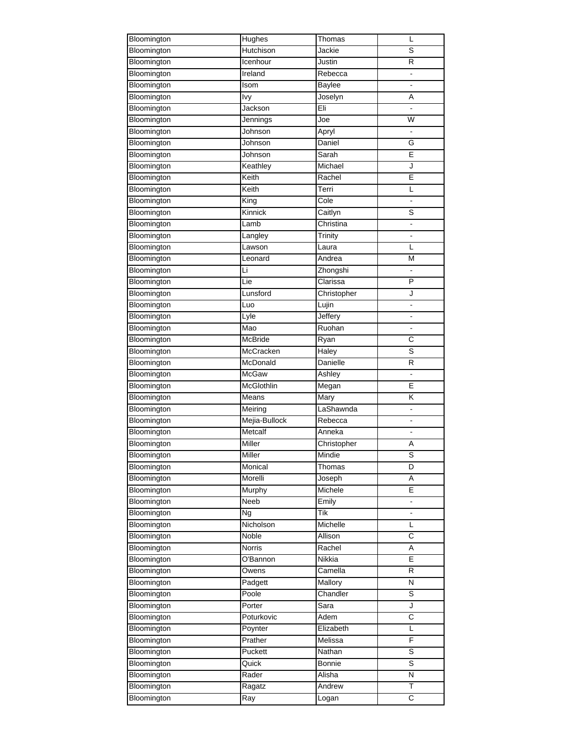| Bloomington | Hughes        | Thomas        | L                     |
|-------------|---------------|---------------|-----------------------|
| Bloomington | Hutchison     | Jackie        | S                     |
| Bloomington | Icenhour      | Justin        | R                     |
| Bloomington | Ireland       | Rebecca       | ÷,                    |
| Bloomington | Isom          | <b>Baylee</b> | ä,                    |
| Bloomington | lvy           | Joselyn       | Α                     |
| Bloomington | Jackson       | Eli           |                       |
| Bloomington | Jennings      | Joe           | W                     |
| Bloomington | Johnson       | Apryl         |                       |
| Bloomington | Johnson       | Daniel        | G                     |
| Bloomington | Johnson       | Sarah         | E                     |
| Bloomington | Keathley      | Michael       | J                     |
| Bloomington | Keith         | Rachel        | E                     |
| Bloomington | Keith         | Terri         | L                     |
| Bloomington | King          | Cole          |                       |
| Bloomington | Kinnick       | Caitlyn       | S                     |
| Bloomington | Lamb          | Christina     | ÷,                    |
|             |               |               |                       |
| Bloomington | Langley       | Trinity       | $\frac{1}{2}$         |
| Bloomington | Lawson        | Laura         | L                     |
| Bloomington | Leonard       | Andrea        | M                     |
| Bloomington | Li            | Zhongshi      | $\blacksquare$        |
| Bloomington | Lie           | Clarissa      | P                     |
| Bloomington | Lunsford      | Christopher   | J                     |
| Bloomington | Luo           | Lujin         |                       |
| Bloomington | Lyle          | Jeffery       |                       |
| Bloomington | Mao           | Ruohan        |                       |
| Bloomington | McBride       | Ryan          | C                     |
| Bloomington | McCracken     | Haley         | S                     |
| Bloomington | McDonald      | Danielle      | R                     |
| Bloomington | McGaw         | Ashley        | ä,                    |
| Bloomington | McGlothlin    | Megan         | E                     |
| Bloomington | Means         | Mary          | Κ                     |
| Bloomington | Meiring       | LaShawnda     | ٠                     |
| Bloomington | Mejia-Bullock | Rebecca       |                       |
| Bloomington | Metcalf       | Anneka        | ÷,                    |
| Bloomington | Miller        | Christopher   | Α                     |
| Bloomington | Miller        | Mindie        | S                     |
| Bloomington | Monical       | Thomas        | D                     |
| Bloomington | Morelli       | Joseph        | A                     |
| Bloomington | Murphy        | Michele       | E                     |
| Bloomington | Neeb          | Emily         |                       |
| Bloomington | Ng            | Tik           |                       |
| Bloomington | Nicholson     | Michelle      | Г                     |
| Bloomington | Noble         | Allison       | $\overline{\text{c}}$ |
| Bloomington | Norris        | Rachel        | Α                     |
| Bloomington | O'Bannon      | Nikkia        | E                     |
| Bloomington | Owens         | Camella       | R                     |
| Bloomington | Padgett       | Mallory       | N                     |
| Bloomington | Poole         | Chandler      | S                     |
| Bloomington | Porter        | Sara          | J                     |
| Bloomington | Poturkovic    | Adem          | $\overline{\text{c}}$ |
| Bloomington | Poynter       | Elizabeth     | L                     |
| Bloomington | Prather       | Melissa       | F                     |
| Bloomington | Puckett       | Nathan        | S                     |
| Bloomington | Quick         | Bonnie        | S                     |
| Bloomington | Rader         | Alisha        | Ñ                     |
| Bloomington | Ragatz        | Andrew        | T                     |
| Bloomington | Ray           | Logan         | C                     |
|             |               |               |                       |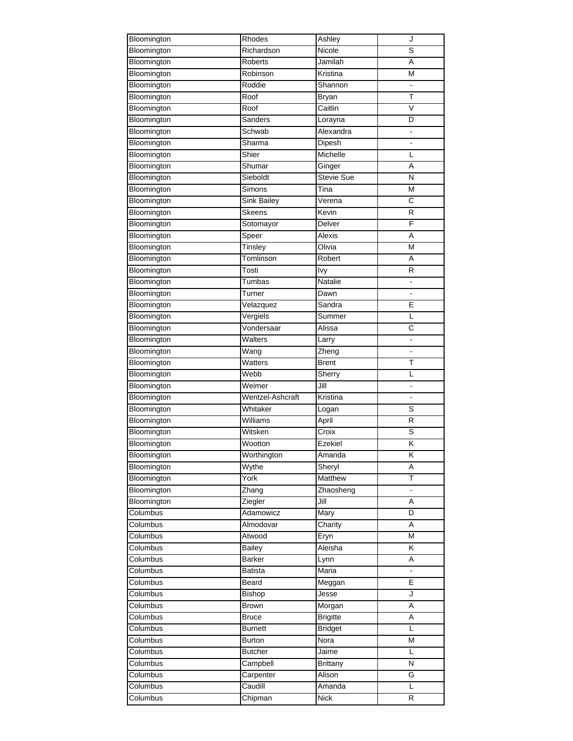| Bloomington                | Rhodes             | Ashley                | J                       |
|----------------------------|--------------------|-----------------------|-------------------------|
| Bloomington                | Richardson         | Nicole                | S                       |
| Bloomington                | <b>Roberts</b>     | Jamilah               | A                       |
| Bloomington                | Robinson           | Kristina              | М                       |
| Bloomington                | Roddie             | Shannon               |                         |
| Bloomington                | Roof               | <b>Bryan</b>          | Ŧ                       |
| Bloomington                | Roof               | Caitlin               | $\overline{\mathsf{v}}$ |
| Bloomington                | Sanders            | Lorayna               | D                       |
| Bloomington                | Schwab             | Alexandra             |                         |
| Bloomington                | Sharma             | Dipesh                |                         |
| Bloomington                | Shier              | Michelle              | L                       |
| Bloomington                | Shumar             | Ginger                | Α                       |
| Bloomington                | Sieboldt           | Stevie Sue            | N                       |
| Bloomington                | Simons             | Tina                  | M                       |
| Bloomington                | Sink Bailey        | Verena                | C                       |
| Bloomington                | Skeens             | Kevin                 | $\mathsf{R}$            |
| Bloomington                | Sotomayor          | Delver                | F                       |
| Bloomington                | Speer              | Alexis                | Α                       |
|                            |                    |                       | M                       |
| Bloomington                | Tinsley            | Olivia                |                         |
| Bloomington                | Tomlinson          | Robert                | A                       |
| Bloomington                | Tosti              | Ivy                   | R                       |
| Bloomington                | Tumbas             | Natalie               |                         |
| Bloomington                | Turner             | Dawn                  |                         |
| Bloomington                | Velazquez          | Sandra                | E                       |
| Bloomington                | Vergiels           | Summer                | L                       |
| Bloomington                | Vondersaar         | Alissa                | C                       |
| Bloomington                | Walters            | Larry                 |                         |
| Bloomington                | Wang               | Zheng                 | $\blacksquare$          |
| Bloomington                | Watters            | <b>Brent</b>          | т                       |
|                            |                    |                       |                         |
| Bloomington                | Webb               | Sherry                | L                       |
| Bloomington                | Weimer             | Jill                  |                         |
| Bloomington                | Wentzel-Ashcraft   | Kristina              | ÷.                      |
| Bloomington                | Whitaker           | Logan                 | S                       |
| Bloomington                | Williams           | April                 | R                       |
| Bloomington                | Witsken            | Croix                 | S                       |
| Bloomington                | Wootton            | Ezekiel               | Κ                       |
|                            | Worthington        | Amanda                | K                       |
| Bloomington<br>Bloomington | Wythe              | Sheryl                | A                       |
| Bloomington                | York               | Matthew               | Τ                       |
| Bloomington                | Zhang              | Zhaosheng             |                         |
| Bloomington                | Ziegler            | Jill                  | Α                       |
| Columbus                   | Adamowicz          |                       | D                       |
| Columbus                   | Almodovar          | Mary                  | Α                       |
|                            | Atwood             | Charity               | M                       |
| Columbus                   |                    | Eryn                  |                         |
| Columbus                   | Bailey             | Aleisha               | Κ                       |
| Columbus                   | Barker             | Lynn                  | Α<br>÷,                 |
| Columbus                   | <b>Batista</b>     | Maria                 |                         |
| Columbus                   | Beard              | Meggan                | E                       |
| Columbus                   | <b>Bishop</b>      | Jesse                 | J                       |
| Columbus                   | Brown              | Morgan                | Α                       |
| Columbus                   | <b>Bruce</b>       | <b>Brigitte</b>       | Α                       |
| Columbus                   | <b>Burnett</b>     | <b>Bridget</b>        | L                       |
| Columbus                   | <b>Burton</b>      | Nora                  | M                       |
| Columbus                   | <b>Butcher</b>     | Jaime                 | L                       |
| Columbus                   | Campbell           | <b>Brittany</b>       | И                       |
| Columbus                   | Carpenter          | Alison                | G                       |
| Columbus<br>Columbus       | Caudill<br>Chipman | Amanda<br><b>Nick</b> | L<br>R                  |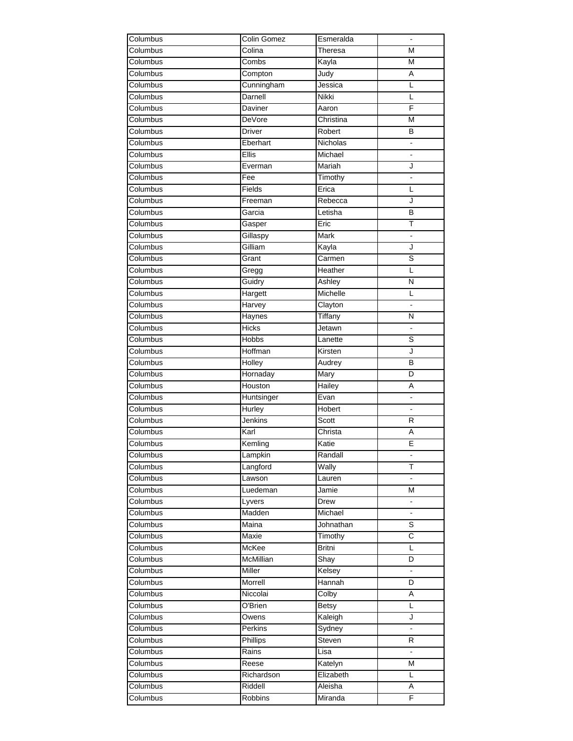| Columbus | Colin Gomez | Esmeralda       |                |
|----------|-------------|-----------------|----------------|
| Columbus | Colina      | Theresa         | M              |
| Columbus | Combs       | Kayla           | M              |
| Columbus | Compton     | Judy            | Α              |
| Columbus | Cunningham  | Jessica         | Г              |
| Columbus | Darnell     | Nikki           | L              |
| Columbus | Daviner     | Aaron           | F              |
| Columbus | DeVore      | Christina       | M              |
| Columbus | Driver      | Robert          | В              |
| Columbus | Eberhart    | <b>Nicholas</b> | ÷,             |
| Columbus | Ellis       | Michael         |                |
| Columbus | Everman     | Mariah          | J              |
| Columbus | Fee         | Timothy         | $\blacksquare$ |
| Columbus | Fields      | Erica           | L              |
| Columbus |             | Rebecca         |                |
|          | Freeman     |                 | J              |
| Columbus | Garcia      | Letisha         | B              |
| Columbus | Gasper      | Eric            | Τ              |
| Columbus | Gillaspy    | Mark            | $\blacksquare$ |
| Columbus | Gilliam     | Kayla           | J              |
| Columbus | Grant       | Carmen          | S              |
| Columbus | Gregg       | Heather         | L              |
| Columbus | Guidry      | Ashley          | N              |
| Columbus | Hargett     | Michelle        | L              |
| Columbus | Harvey      | Clayton         |                |
| Columbus | Haynes      | Tiffany         | N              |
| Columbus | Hicks       | Jetawn          |                |
| Columbus | Hobbs       | Lanette         | S              |
| Columbus | Hoffman     | Kirsten         | J              |
| Columbus | Holley      | Audrey          | B              |
| Columbus | Hornaday    | Mary            | D              |
| Columbus | Houston     | <b>Hailey</b>   | A              |
| Columbus | Huntsinger  | Evan            |                |
| Columbus | Hurley      | Hobert          |                |
| Columbus | Jenkins     | Scott           | $\mathsf{R}$   |
| Columbus | Karl        | Christa         | Α              |
| Columbus | Kemling     | Katie           | E              |
| Columbus | Lampkin     | Randall         |                |
| Columbus | Langford    | Wally           | т              |
| Columbus | Lawson      | Lauren          |                |
| Columbus | Luedeman    | Jamie           | М              |
| Columbus | Lyvers      | Drew            |                |
| Columbus | Madden      | Michael         |                |
| Columbus | Maina       | Johnathan       | S              |
| Columbus | Maxie       | Timothy         | $\overline{c}$ |
| Columbus | McKee       | Britni          | L              |
| Columbus | McMillian   | Shay            | D              |
| Columbus | Miller      | Kelsey          | $\blacksquare$ |
| Columbus | Morrell     | Hannah          | D              |
| Columbus | Niccolai    | Colby           | Α              |
| Columbus | O'Brien     | <b>Betsy</b>    | L              |
| Columbus |             |                 | J              |
|          | Owens       | Kaleigh         |                |
| Columbus | Perkins     | Sydney          | ä,             |
| Columbus | Phillips    | Steven          | R              |
| Columbus | Rains       | Lisa            | ÷,             |
| Columbus | Reese       | Katelyn         | M              |
| Columbus | Richardson  | Elizabeth       | L              |
| Columbus | Riddell     | Aleisha         | Α              |
| Columbus | Robbins     | Miranda         | F              |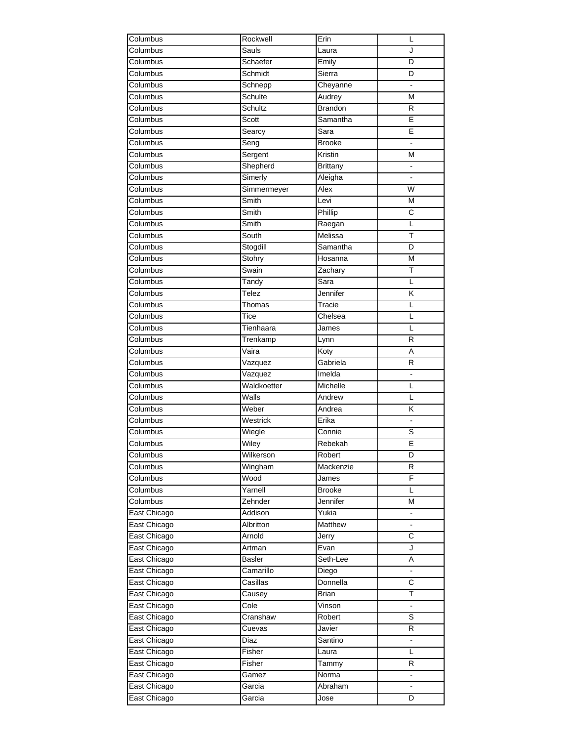| Columbus     | Rockwell                     | Erin           | L                   |
|--------------|------------------------------|----------------|---------------------|
| Columbus     | Sauls                        | Laura          | J                   |
| Columbus     | Schaefer                     | Emily          | D                   |
| Columbus     | Schmidt                      | Sierra         | D                   |
| Columbus     | Schnepp                      | Cheyanne       | $\blacksquare$      |
| Columbus     | Schulte                      | Audrey         | M                   |
| Columbus     | Schultz                      | <b>Brandon</b> | R                   |
| Columbus     | Scott                        | Samantha       | E                   |
| Columbus     | Searcy                       | Sara           | E                   |
| Columbus     | Seng                         | Brooke         |                     |
| Columbus     | Sergent                      | Kristin        | M                   |
| Columbus     | Shepherd                     | Brittany       | ۰                   |
| Columbus     | Simerly                      | Aleigha        |                     |
| Columbus     | Simmermeyer                  | Alex           | W                   |
| Columbus     | Smith                        | Levi           | M                   |
| Columbus     | Smith                        | Phillip        | C                   |
| Columbus     | Smith                        | Raegan         | Г                   |
| Columbus     | South                        | Melissa        | Τ                   |
| Columbus     | Stogdill                     | Samantha       | D                   |
|              |                              |                |                     |
| Columbus     | Stohry<br>Swain              | Hosanna        | M                   |
| Columbus     |                              | Zachary        | Τ                   |
| Columbus     | Tandy                        | Sara           | L                   |
| Columbus     | $\overline{\mathsf{T}}$ elez | Jennifer       | Κ                   |
| Columbus     | Thomas                       | Tracie         | L                   |
| Columbus     | Tice                         | Chelsea        | L                   |
| Columbus     | Tienhaara                    | James          | L                   |
| Columbus     | Trenkamp                     | Lynn           | R                   |
| Columbus     | Vaira                        | Koty           | A                   |
| Columbus     | Vazquez                      | Gabriela       | R                   |
| Columbus     | Vazquez                      | Imelda         | L,                  |
| Columbus     | Waldkoetter                  | Michelle       | L                   |
| Columbus     | Walls                        | Andrew         | L                   |
| Columbus     | Weber                        | Andrea         | Κ                   |
| Columbus     | Westrick                     | Erika          | ÷.                  |
| Columbus     | Wiegle                       | Connie         | S                   |
| Columbus     | Wiley                        | Rebekah        | E                   |
| Columbus     | Wilkerson                    | Robert         | D                   |
| Columbus     | Wingham                      | Mackenzie      | R                   |
| Columbus     | Wood                         | James          | F                   |
| Columbus     | Yarnell                      | <b>Brooke</b>  | L                   |
| Columbus     | Zehnder                      | Jennifer       | M                   |
| East Chicago | Addison                      | Yukia          |                     |
| East Chicago | Albritton                    | Matthew        | Ξ.                  |
| East Chicago | Arnold                       | Jerry          | $\overline{C}$      |
| East Chicago | Artman                       | Evan           | J                   |
| East Chicago | Basler                       | Seth-Lee       | Α                   |
| East Chicago | Camarillo                    | Diego          | $\blacksquare$      |
| East Chicago | Casillas                     | Donnella       | C                   |
| East Chicago | Causey                       | <b>Brian</b>   | Τ                   |
|              |                              |                |                     |
| East Chicago | Cole                         | Vinson         | $\blacksquare$<br>S |
| East Chicago | Cranshaw                     | Robert         |                     |
| East Chicago | Cuevas                       | Javier         | R                   |
| East Chicago | Diaz                         | Santino        |                     |
| East Chicago | Fisher                       | Laura          | L                   |
| East Chicago | Fisher                       | Tammy          | R                   |
| East Chicago | Gamez                        | Norma          |                     |
| East Chicago | Garcia                       | Abraham        |                     |
| East Chicago | Garcia                       | Jose           | D                   |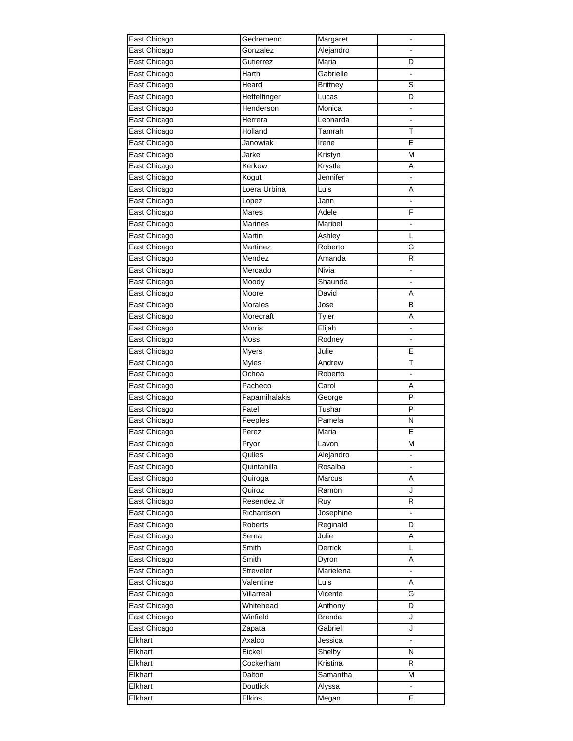|                              | Gedremenc         | Margaret        |                |
|------------------------------|-------------------|-----------------|----------------|
| East Chicago                 | Gonzalez          | Alejandro       |                |
| East Chicago                 | Gutierrez         | Maria           | D              |
| East Chicago                 | Harth             | Gabrielle       | L.             |
| East Chicago                 | Heard             | <b>Brittney</b> | S              |
| East Chicago                 | Heffelfinger      | Lucas           | D              |
| East Chicago                 | Henderson         | Monica          |                |
| East Chicago                 | Herrera           | Leonarda        |                |
| East Chicago                 | Holland           | Tamrah          | т              |
| East Chicago                 | Janowiak          | Irene           | E              |
| East Chicago                 | Jarke             | Kristyn         | M              |
| East Chicago                 | Kerkow            | Krystle         | Α              |
| East Chicago                 | Kogut             | Jennifer        |                |
| East Chicago                 | Loera Urbina      | Luis            | Α              |
| East Chicago                 | Lopez             | Jann            |                |
| East Chicago                 | Mares             | Adele           | F              |
| East Chicago                 | <b>Marines</b>    | Maribel         |                |
|                              | Martin            | Ashley          | L              |
| East Chicago<br>East Chicago |                   |                 | G              |
| East Chicago                 | Martinez          | Roberto         |                |
|                              | Mendez<br>Mercado | Amanda          | R              |
| East Chicago                 |                   | Nivia           |                |
| East Chicago                 | Moody             | Shaunda         |                |
| East Chicago                 | Moore             | David           | Α              |
| East Chicago                 | Morales           | Jose            | B              |
| East Chicago                 | Morecraft         | Tyler           | Α              |
| East Chicago                 | Morris            | Elijah          |                |
| East Chicago                 | Moss              | Rodney          |                |
| East Chicago                 | <b>Myers</b>      | Julie           | E              |
| East Chicago                 | Myles             | Andrew          | Т              |
| East Chicago                 | Ochoa             | Roberto         |                |
| East Chicago                 | Pacheco           | Carol           | A              |
|                              |                   |                 |                |
| East Chicago                 | Papamihalakis     | George          | $\overline{P}$ |
| East Chicago                 | Patel             | Tushar          | P              |
| East Chicago                 | Peeples           | Pamela          | $\mathsf{N}$   |
| East Chicago                 | Perez             | Maria           | E              |
| East Chicago                 | Pryor             | Lavon           | М              |
| East Chicago                 | Quiles            | Alejandro       |                |
| East Chicago                 | Quintanilla       | Rosalba         |                |
| East Chicago                 | Quiroga           | Marcus          | A              |
| East Chicago                 | Quiroz            | Ramon           | J              |
| East Chicago                 | Resendez Jr       | Ruy             | R              |
| East Chicago                 | Richardson        | Josephine       | ÷,             |
| East Chicago                 | Roberts           | Reginald        | D              |
| East Chicago                 | Serna             | Julie           | Α              |
| East Chicago                 | Smith             | Derrick         | L              |
| East Chicago                 | Smith             | Dyron           | Α              |
| East Chicago                 | Streveler         | Marielena       |                |
| East Chicago                 | Valentine         | Luis            | Α              |
| East Chicago                 | Villarreal        | Vicente         | G              |
| East Chicago                 | Whitehead         | Anthony         | D              |
| East Chicago                 | Winfield          | <b>Brenda</b>   | J              |
| East Chicago                 | Zapata            | Gabriel         | J              |
| Elkhart                      | Axalco            | Jessica         | $\frac{1}{2}$  |
| Elkhart                      | Bickel            | Shelby          | N              |
| Elkhart                      | Cockerham         | Kristina        | R              |
| Elkhart                      | Dalton            | Samantha        | M              |
| Elkhart<br>Elkhart           | <b>Doutlick</b>   | Alyssa          |                |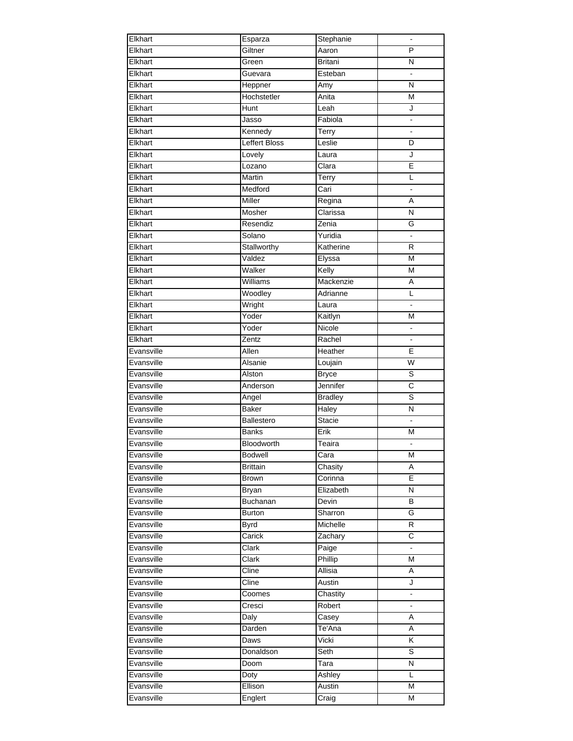| Elkhart    | Esparza                   | Stephanie      |                         |
|------------|---------------------------|----------------|-------------------------|
| Elkhart    | Giltner                   | Aaron          | $\overline{\mathsf{P}}$ |
| Elkhart    | Green                     | <b>Britani</b> | $\overline{\mathsf{N}}$ |
| Elkhart    | Guevara                   | Esteban        | ä,                      |
| Elkhart    | Heppner                   | Amy            | N                       |
| Elkhart    | Hochstetler               | Anita          | M                       |
| Elkhart    | Hunt                      | Leah           | J                       |
| Elkhart    | Jasso                     | Fabiola        |                         |
| Elkhart    | Kennedy                   | Terry          |                         |
| Elkhart    | <b>Leffert Bloss</b>      | Leslie         | D                       |
| Elkhart    | Lovely                    | Laura          | J                       |
| Elkhart    | Lozano                    | Clara          | E                       |
| Elkhart    | Martin                    | Terry          | L                       |
| Elkhart    | Medford                   | Cari           | $\blacksquare$          |
|            | Miller                    |                |                         |
| Elkhart    |                           | Regina         | A                       |
| Elkhart    | Mosher                    | Clarissa       | N                       |
| Elkhart    | Resendiz                  | Zenia          | G                       |
| Elkhart    | Solano                    | Yuridia        | ÷.                      |
| Elkhart    | Stallworthy               | Katherine      | R                       |
| Elkhart    | Valdez                    | Elyssa         | M                       |
| Elkhart    | Walker                    | Kelly          | M                       |
| Elkhart    | Williams                  | Mackenzie      | A                       |
| Elkhart    | Woodley                   | Adrianne       | L                       |
| Elkhart    | Wright                    | Laura          |                         |
| Elkhart    | Yoder                     | Kaitlyn        | M                       |
| Elkhart    | Yoder                     | Nicole         |                         |
| Elkhart    | Zentz                     | Rachel         |                         |
| Evansville | Allen                     | Heather        | Ē                       |
| Evansville | Alsanie                   | Loujain        | W                       |
| Evansville | Alston                    | <b>Bryce</b>   | S                       |
| Evansville | Anderson                  | Jennifer       | C                       |
| Evansville | Angel                     | <b>Bradley</b> | S                       |
| Evansville | Baker                     | Haley          | N                       |
| Evansville | Ballestero                | <b>Stacie</b>  | $\blacksquare$          |
| Evansville | <b>Banks</b>              | Erik           | M                       |
| Evansville | Bloodworth                | Teaira         | $\blacksquare$          |
| Evansville | <b>Bodwell</b>            | Cara           | $\overline{\mathsf{M}}$ |
| Evansville | Brittain                  | Chasity        | Α                       |
| Evansville | Brown                     | Corinna        | E                       |
| Evansville | Bryan                     | Elizabeth      | N                       |
| Evansville | Buchanan                  | Devin          | B                       |
| Evansville | <b>Burton</b>             | Sharron        | G                       |
| Evansville | <b>Byrd</b>               | Michelle       | R                       |
| Evansville | Carick                    | Zachary        | $\overline{C}$          |
| Evansville | Clark                     | Paige          |                         |
| Evansville | Clark                     | Phillip        | M                       |
| Evansville | Cline                     | Allisia        | Α                       |
| Evansville | $\overline{\text{Cline}}$ | Austin         | J                       |
| Evansville | Coomes                    | Chastity       | $\blacksquare$          |
| Evansville | Cresci                    | Robert         |                         |
| Evansville | Daly                      | Casey          | A                       |
| Evansville | Darden                    | Te'Ana         | A                       |
| Evansville | Daws                      | Vicki          | Κ                       |
| Evansville | Donaldson                 | Seth           | $\overline{s}$          |
| Evansville | Doom                      | Tara           | N                       |
| Evansville | Doty                      | Ashley         | L                       |
| Evansville | Ellison                   | Austin         | М                       |
| Evansville | Englert                   | Craig          | M                       |
|            |                           |                |                         |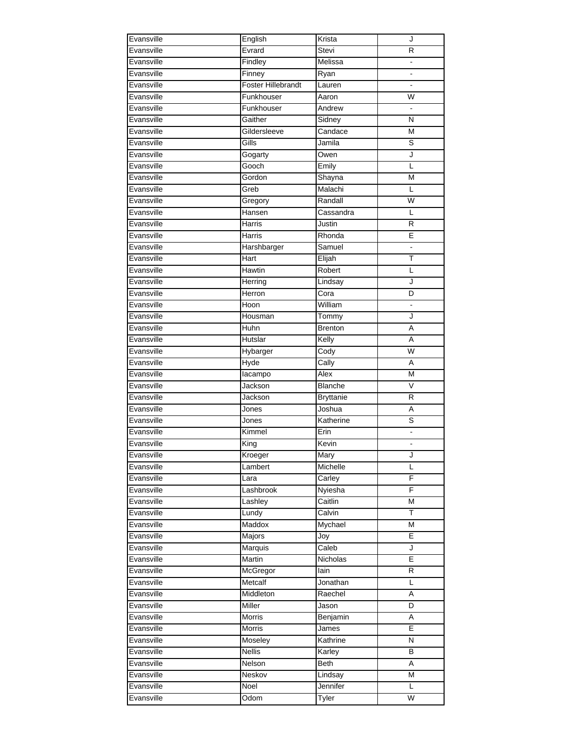| Evansville | English                   | Krista           | J            |
|------------|---------------------------|------------------|--------------|
| Evansville | Evrard                    | Stevi            | R            |
| Evansville | Findley                   | Melissa          |              |
| Evansville | Finney                    | Ryan             |              |
| Evansville | <b>Foster Hillebrandt</b> | Lauren           | L.           |
| Evansville | Funkhouser                | Aaron            | W            |
| Evansville | Funkhouser                | Andrew           |              |
| Evansville | Gaither                   | Sidney           | N            |
| Evansville | Gildersleeve              | Candace          | M            |
| Evansville | Gills                     | Jamila           | S            |
| Evansville | Gogarty                   | Owen             | J            |
| Evansville | Gooch                     | Emily            | L            |
| Evansville | Gordon                    | Shayna           | M            |
| Evansville | Greb                      | Malachi          | L            |
| Evansville | Gregory                   | Randall          | W            |
| Evansville | Hansen                    | Cassandra        | L            |
| Evansville | Harris                    | Justin           | $\mathsf{R}$ |
| Evansville | Harris                    | Rhonda           | E            |
| Evansville | Harshbarger               | Samuel           | L.           |
| Evansville | Hart                      | Elijah           | T            |
| Evansville | Hawtin                    | Robert           | L            |
| Evansville |                           |                  | J            |
|            | Herring                   | Lindsay          |              |
| Evansville | Herron                    | Cora             | D            |
| Evansville | Hoon                      | William          |              |
| Evansville | Housman                   | Tommy            | J            |
| Evansville | Huhn                      | <b>Brenton</b>   | A            |
| Evansville | <b>Hutslar</b>            | Kelly            | A            |
| Evansville | Hybarger                  | Cody             | W            |
| Evansville | Hyde                      | Cally            | Α            |
| Evansville | lacampo                   | Alex             | M            |
| Evansville | Jackson                   | <b>Blanche</b>   | V            |
| Evansville | Jackson                   | <b>Bryttanie</b> | $\mathsf{R}$ |
| Evansville | Jones                     | Joshua           | Α            |
| Evansville | Jones                     | Katherine        | S            |
| Evansville | Kimmel                    | Erin             | ä,           |
| Evansville | King                      | Kevin            |              |
| Evansville | Kroeger                   | Mary             | J            |
| Evansville | Lambert                   | Michelle         | L            |
| Evansville | Lara                      | Carley           | F            |
| Evansville | Lashbrook                 | Nyiesha          | F            |
| Evansville | Lashley                   | Caitlin          | М            |
| Evansville | Lundy                     | Calvin           | T            |
| Evansville | Maddox                    | Mychael          | М            |
| Evansville | Majors                    | Joy              | Е            |
| Evansville | Marquis                   | Caleb            | J            |
| Evansville | Martin                    | Nicholas         | E            |
| Evansville | McGregor                  | lain             | R            |
| Evansville | Metcalf                   | Jonathan         | L            |
| Evansville | Middleton                 | Raechel          | Α            |
| Evansville | Miller                    | Jason            | D            |
| Evansville | Morris                    | Benjamin         | A            |
| Evansville | <b>Morris</b>             | James            | Ē            |
| Evansville | Moseley                   | Kathrine         | N            |
| Evansville | <b>Nellis</b>             | Karley           | B            |
| Evansville | Nelson                    | <b>Beth</b>      | Α            |
| Evansville | Neskov                    |                  | M            |
|            |                           | Lindsay          |              |
| Evansville | Noel                      | Jennifer         | L            |
| Evansville | Odom                      | Tyler            | W            |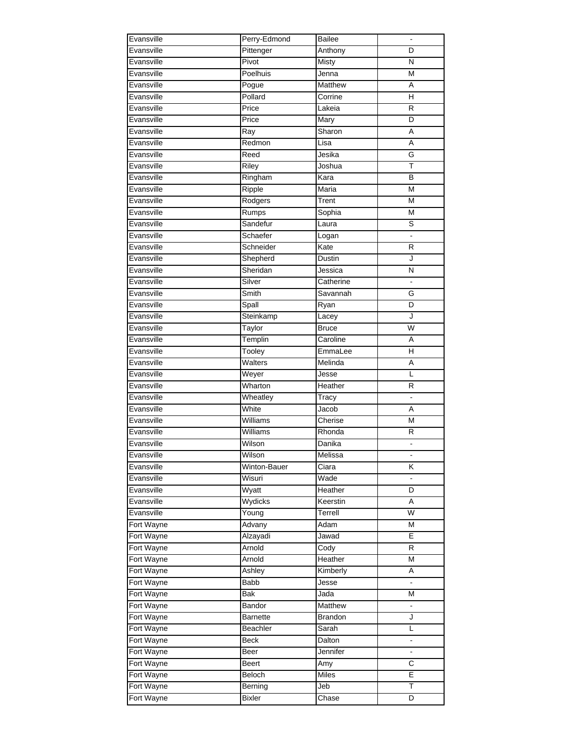| Evansville | Perry-Edmond    | <b>Bailee</b>  |                |
|------------|-----------------|----------------|----------------|
| Evansville | Pittenger       | Anthony        | D              |
| Evansville | Pivot           | Misty          | N              |
| Evansville | Poelhuis        | Jenna          | M              |
| Evansville | Pogue           | Matthew        | A              |
| Evansville | Pollard         | Corrine        | Η              |
| Evansville | Price           | Lakeia         | $\mathsf{R}$   |
| Evansville | Price           | Mary           | D              |
| Evansville | Ray             | Sharon         | Α              |
| Evansville | Redmon          | Lisa           | Α              |
| Evansville | Reed            | Jesika         | G              |
| Evansville | Riley           | Joshua         | Т              |
| Evansville | Ringham         | Kara           | B              |
| Evansville | Ripple          | Maria          | M              |
| Evansville |                 | Trent          | M              |
| Evansville | Rodgers         |                |                |
|            | Rumps           | Sophia         | M              |
| Evansville | Sandefur        | Laura          | S              |
| Evansville | Schaefer        | Logan          | ä,             |
| Evansville | Schneider       | Kate           | R              |
| Evansville | Shepherd        | Dustin         | J              |
| Evansville | Sheridan        | Jessica        | N              |
| Evansville | Silver          | Catherine      | $\blacksquare$ |
| Evansville | Smith           | Savannah       | G              |
| Evansville | Spall           | Ryan           | D              |
| Evansville | Steinkamp       | Lacey          | J              |
| Evansville | Taylor          | <b>Bruce</b>   | $\overline{W}$ |
| Evansville | Templin         | Caroline       | A              |
| Evansville | Tooley          | EmmaLee        | н              |
| Evansville | Walters         | Melinda        | Α              |
| Evansville | Weyer           | Jesse          | L              |
| Evansville | Wharton         | Heather        | R              |
| Evansville | Wheatley        | Tracy          |                |
| Evansville | White           | Jacob          | A              |
| Evansville | Williams        | Cherise        | M              |
| Evansville | Williams        | Rhonda         | R              |
| Evansville | Wilson          | Danika         | L.             |
| Evansville | Wilson          | Melissa        |                |
| Evansville | Winton-Bauer    | Ciara          | Κ              |
| Evansville | Wisuri          | Wade           |                |
| Evansville | Wyatt           | Heather        | D              |
| Evansville | Wydicks         | Keerstin       | Α              |
| Evansville | Young           | Terrell        | W              |
| Fort Wayne | Advany          | Adam           | M              |
| Fort Wayne | Alzayadi        | Jawad          | Ε              |
| Fort Wayne | Arnold          | Cody           | R              |
| Fort Wayne | Arnold          | Heather        | M              |
| Fort Wayne | Ashley          | Kimberly       | Α              |
| Fort Wayne | <b>Babb</b>     | Jesse          |                |
| Fort Wayne | <b>Bak</b>      | Jada           | M              |
| Fort Wayne | Bandor          | Matthew        | $\blacksquare$ |
| Fort Wayne | <b>Barnette</b> | <b>Brandon</b> | J              |
| Fort Wayne | Beachler        | Sarah          | L              |
| Fort Wayne | <b>Beck</b>     | Dalton         |                |
| Fort Wayne | Beer            | Jennifer       | $\blacksquare$ |
| Fort Wayne | Beert           | Amy            | C              |
| Fort Wayne | Beloch          | Miles          | E              |
| Fort Wayne | Berning         | Jeb            | T              |
| Fort Wayne | <b>Bixler</b>   | Chase          | D              |
|            |                 |                |                |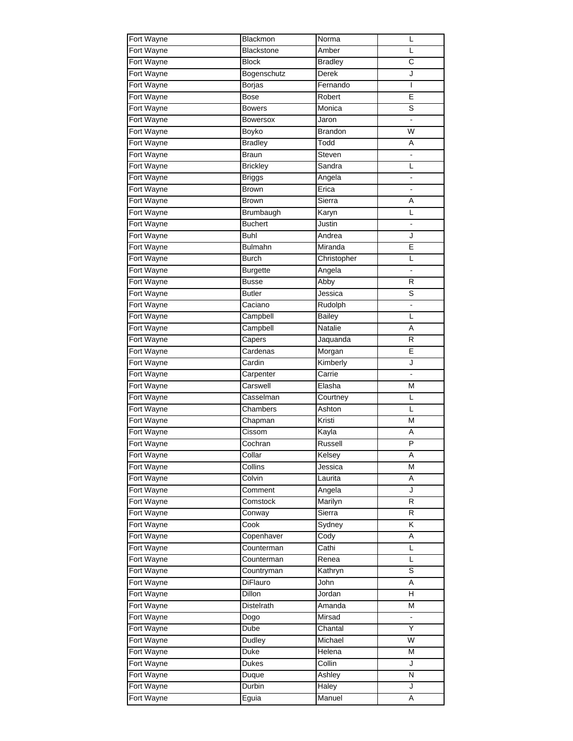| Fort Wayne | Blackmon        | Norma          | L                        |
|------------|-----------------|----------------|--------------------------|
| Fort Wayne | Blackstone      | Amber          | L                        |
| Fort Wayne | <b>Block</b>    | <b>Bradley</b> | $\overline{\text{c}}$    |
| Fort Wayne | Bogenschutz     | Derek          | J                        |
| Fort Wayne | Borjas          | Fernando       | I                        |
| Fort Wayne | <b>Bose</b>     | Robert         | E                        |
| Fort Wayne | <b>Bowers</b>   | Monica         | S                        |
| Fort Wayne | <b>Bowersox</b> | Jaron          |                          |
| Fort Wayne | Boyko           | Brandon        | W                        |
| Fort Wayne | Bradley         | Todd           | Α                        |
| Fort Wayne | <b>Braun</b>    | Steven         |                          |
| Fort Wayne |                 | Sandra         | L                        |
|            | <b>Brickley</b> |                |                          |
| Fort Wayne | <b>Briggs</b>   | Angela         |                          |
| Fort Wayne | <b>Brown</b>    | Erica          |                          |
| Fort Wayne | <b>Brown</b>    | Sierra         | Α                        |
| Fort Wayne | Brumbaugh       | Karyn          | L                        |
| Fort Wayne | <b>Buchert</b>  | Justin         | ÷,                       |
| Fort Wayne | Buhl            | Andrea         | J                        |
| Fort Wayne | <b>Bulmahn</b>  | Miranda        | E                        |
| Fort Wayne | <b>Burch</b>    | Christopher    | L                        |
| Fort Wayne | <b>Burgette</b> | Angela         |                          |
| Fort Wayne | <b>Busse</b>    | Abby           | R                        |
| Fort Wayne | <b>Butler</b>   | Jessica        | S                        |
| Fort Wayne | Caciano         | Rudolph        |                          |
| Fort Wayne | Campbell        | <b>Bailey</b>  | L                        |
| Fort Wayne | Campbell        | <b>Natalie</b> | Α                        |
| Fort Wayne | Capers          | Jaquanda       | R                        |
| Fort Wayne | Cardenas        | Morgan         | E                        |
| Fort Wayne | Cardin          | Kimberly       | J                        |
| Fort Wayne | Carpenter       | Carrie         |                          |
| Fort Wayne | Carswell        | Elasha         | M                        |
| Fort Wayne | Casselman       | Courtney       | Г                        |
| Fort Wayne | Chambers        | Ashton         | L                        |
| Fort Wayne |                 | Kristi         | M                        |
|            | Chapman         |                |                          |
| Fort Wayne | Cissom          | Kayla          | A                        |
| Fort Wayne | Cochran         | Russell        | P                        |
| Fort Wayne | Collar          | Kelsey         | Α                        |
| Fort Wayne | Collins         | Jessica        | M                        |
| Fort Wayne | Colvin          | Laurita        | Α                        |
| Fort Wayne | Comment         | Angela         | J                        |
| Fort Wayne | Comstock        | Marilyn        | R                        |
| Fort Wayne | Conway          | Sierra         | R                        |
| Fort Wayne | Cook            | Sydney         | Κ                        |
| Fort Wayne | Copenhaver      | Cody           | Α                        |
| Fort Wayne | Counterman      | Cathi          | Г                        |
| Fort Wayne | Counterman      | Renea          | L                        |
| Fort Wayne | Countryman      | Kathryn        | S                        |
| Fort Wayne | DiFlauro        | John           | Α                        |
| Fort Wayne | Dillon          | Jordan         | н                        |
| Fort Wayne | Distelrath      | Amanda         | M                        |
| Fort Wayne | Dogo            | Mirsad         | $\overline{\phantom{a}}$ |
| Fort Wayne | Dube            | Chantal        | Y                        |
| Fort Wayne | Dudley          | Michael        | $\overline{\mathsf{W}}$  |
| Fort Wayne | Duke            | <b>Helena</b>  | M                        |
| Fort Wayne | Dukes           | Collin         | J                        |
| Fort Wayne | Duque           | Ashley         | N                        |
| Fort Wayne | Durbin          | Haley          | J                        |
| Fort Wayne |                 | Manuel         | A                        |
|            | Eguia           |                |                          |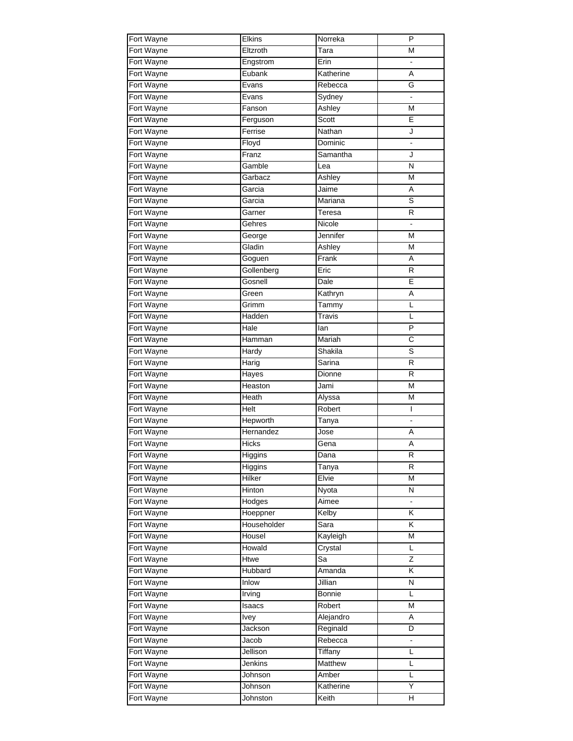| Fort Wayne | Elkins       | Norreka            | P              |
|------------|--------------|--------------------|----------------|
| Fort Wayne | Eltzroth     | Tara               | М              |
| Fort Wayne | Engstrom     | Erin               |                |
| Fort Wayne | Eubank       | Katherine          | A              |
| Fort Wayne | Evans        | Rebecca            | G              |
| Fort Wayne | Evans        | Sydney             |                |
| Fort Wayne | Fanson       | Ashley             | M              |
| Fort Wayne | Ferguson     | Scott              | E              |
| Fort Wayne | Ferrise      | Nathan             | J              |
| Fort Wayne | Floyd        | Dominic            |                |
| Fort Wayne | Franz        | Samantha           | J              |
| Fort Wayne | Gamble       | Lea                | Ν              |
| Fort Wayne | Garbacz      | Ashley             | М              |
| Fort Wayne | Garcia       | Jaime              | A              |
| Fort Wayne | Garcia       | Mariana            | S              |
| Fort Wayne | Garner       | Teresa             | R              |
| Fort Wayne | Gehres       | Nicole             | $\blacksquare$ |
|            |              |                    |                |
| Fort Wayne | George       | Jennifer           | M              |
| Fort Wayne | Gladin       | Ashley             | M              |
| Fort Wayne | Goguen       | Frank              | A              |
| Fort Wayne | Gollenberg   | Eric               | R              |
| Fort Wayne | Gosnell      | Dale               | E              |
| Fort Wayne | Green        | Kathryn            | Α              |
| Fort Wayne | Grimm        | Tammy              | L              |
| Fort Wayne | Hadden       | Travis             | Г              |
| Fort Wayne | Hale         | lan                | $\overline{P}$ |
| Fort Wayne | Hamman       | Mariah             | С              |
| Fort Wayne | <b>Hardy</b> | Shakila            | S              |
| Fort Wayne | Harig        | Sarina             | R              |
| Fort Wayne | Hayes        | Dionne             | R              |
| Fort Wayne | Heaston      | Jami               | M              |
| Fort Wayne | Heath        | Alyssa             | M              |
| Fort Wayne | Helt         | Robert             | L              |
| Fort Wayne | Hepworth     | Tanya              | $\frac{1}{2}$  |
| Fort Wayne | Hernandez    | Jose               | A              |
| Fort Wayne | Hicks        | Gena               | Α              |
| Fort Wayne | Higgins      | $\overline{D}$ ana | $\overline{R}$ |
| Fort Wayne | Higgins      | Tanya              | R              |
| Fort Wayne | Hilker       | Elvie              | М              |
| Fort Wayne | Hinton       | Nyota              | Ν              |
| Fort Wayne | Hodges       | Aimee              |                |
| Fort Wayne | Hoeppner     | Kelby              | Κ              |
| Fort Wayne | Householder  | Sara               | Κ              |
| Fort Wayne | Housel       | Kayleigh           | M              |
| Fort Wayne | Howald       | Crystal            | L              |
| Fort Wayne | Htwe         | Sa                 | Ζ              |
| Fort Wayne | Hubbard      | Amanda             | Κ              |
| Fort Wayne | Inlow        | Jillian            | N              |
| Fort Wayne | Irving       | Bonnie             | Г              |
| Fort Wayne | Isaacs       | Robert             | M              |
| Fort Wayne | <b>Ivey</b>  | Alejandro          | Α              |
| Fort Wayne | Jackson      | Reginald           | D              |
| Fort Wayne | Jacob        | Rebecca            | $\frac{1}{2}$  |
| Fort Wayne | Jellison     | Tiffany            | L              |
| Fort Wayne | Jenkins      | Matthew            | L              |
| Fort Wayne | Johnson      | Amber              | L              |
| Fort Wayne | Johnson      | Katherine          | Ÿ              |
| Fort Wayne | Johnston     | Keith              | н              |
|            |              |                    |                |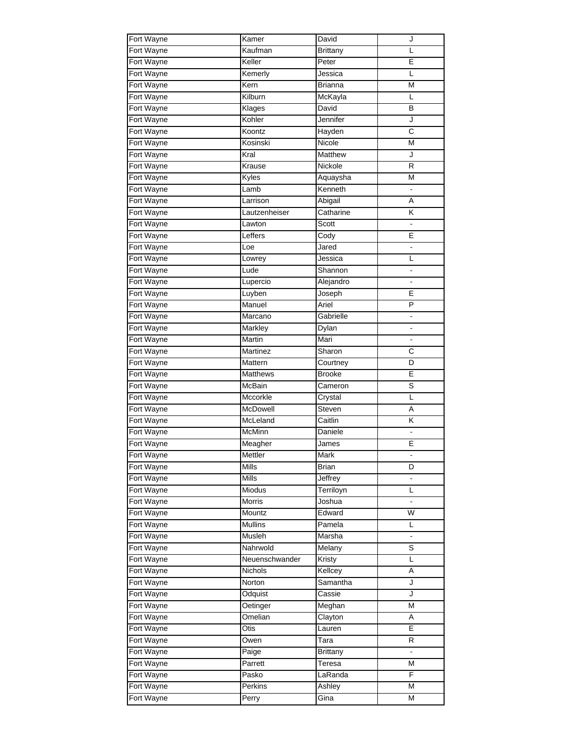| Fort Wayne | Kamer           | David           | J                            |
|------------|-----------------|-----------------|------------------------------|
| Fort Wayne | Kaufman         | Brittany        | L                            |
| Fort Wayne | Keller          | Peter           | E                            |
| Fort Wayne | Kemerly         | Jessica         | L                            |
| Fort Wayne | Kern            | Brianna         | M                            |
| Fort Wayne | Kilburn         | McKayla         | L                            |
| Fort Wayne | Klages          | David           | B                            |
| Fort Wayne | Kohler          | Jennifer        | J                            |
| Fort Wayne | Koontz          | Hayden          | C                            |
| Fort Wayne | Kosinski        | Nicole          | M                            |
| Fort Wayne | Kral            | Matthew         | J                            |
| Fort Wayne | Krause          | Nickole         | R                            |
| Fort Wayne | Kyles           | Aquaysha        | M                            |
| Fort Wayne | Lamb            | Kenneth         |                              |
| Fort Wayne | Larrison        | Abigail         | A                            |
| Fort Wayne | Lautzenheiser   | Catharine       | Κ                            |
| Fort Wayne | Lawton          | Scott           |                              |
| Fort Wayne | Leffers         | Cody            | E                            |
| Fort Wayne | Loe             | Jared           | $\frac{1}{2}$                |
| Fort Wayne | Lowrey          | Jessica         | L                            |
| Fort Wayne | Lude            | Shannon         |                              |
|            |                 |                 |                              |
| Fort Wayne | Lupercio        | Alejandro       | E                            |
| Fort Wayne | Luyben          | Joseph          | $\overline{P}$               |
| Fort Wayne | Manuel          | Ariel           |                              |
| Fort Wayne | Marcano         | Gabrielle       |                              |
| Fort Wayne | Markley         | Dylan           |                              |
| Fort Wayne | Martin          | Mari            | $\qquad \qquad \blacksquare$ |
| Fort Wayne | Martinez        | Sharon          | C                            |
| Fort Wayne | Mattern         | Courtney        | D                            |
| Fort Wayne | <b>Matthews</b> | <b>Brooke</b>   | E                            |
| Fort Wayne | McBain          | Cameron         | S                            |
| Fort Wayne | Mccorkle        | Crystal         | L                            |
| Fort Wayne | McDowell        | Steven          | Α                            |
| Fort Wayne | McLeland        | Caitlin         | K                            |
| Fort Wayne | McMinn          | Daniele         |                              |
| Fort Wayne | Meagher         | James           | E                            |
| Fort Wayne | Mettler         | <b>Mark</b>     |                              |
| Fort Wayne | Mills           | Brian           | D                            |
| Fort Wayne | Mills           | Jeffrey         |                              |
| Fort Wayne | Miodus          | Terriloyn       | L                            |
| Fort Wayne | Morris          | Joshua          | $\frac{1}{2}$                |
| Fort Wayne | Mountz          | Edward          | W                            |
| Fort Wayne | <b>Mullins</b>  | Pamela          | L                            |
| Fort Wayne | Musleh          | Marsha          | $\qquad \qquad \blacksquare$ |
| Fort Wayne | Nahrwold        | Melany          | S                            |
| Fort Wayne | Neuenschwander  | Kristy          | L                            |
| Fort Wayne | Nichols         | Kellcey         | Α                            |
| Fort Wayne | Norton          | Samantha        | J                            |
| Fort Wayne | Odquist         | Cassie          | J                            |
| Fort Wayne | Oetinger        | Meghan          | M                            |
| Fort Wayne | Omelian         | Clayton         | Α                            |
| Fort Wayne | Otis            | Lauren          | E                            |
| Fort Wayne | Owen            | Tara            | R.                           |
| Fort Wayne | Paige           | <b>Brittany</b> |                              |
| Fort Wayne | Parrett         | Teresa          | M                            |
| Fort Wayne | Pasko           | LaRanda         | F                            |
| Fort Wayne | Perkins         | Ashley          | M                            |
| Fort Wayne | Perry           | Gina            | M                            |
|            |                 |                 |                              |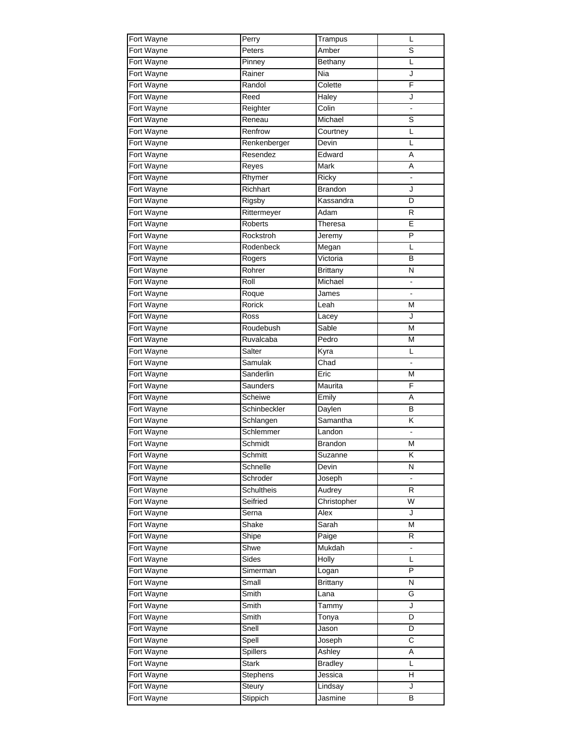| Fort Wayne | Perry        | Trampus         | L              |
|------------|--------------|-----------------|----------------|
| Fort Wayne | Peters       | Amber           | S              |
| Fort Wayne | Pinney       | Bethany         | L              |
| Fort Wayne | Rainer       | Nia             | J              |
| Fort Wayne | Randol       | Colette         | F              |
| Fort Wayne | Reed         | <b>Haley</b>    | J              |
| Fort Wayne | Reighter     | Colin           |                |
| Fort Wayne | Reneau       | Michael         | S              |
| Fort Wayne | Renfrow      | Courtney        | L              |
| Fort Wayne | Renkenberger | Devin           | L              |
| Fort Wayne |              |                 |                |
|            | Resendez     | Edward          | Α              |
| Fort Wayne | Reyes        | Mark            | Α              |
| Fort Wayne | Rhymer       | Ricky           |                |
| Fort Wayne | Richhart     | <b>Brandon</b>  | J              |
| Fort Wayne | Rigsby       | Kassandra       | D              |
| Fort Wayne | Rittermeyer  | Adam            | R              |
| Fort Wayne | Roberts      | Theresa         | E              |
| Fort Wayne | Rockstroh    | Jeremy          | P              |
| Fort Wayne | Rodenbeck    | Megan           | L              |
| Fort Wayne | Rogers       | Victoria        | В              |
| Fort Wayne | Rohrer       | <b>Brittany</b> | N              |
| Fort Wayne | Roll         | Michael         |                |
| Fort Wayne | Roque        | James           |                |
| Fort Wayne | Rorick       | Leah            | M              |
| Fort Wayne | Ross         |                 | J              |
|            |              | Lacey           |                |
| Fort Wayne | Roudebush    | Sable           | M              |
| Fort Wayne | Ruvalcaba    | Pedro           | M              |
| Fort Wayne | Salter       | Kyra            | L              |
| Fort Wayne | Samulak      | Chad            | $\blacksquare$ |
| Fort Wayne | Sanderlin    | Eric            | M              |
| Fort Wayne | Saunders     | Maurita         | F              |
| Fort Wayne | Scheiwe      | Emily           | Α              |
| Fort Wayne | Schinbeckler | Daylen          | B              |
| Fort Wayne | Schlangen    | Samantha        | K              |
| Fort Wayne | Schlemmer    | Landon          |                |
| Fort Wayne | Schmidt      | Brandon         | M              |
| Fort Wayne | Schmitt      | Suzanne         | K              |
| Fort Wayne | Schnelle     | Devin           | N              |
| Fort Wayne | Schroder     | Joseph          |                |
| Fort Wayne | Schultheis   | Audrey          | R              |
| Fort Wayne | Seifried     | Christopher     | W              |
| Fort Wayne | Serna        | Alex            | J              |
|            |              |                 |                |
| Fort Wayne | Shake        | Sarah           | M              |
| Fort Wayne | Shipe        | Paige           | R              |
| Fort Wayne | Shwe         | Mukdah          | ÷              |
| Fort Wayne | Sides        | Holly           | L              |
| Fort Wayne | Simerman     | Logan           | P              |
| Fort Wayne | Small        | <b>Brittany</b> | Ν              |
| Fort Wayne | Smith        | Lana            | G              |
| Fort Wayne | Smith        | Tammy           | J              |
| Fort Wayne | Smith        | Tonya           | D              |
| Fort Wayne | Snell        | Jason           | D              |
| Fort Wayne | Spell        | Joseph          | C              |
| Fort Wayne | Spillers     | Ashley          | A              |
| Fort Wayne | <b>Stark</b> | <b>Bradley</b>  | L              |
| Fort Wayne | Stephens     | Jessica         | H              |
| Fort Wayne |              |                 | J              |
|            | Steury       | Lindsay         |                |
| Fort Wayne | Stippich     | Jasmine         | В              |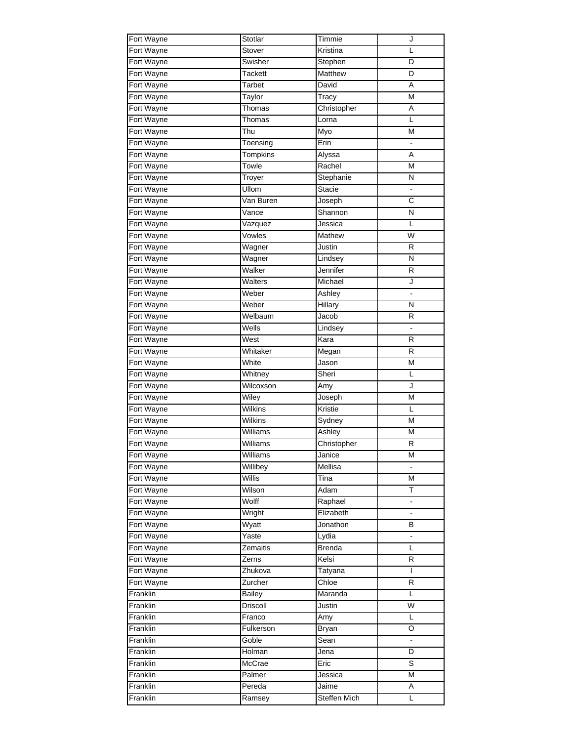| Fort Wayne | Stotlar         | Timmie                       | J                            |
|------------|-----------------|------------------------------|------------------------------|
| Fort Wayne | Stover          | Kristina                     | L                            |
| Fort Wayne | Swisher         | Stephen                      | D                            |
| Fort Wayne | Tackett         | Matthew                      | D                            |
| Fort Wayne | Tarbet          | David                        | Α                            |
| Fort Wayne | Taylor          | $\overline{\mathsf{T}}$ racy | M                            |
| Fort Wayne | Thomas          | Christopher                  | Α                            |
| Fort Wayne | Thomas          | Lorna                        | L                            |
| Fort Wayne | Thu             | Myo                          | M                            |
| Fort Wayne | Toensing        | Erin                         |                              |
| Fort Wayne | Tompkins        | Alyssa                       | Α                            |
| Fort Wayne | Towle           | Rachel                       | М                            |
| Fort Wayne | Troyer          | Stephanie                    | N                            |
| Fort Wayne | Ullom           | Stacie                       |                              |
| Fort Wayne | Van Buren       | Joseph                       | C                            |
| Fort Wayne | Vance           | Shannon                      | $\mathsf{N}$                 |
|            |                 |                              | L                            |
| Fort Wayne | Vazquez         | Jessica                      |                              |
| Fort Wayne | Vowles          | Mathew                       | W                            |
| Fort Wayne | Wagner          | Justin                       | R                            |
| Fort Wayne | Wagner          | Lindsey                      | N                            |
| Fort Wayne | Walker          | Jennifer                     | $\mathsf{R}$                 |
| Fort Wayne | Walters         | Michael                      | J                            |
| Fort Wayne | Weber           | Ashley                       |                              |
| Fort Wayne | Weber           | Hillary                      | $\mathsf{N}$                 |
| Fort Wayne | Welbaum         | Jacob                        | $\mathsf{R}$                 |
| Fort Wayne | Wells           | Lindsey                      |                              |
| Fort Wayne | West            | Kara                         | $\mathsf{R}$                 |
| Fort Wayne | Whitaker        | Megan                        | R                            |
| Fort Wayne | White           | Jason                        | M                            |
| Fort Wayne | Whitney         | Sheri                        | L                            |
| Fort Wayne | Wilcoxson       | Amy                          | J                            |
| Fort Wayne | Wiley           | Joseph                       | M                            |
| Fort Wayne | <b>Wilkins</b>  | Kristie                      | L                            |
| Fort Wayne | <b>Wilkins</b>  | Sydney                       | M                            |
| Fort Wayne | Williams        | Ashley                       | M                            |
| Fort Wayne | Williams        | Christopher                  | $\mathsf{R}$                 |
| Fort Wayne | Williams        | Janice                       | $\overline{\mathsf{M}}$      |
| Fort Wayne | Willibey        | Mellisa                      |                              |
| Fort Wayne | Willis          | Tina                         | M                            |
| Fort Wayne | Wilson          | Adam                         | Τ                            |
| Fort Wayne | Wolff           | Raphael                      | $\blacksquare$               |
| Fort Wayne | Wright          | Elizabeth                    |                              |
| Fort Wayne | Wyatt           | Jonathon                     | в                            |
| Fort Wayne | Yaste           | Lydia                        | $\qquad \qquad \blacksquare$ |
| Fort Wayne | Zemaitis        | <b>Brenda</b>                | L                            |
| Fort Wayne | Zerns           | Kelsi                        | R                            |
| Fort Wayne | Zhukova         | Tatyana                      | L                            |
| Fort Wayne | Zurcher         | Chloe                        | $\mathsf R$                  |
| Franklin   | <b>Bailey</b>   | Maranda                      | Г                            |
| Franklin   | <b>Driscoll</b> | Justin                       | $\overline{W}$               |
| Franklin   | Franco          | Amy                          | Г                            |
| Franklin   | Fulkerson       | <b>Bryan</b>                 | O                            |
| Franklin   | Goble           | Sean                         | $\overline{\phantom{a}}$     |
| Franklin   | Holman          | Jena                         | D                            |
| Franklin   | McCrae          | Eric                         | S                            |
| Franklin   | Palmer          | Jessica                      | $\overline{\mathsf{M}}$      |
| Franklin   | Pereda          | Jaime                        | Α                            |
|            | Ramsey          | Steffen Mich                 | L                            |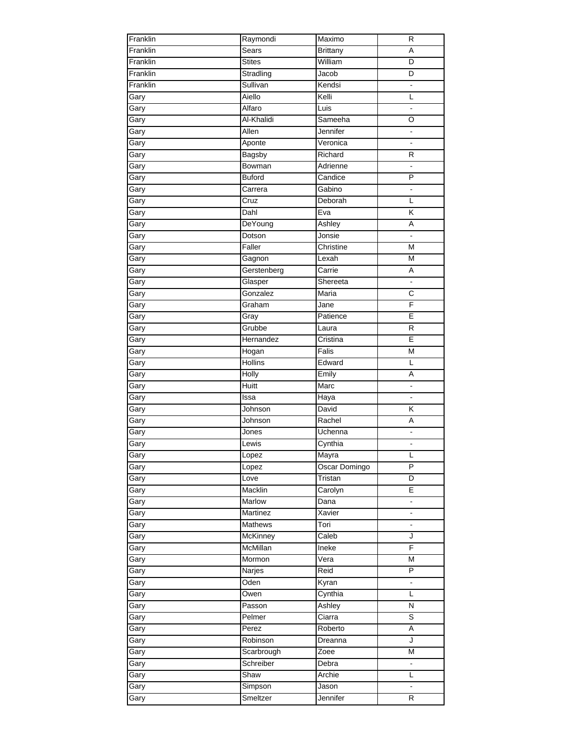| Franklin | Raymondi       | Maximo           | R                            |
|----------|----------------|------------------|------------------------------|
| Franklin | Sears          | <b>Brittany</b>  | $\overline{A}$               |
| Franklin | <b>Stites</b>  | William          | D                            |
| Franklin | Stradling      | Jacob            | D                            |
| Franklin | Sullivan       | Kendsi           | $\overline{\phantom{a}}$     |
| Gary     | Aiello         | Kelli            | L                            |
| Gary     | Alfaro         | Luis             |                              |
| Gary     | Al-Khalidi     | Sameeha          | O                            |
| Gary     | Allen          | Jennifer         |                              |
| Gary     | Aponte         | Veronica         | $\blacksquare$               |
| Gary     | Bagsby         | Richard          | $\mathsf{R}$                 |
| Gary     | Bowman         | Adrienne         | $\qquad \qquad \blacksquare$ |
| Gary     | <b>Buford</b>  | Candice          | P                            |
| Gary     | Carrera        | Gabino           | $\blacksquare$               |
| Gary     | Cruz           | Deborah          | L                            |
| Gary     | Dahl           | Eva              | Κ                            |
| Gary     | DeYoung        | Ashley           | Α                            |
| Gary     | Dotson         | Jonsie           | $\blacksquare$               |
| Gary     | Faller         | Christine        | M                            |
| Gary     | Gagnon         | Lexah            | M                            |
| Gary     | Gerstenberg    | Carrie           | Α                            |
| Gary     | Glasper        | Shereeta         | $\blacksquare$               |
|          | Gonzalez       | Maria            | C                            |
| Gary     | Graham         |                  | F                            |
| Gary     |                | Jane<br>Patience | E                            |
| Gary     | Gray           |                  |                              |
| Gary     | Grubbe         | Laura            | $\mathsf{R}$                 |
| Gary     | Hernandez      | Cristina         | Ē                            |
| Gary     | Hogan          | Falis            | M                            |
| Gary     | <b>Hollins</b> | Edward           | L                            |
| Gary     | Holly          | Emily            | Α                            |
| Gary     | <b>Huitt</b>   | Marc             | $\overline{a}$               |
| Gary     | Issa           | Haya             |                              |
| Gary     | Johnson        | David            | Κ                            |
| Gary     | Johnson        | Rachel           | Α                            |
| Gary     | Jones          | Uchenna          | ä,                           |
| Gary     | Lewis          | Cynthia          | ÷,                           |
| Gary     | Lopez          | Mayra            | L                            |
| Gary     | Lopez          | Oscar Domingo    | P                            |
| Gary     | Love           | Tristan          | D                            |
| Gary     | Macklin        | Carolyn          | E                            |
| Gary     | Marlow         | Dana             |                              |
| Gary     | Martinez       | Xavier           | ä,                           |
| Gary     | Mathews        | Tori             | $\frac{1}{2}$                |
| Gary     | McKinney       | Caleb            | J                            |
| Gary     | McMillan       | Ineke            | F                            |
| Gary     | Mormon         | Vera             | M                            |
| Gary     | Narjes         | Reid             | P                            |
| Gary     | Oden           | Kyran            | ÷,                           |
| Gary     | Owen           | Cynthia          | L                            |
| Gary     | Passon         | Ashley           | N                            |
| Gary     | Pelmer         | Ciarra           | S                            |
| Gary     | Perez          | Roberto          | A                            |
| Gary     | Robinson       | Dreanna          | J                            |
| Gary     | Scarbrough     | Zoee             | M                            |
| Gary     | Schreiber      | Debra            | $\overline{\phantom{a}}$     |
| Gary     | Shaw           | Archie           | L                            |
| Gary     | Simpson        | Jason            |                              |
| Gary     | Smeltzer       | Jennifer         | R                            |
|          |                |                  |                              |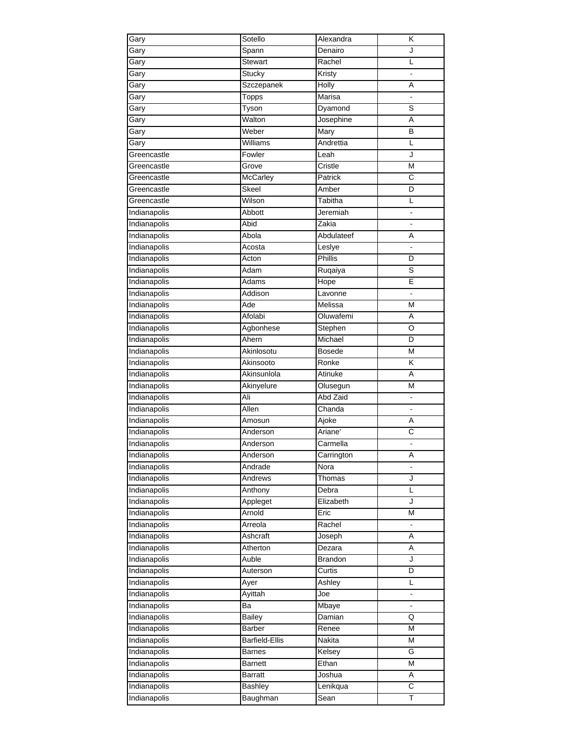| Gary         | Sotello               | Alexandra     | Κ  |
|--------------|-----------------------|---------------|----|
| Gary         | Spann                 | Denairo       | J  |
| Gary         | <b>Stewart</b>        | Rachel        | L  |
| Gary         | Stucky                | Kristy        |    |
| Gary         | Szczepanek            | Holly         | A  |
| Gary         | <b>Topps</b>          | Marisa        | L. |
| Gary         | Tyson                 | Dyamond       | S  |
| Gary         | Walton                | Josephine     | A  |
| Gary         | Weber                 | Mary          | В  |
| Gary         | Williams              | Andrettia     | Г  |
| Greencastle  | Fowler                | Leah          | J  |
| Greencastle  | Grove                 | Cristle       | M  |
| Greencastle  | <b>McCarley</b>       | Patrick       | С  |
| Greencastle  | Skeel                 | Amber         | D  |
| Greencastle  | Wilson                | Tabitha       | L  |
| Indianapolis | Abbott                | Jeremiah      |    |
| Indianapolis | Abid                  | Zakia         |    |
|              |                       |               |    |
| Indianapolis | Abola                 | Abdulateef    | A  |
| Indianapolis | Acosta                | Leslye        | L, |
| Indianapolis | Acton                 | Phillis       | D  |
| Indianapolis | Adam                  | Ruqaiya       | S  |
| Indianapolis | Adams                 | Hope          | E  |
| Indianapolis | Addison               | Lavonne       | ÷, |
| Indianapolis | Ade                   | Melissa       | M  |
| Indianapolis | Afolabi               | Oluwafemi     | Α  |
| Indianapolis | Agbonhese             | Stephen       | O  |
| Indianapolis | Ahern                 | Michael       | D  |
| Indianapolis | Akinlosotu            | <b>Bosede</b> | M  |
| Indianapolis | Akinsooto             | Ronke         | Κ  |
| Indianapolis | Akinsunlola           | Atinuke       | A  |
| Indianapolis | Akinyelure            | Olusegun      | М  |
| Indianapolis | Ali                   | Abd Zaid      |    |
| Indianapolis | Allen                 | Chanda        |    |
| Indianapolis | Amosun                | Ajoke         | A  |
| Indianapolis | Anderson              | Ariane'       | C  |
| Indianapolis | Anderson              | Carmella      | ÷, |
| Indianapolis | Anderson              | Carrington    | Α  |
| Indianapolis | Andrade               | Nora          |    |
| Indianapolis | Andrews               | Thomas        | J  |
| Indianapolis | Anthony               | Debra         | L  |
| Indianapolis | Appleget              | Elizabeth     | J  |
| Indianapolis | Arnold                | Eric          | M  |
| Indianapolis | Arreola               | Rachel        |    |
| Indianapolis | Ashcraft              | Joseph        | Α  |
| Indianapolis | Atherton              | Dezara        | A  |
| Indianapolis | Auble                 | Brandon       | J  |
| Indianapolis | Auterson              | Curtis        | D  |
| Indianapolis | Ayer                  | Ashley        | L  |
| Indianapolis | Ayittah               | Joe           | ÷, |
| Indianapolis | Вa                    | <b>Mbaye</b>  |    |
| Indianapolis | <b>Bailey</b>         | Damian        | Q  |
| Indianapolis | Barber                | Renee         | M  |
| Indianapolis | <b>Barfield-Ellis</b> | Nakita        | M  |
| Indianapolis | Barnes                | Kelsey        | G  |
| Indianapolis | Barnett               | Ethan         | M  |
| Indianapolis | <b>Barratt</b>        | Joshua        | Α  |
| Indianapolis | <b>Bashley</b>        |               | C  |
|              |                       | Lenikqua      | T  |
| Indianapolis | Baughman              | Sean          |    |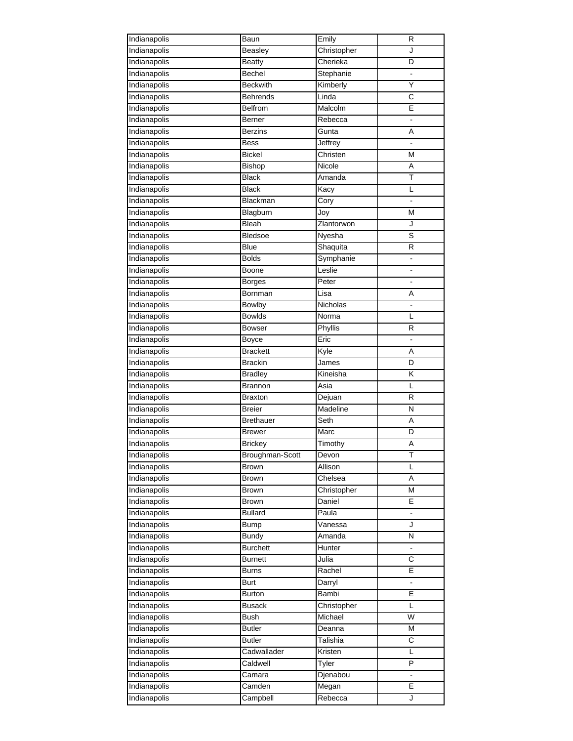| Indianapolis | Baun             | Emily       | R                     |
|--------------|------------------|-------------|-----------------------|
| Indianapolis | Beasley          | Christopher | J                     |
| Indianapolis | Beatty           | Cherieka    | D                     |
| Indianapolis | Bechel           | Stephanie   | ä,                    |
| Indianapolis | <b>Beckwith</b>  | Kimberly    | Y                     |
| Indianapolis | <b>Behrends</b>  | Linda       | $\overline{\text{c}}$ |
| Indianapolis | <b>Belfrom</b>   | Malcolm     | Ē                     |
| Indianapolis | Berner           | Rebecca     |                       |
| Indianapolis | Berzins          | Gunta       | Α                     |
| Indianapolis | Bess             | Jeffrev     |                       |
| Indianapolis | Bickel           | Christen    | M                     |
| Indianapolis | Bishop           | Nicole      | Α                     |
| Indianapolis | <b>Black</b>     | Amanda      | Т                     |
| Indianapolis | <b>Black</b>     | Kacy        | L                     |
| Indianapolis | Blackman         | Cory        |                       |
| Indianapolis | Blagburn         | Joy         | M                     |
| Indianapolis | <b>Bleah</b>     | Zlantorwon  | J                     |
| Indianapolis | <b>Bledsoe</b>   | Nyesha      | S                     |
| Indianapolis | <b>Blue</b>      | Shaquita    | R                     |
| Indianapolis | <b>Bolds</b>     | Symphanie   | $\frac{1}{2}$         |
| Indianapolis | Boone            | Leslie      |                       |
|              |                  |             |                       |
| Indianapolis | <b>Borges</b>    | Peter       |                       |
| Indianapolis | Bornman          | Lisa        | Α                     |
| Indianapolis | Bowlby           | Nicholas    |                       |
| Indianapolis | <b>Bowlds</b>    | Norma       | L                     |
| Indianapolis | <b>Bowser</b>    | Phyllis     | R                     |
| Indianapolis | Boyce            | Eric        |                       |
| Indianapolis | <b>Brackett</b>  | Kyle        | Α                     |
| Indianapolis | <b>Brackin</b>   | James       | D                     |
| Indianapolis | <b>Bradley</b>   | Kineisha    | Κ                     |
| Indianapolis | <b>Brannon</b>   | Asia        | L                     |
| Indianapolis | <b>Braxton</b>   | Dejuan      | R                     |
| Indianapolis | <b>Breier</b>    | Madeline    | N                     |
| Indianapolis | <b>Brethauer</b> | Seth        | Α                     |
| Indianapolis | <b>Brewer</b>    | Marc        | D                     |
| Indianapolis | <b>Brickey</b>   | Timothy     | Α                     |
| Indianapolis | Broughman-Scott  | Devon       | T                     |
| Indianapolis | Brown            | Allison     | L                     |
| Indianapolis | Brown            | Chelsea     | Α                     |
| Indianapolis | Brown            | Christopher | M                     |
| Indianapolis | Brown            | Daniel      | E                     |
| Indianapolis | <b>Bullard</b>   | Paula       | ۰                     |
| Indianapolis | Bump             | Vanessa     | J                     |
| Indianapolis | <b>Bundy</b>     | Amanda      | N                     |
| Indianapolis | <b>Burchett</b>  | Hunter      | $\frac{1}{2}$         |
| Indianapolis | <b>Burnett</b>   | Julia       | C                     |
| Indianapolis | <b>Burns</b>     | Rachel      | E                     |
| Indianapolis | Burt             | Darryl      | ÷,                    |
| Indianapolis | <b>Burton</b>    | Bambi       | E                     |
| Indianapolis | <b>Busack</b>    | Christopher | Г                     |
| Indianapolis | <b>Bush</b>      | Michael     | $\overline{W}$        |
| Indianapolis | <b>Butler</b>    | Deanna      | M                     |
| Indianapolis | <b>Butler</b>    | Talishia    | C                     |
|              |                  |             |                       |
| Indianapolis | Cadwallader      | Kristen     | L<br>P                |
| Indianapolis | Caldwell         | Tyler       |                       |
| Indianapolis | Camara           | Djenabou    |                       |
| Indianapolis | Camden           | Megan       | E                     |
| Indianapolis | Campbell         | Rebecca     | J                     |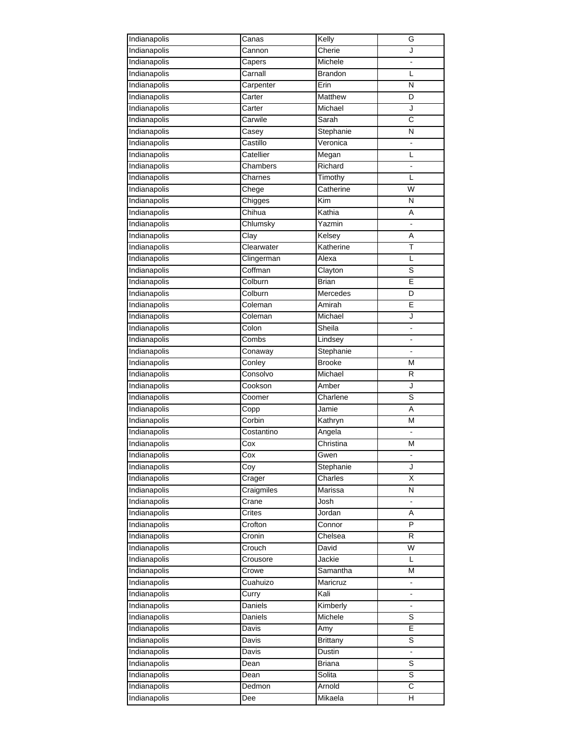| Indianapolis | Canas          | Kelly           | G                        |
|--------------|----------------|-----------------|--------------------------|
| Indianapolis | Cannon         | Cherie          | J                        |
| Indianapolis | Capers         | Michele         |                          |
| Indianapolis | Carnall        | <b>Brandon</b>  | L                        |
| Indianapolis | Carpenter      | Erin            | N                        |
| Indianapolis | Carter         | Matthew         | D                        |
| Indianapolis | Carter         | Michael         | J                        |
| Indianapolis | Carwile        | Sarah           | C                        |
| Indianapolis | Casey          | Stephanie       | N                        |
| Indianapolis | Castillo       | Veronica        |                          |
| Indianapolis | Catellier      | Megan           | L                        |
| Indianapolis | Chambers       | Richard         | ÷,                       |
| Indianapolis | Charnes        | Timothy         | L                        |
| Indianapolis | Chege          | Catherine       | W                        |
| Indianapolis | Chigges        | Kim             | N                        |
| Indianapolis | Chihua         | Kathia          | Α                        |
| Indianapolis | Chlumsky       | Yazmin          | $\blacksquare$           |
| Indianapolis | Clay           | Kelsey          | A                        |
| Indianapolis | Clearwater     | Katherine       | Τ                        |
| Indianapolis | Clingerman     | Alexa           | L                        |
| Indianapolis | Coffman        | Clayton         | S                        |
| Indianapolis | Colburn        | <b>Brian</b>    | E                        |
| Indianapolis | Colburn        | Mercedes        | D                        |
| Indianapolis | Coleman        | Amirah          | E                        |
| Indianapolis | Coleman        | Michael         | J                        |
| Indianapolis | Colon          | Sheila          |                          |
| Indianapolis | Combs          | Lindsey         |                          |
| Indianapolis | Conaway        | Stephanie       | $\blacksquare$           |
| Indianapolis | Conley         | <b>Brooke</b>   | M                        |
| Indianapolis | Consolvo       | Michael         | R                        |
| Indianapolis | Cookson        | Amber           | J                        |
| Indianapolis | Coomer         | Charlene        | S                        |
| Indianapolis | Copp           | Jamie           | A                        |
| Indianapolis | Corbin         | Kathryn         | M                        |
| Indianapolis | Costantino     | Angela          | $\overline{a}$           |
| Indianapolis | Cox            | Christina       | M                        |
| Indianapolis | Cox            | Gwen            |                          |
| Indianapolis | Coy            | Stephanie       | J                        |
| Indianapolis | Crager         | Charles         | X                        |
| Indianapolis | Craigmiles     | Marissa         | Ν                        |
| Indianapolis | Crane          | Josh            |                          |
| Indianapolis | Crites         | Jordan          | Α                        |
| Indianapolis | Crofton        | Connor          | P                        |
| Indianapolis | Cronin         | Chelsea         | R                        |
| Indianapolis | Crouch         | David           | W                        |
| Indianapolis | Crousore       | Jackie          | L                        |
|              |                |                 |                          |
| Indianapolis | Crowe          | Samantha        | M                        |
| Indianapolis | Cuahuizo       | Maricruz        | $\frac{1}{2}$            |
| Indianapolis | Curry          | Kali            | ÷,                       |
| Indianapolis | <b>Daniels</b> | Kimberly        | ÷.<br>S                  |
| Indianapolis | Daniels        | Michele         |                          |
| Indianapolis | Davis          | Amy             | E                        |
| Indianapolis | Davis          | <b>Brittany</b> | S                        |
| Indianapolis | Davis          | Dustin          | $\overline{\phantom{a}}$ |
| Indianapolis | Dean           | Briana          | S                        |
| Indianapolis | Dean           | Solita          | $\overline{s}$           |
| Indianapolis | Dedmon         | Arnold          | $\overline{\text{c}}$    |
| Indianapolis | Dee            | Mikaela         | н                        |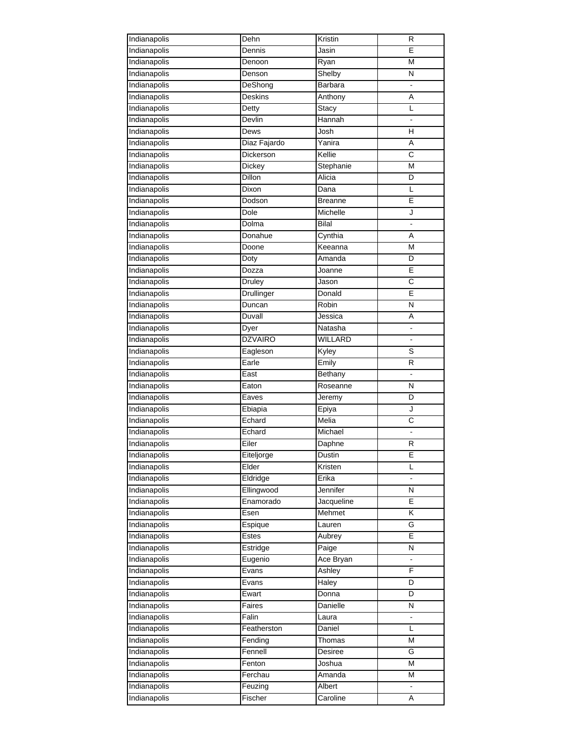| Indianapolis | Dehn           | Kristin        | R              |
|--------------|----------------|----------------|----------------|
| Indianapolis | Dennis         | Jasin          | E              |
| Indianapolis | Denoon         | Ryan           | M              |
| Indianapolis | Denson         | Shelby         | N              |
| Indianapolis | DeShong        | Barbara        |                |
| Indianapolis | <b>Deskins</b> | Anthony        | Α              |
| Indianapolis | Detty          | Stacy          | Г              |
| Indianapolis | Devlin         | Hannah         |                |
| Indianapolis | Dews           | Josh           | н              |
| Indianapolis | Diaz Fajardo   | Yanira         | Α              |
| Indianapolis | Dickerson      | Kellie         | С              |
| Indianapolis | Dickey         | Stephanie      | M              |
| Indianapolis | Dillon         | Alicia         | D              |
| Indianapolis | Dixon          | Dana           | L              |
| Indianapolis | Dodson         | <b>Breanne</b> | E              |
| Indianapolis | Dole           | Michelle       | J              |
| Indianapolis | Dolma          | <b>Bilal</b>   | $\blacksquare$ |
| Indianapolis | Donahue        | Cynthia        | A              |
| Indianapolis | Doone          | Keeanna        | M              |
| Indianapolis | Doty           | Amanda         | D              |
| Indianapolis | Dozza          | Joanne         | E              |
| Indianapolis | Druley         | Jason          | C              |
| Indianapolis | Drullinger     | Donald         | E              |
| Indianapolis | Duncan         | Robin          | N              |
|              |                |                |                |
| Indianapolis | Duvall         | Jessica        | Α              |
| Indianapolis | Dyer           | Natasha        |                |
| Indianapolis | <b>DZVAIRO</b> | WILLARD        |                |
| Indianapolis | Eagleson       | Kyley          | S              |
| Indianapolis | Earle          | Emily          | R              |
| Indianapolis | East           | <b>Bethany</b> |                |
| Indianapolis | Eaton          | Roseanne       | N              |
| Indianapolis | Eaves          | Jeremy         | D              |
| Indianapolis | Ebiapia        | Epiya          | J              |
| Indianapolis | Echard         | Melia          | C              |
| Indianapolis | Echard         | Michael        | L.             |
| Indianapolis | Eiler          | Daphne         | R              |
| Indianapolis | Eiteljorge     | Dustin         | E              |
| Indianapolis | Elder          | Kristen        | L              |
| Indianapolis | Eldridge       | Erika          |                |
| Indianapolis | Ellingwood     | Jennifer       | N              |
| Indianapolis | Enamorado      | Jacqueline     | E              |
| Indianapolis | Esen           | Mehmet         | K              |
| Indianapolis | Espique        | Lauren         | G              |
| Indianapolis | Estes          | Aubrey         | Е              |
| Indianapolis | Estridge       | Paige          | Ν              |
| Indianapolis | Eugenio        | Ace Bryan      | ۰              |
| Indianapolis | Evans          | Ashley         | F              |
| Indianapolis | Evans          | Haley          | D              |
| Indianapolis | Ewart          | Donna          | D              |
| Indianapolis | Faires         | Danielle       | N              |
| Indianapolis | Falin          | Laura          | L,             |
| Indianapolis | Featherston    | Daniel         | L              |
| Indianapolis | Fending        | Thomas         | M              |
| Indianapolis | Fennell        | Desiree        | G              |
| Indianapolis | Fenton         | Joshua         | М              |
| Indianapolis | Ferchau        | Amanda         | M              |
| Indianapolis | Feuzing        | Albert         |                |
| Indianapolis | Fischer        | Caroline       | A              |
|              |                |                |                |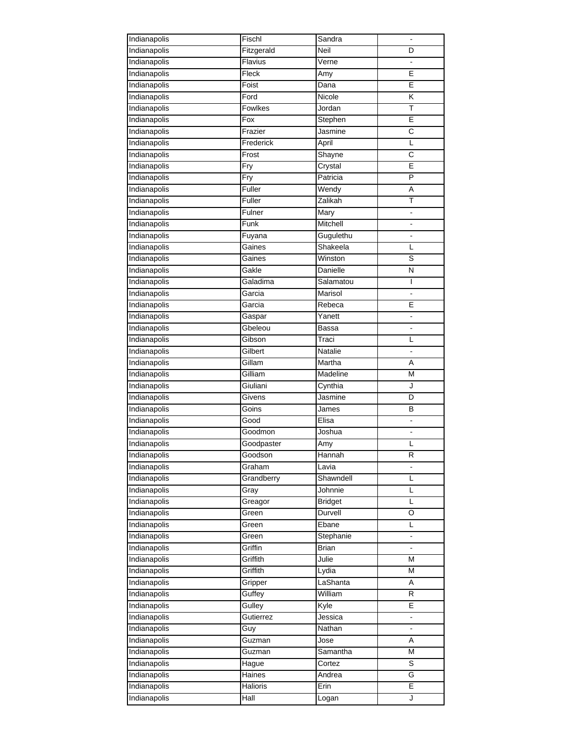| Indianapolis | Fischl     | Sandra         |                |
|--------------|------------|----------------|----------------|
| Indianapolis | Fitzgerald | Neil           | D              |
| Indianapolis | Flavius    | Verne          | ÷,             |
| Indianapolis | Fleck      | Amy            | E              |
| Indianapolis | Foist      | Dana           | E              |
| Indianapolis | Ford       | Nicole         | Κ              |
| Indianapolis | Fowlkes    | Jordan         | T              |
| Indianapolis | Fox        | Stephen        | E              |
| Indianapolis | Frazier    | Jasmine        | C              |
| Indianapolis | Frederick  | April          | L              |
| Indianapolis | Frost      | Shayne         | C              |
| Indianapolis | Fry        | Crystal        | E              |
| Indianapolis | Fry        | Patricia       | P              |
| Indianapolis | Fuller     | Wendy          | Α              |
| Indianapolis | Fuller     | Zalikah        | Τ              |
| Indianapolis | Fulner     | Mary           | $\sim$         |
| Indianapolis | Funk       | Mitchell       | ÷,             |
|              |            |                |                |
| Indianapolis | Fuyana     | Gugulethu      |                |
| Indianapolis | Gaines     | Shakeela       | L              |
| Indianapolis | Gaines     | Winston        | S              |
| Indianapolis | Gakle      | Danielle       | N              |
| Indianapolis | Galadima   | Salamatou      | I              |
| Indianapolis | Garcia     | Marisol        |                |
| Indianapolis | Garcia     | Rebeca         | E              |
| Indianapolis | Gaspar     | Yanett         |                |
| Indianapolis | Gbeleou    | Bassa          |                |
| Indianapolis | Gibson     | Traci          | L              |
| Indianapolis | Gilbert    | Natalie        | $\blacksquare$ |
| Indianapolis | Gillam     | Martha         | A              |
| Indianapolis | Gilliam    | Madeline       | M              |
| Indianapolis | Giuliani   | Cynthia        | J              |
| Indianapolis | Givens     | Jasmine        | D              |
| Indianapolis | Goins      | James          | В              |
| Indianapolis | Good       | Elisa          | $\blacksquare$ |
| Indianapolis | Goodmon    | Joshua         |                |
| Indianapolis | Goodpaster | Amy            | L              |
| Indianapolis | Goodson    | Hannah         | R              |
| Indianapolis | Graham     | Lavia          |                |
| Indianapolis | Grandberry | Shawndell      | L              |
| Indianapolis | Gray       | Johnnie        | L              |
| Indianapolis | Greagor    | <b>Bridget</b> | Г              |
| Indianapolis | Green      | Durvell        | O              |
| Indianapolis | Green      | Ebane          | L              |
| Indianapolis | Green      | Stephanie      | ۰              |
| Indianapolis | Griffin    | <b>Brian</b>   | ÷,             |
| Indianapolis | Griffith   | Julie          | M              |
| Indianapolis | Griffith   | Lydia          | M              |
| Indianapolis | Gripper    | LaShanta       | Α              |
| Indianapolis | Guffey     | William        | R              |
| Indianapolis | Gulley     | Kyle           | E              |
| Indianapolis | Gutierrez  | Jessica        | L,             |
| Indianapolis | Guy        | Nathan         |                |
| Indianapolis | Guzman     | Jose           | Α              |
| Indianapolis | Guzman     | Samantha       | M              |
| Indianapolis | Hague      | Cortez         | S              |
| Indianapolis | Haines     | Andrea         | G              |
| Indianapolis | Halioris   | Erin           | E              |
|              |            |                | J              |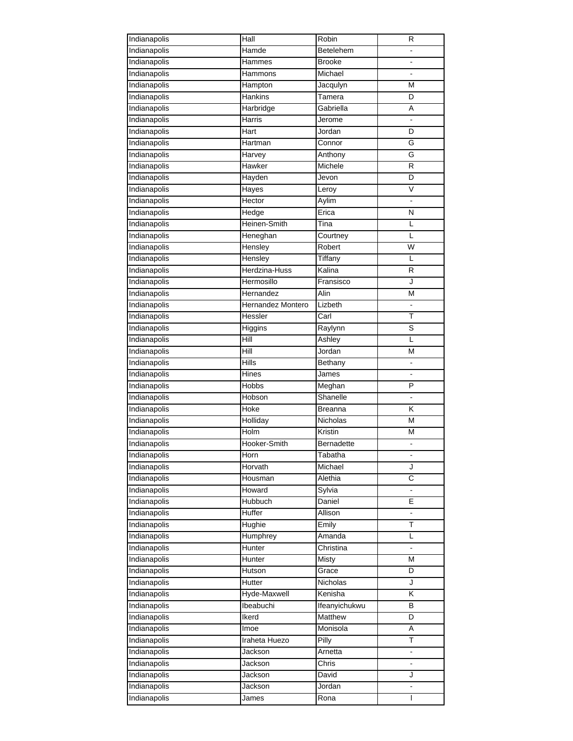| Indianapolis | Hall              | Robin             | R                            |
|--------------|-------------------|-------------------|------------------------------|
| Indianapolis | Hamde             | Betelehem         |                              |
| Indianapolis | Hammes            | <b>Brooke</b>     |                              |
| Indianapolis | Hammons           | Michael           | ä,                           |
| Indianapolis | Hampton           | Jacqulyn          | М                            |
| Indianapolis | Hankins           | Tamera            | D                            |
| Indianapolis | Harbridge         | Gabriella         | Α                            |
| Indianapolis | Harris            | Jerome            |                              |
| Indianapolis | Hart              | Jordan            | D                            |
| Indianapolis | Hartman           | Connor            | G                            |
| Indianapolis | Harvey            | Anthony           | G                            |
| Indianapolis | Hawker            | Michele           | R                            |
| Indianapolis | Hayden            | Jevon             | D                            |
| Indianapolis | Hayes             | Leroy             | V                            |
| Indianapolis | Hector            | Aylim             |                              |
| Indianapolis | Hedge             | Erica             | $\mathsf{N}$                 |
| Indianapolis | Heinen-Smith      | Tina              | Г                            |
|              |                   |                   | L                            |
| Indianapolis | Heneghan          | Courtney          |                              |
| Indianapolis | Hensley           | Robert            | W                            |
| Indianapolis | Hensley           | Tiffany           | L                            |
| Indianapolis | Herdzina-Huss     | Kalina            | R                            |
| Indianapolis | Hermosillo        | Fransisco         | J                            |
| Indianapolis | Hernandez         | Alin              | M                            |
| Indianapolis | Hernandez Montero | Lizbeth           |                              |
| Indianapolis | Hessler           | Carl              | Τ                            |
| Indianapolis | Higgins           | Raylynn           | S                            |
| Indianapolis | Hill              | Ashley            | L                            |
| Indianapolis | Hill              | Jordan            | Μ                            |
| Indianapolis | <b>Hills</b>      | Bethany           | $\frac{1}{2}$                |
| Indianapolis | <b>Hines</b>      | James             |                              |
| Indianapolis | Hobbs             | Meghan            | P                            |
| Indianapolis | Hobson            | Shanelle          | $\blacksquare$               |
| Indianapolis | <b>Hoke</b>       | <b>Breanna</b>    | Κ                            |
| Indianapolis | Holliday          | Nicholas          | M                            |
| Indianapolis | <b>Holm</b>       | Kristin           | М                            |
| Indianapolis | Hooker-Smith      | <b>Bernadette</b> |                              |
| Indianapolis | Horn              | Tabatha           |                              |
| Indianapolis | Horvath           | Michael           | J                            |
| Indianapolis | Housman           | Alethia           | C                            |
| Indianapolis | Howard            | Sylvia            |                              |
| Indianapolis | Hubbuch           | Daniel            | E                            |
| Indianapolis | Huffer            | Allison           | $\blacksquare$               |
| Indianapolis | Hughie            | Emily             | Τ                            |
| Indianapolis | Humphrey          | Amanda            | L                            |
| Indianapolis | Hunter            | Christina         | $\qquad \qquad \blacksquare$ |
| Indianapolis | Hunter            | Misty             | M                            |
| Indianapolis | Hutson            | Grace             | D                            |
| Indianapolis | Hutter            | Nicholas          | J                            |
| Indianapolis | Hyde-Maxwell      | Kenisha           | Κ                            |
| Indianapolis | Ibeabuchi         | Ifeanyichukwu     | B                            |
| Indianapolis | Ikerd             | Matthew           | D                            |
| Indianapolis | Imoe              | Monisola          | Α                            |
| Indianapolis | Iraheta Huezo     | Pilly             | T                            |
| Indianapolis | Jackson           | Arnetta           | ä,                           |
| Indianapolis | Jackson           | Chris             |                              |
| Indianapolis | Jackson           | David             | J                            |
| Indianapolis | Jackson           | Jordan            |                              |
| Indianapolis | James             | Rona              | L                            |
|              |                   |                   |                              |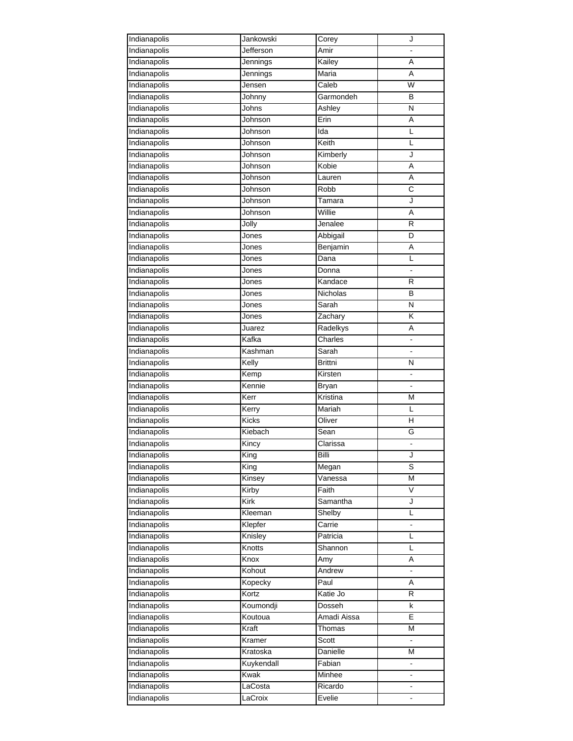| Indianapolis | Jankowski  | Corey           | J                       |
|--------------|------------|-----------------|-------------------------|
| Indianapolis | Jefferson  | Amir            |                         |
| Indianapolis | Jennings   | Kailey          | A                       |
| Indianapolis | Jennings   | Maria           | A                       |
| Indianapolis | Jensen     | Caleb           | $\overline{\mathsf{W}}$ |
| Indianapolis | Johnny     | Garmondeh       | B                       |
| Indianapolis | Johns      | Ashley          | N                       |
| Indianapolis | Johnson    | Erin            | Α                       |
| Indianapolis | Johnson    | Ida             | L                       |
| Indianapolis | Johnson    | Keith           | L                       |
| Indianapolis | Johnson    | Kimberly        | J                       |
| Indianapolis | Johnson    | Kobie           | Α                       |
| Indianapolis | Johnson    | Lauren          | Α                       |
| Indianapolis | Johnson    | Robb            | C                       |
| Indianapolis | Johnson    | Tamara          | J                       |
| Indianapolis | Johnson    | Willie          | A                       |
| Indianapolis | Jolly      | Jenalee         | R                       |
| Indianapolis | Jones      | Abbigail        | D                       |
| Indianapolis | Jones      | Benjamin        | Α                       |
| Indianapolis | Jones      | Dana            | L                       |
| Indianapolis | Jones      | Donna           | $\frac{1}{2}$           |
| Indianapolis | Jones      | Kandace         | R                       |
| Indianapolis | Jones      | <b>Nicholas</b> | B                       |
| Indianapolis | Jones      | Sarah           | N                       |
|              |            |                 | Κ                       |
| Indianapolis | Jones      | Zachary         |                         |
| Indianapolis | Juarez     | Radelkys        | Α                       |
| Indianapolis | Kafka      | Charles         |                         |
| Indianapolis | Kashman    | Sarah           |                         |
| Indianapolis | Kelly      | Brittni         | Ν                       |
| Indianapolis | Kemp       | Kirsten         | $\frac{1}{2}$           |
| Indianapolis | Kennie     | <b>Bryan</b>    |                         |
| Indianapolis | Kerr       | Kristina        | M                       |
| Indianapolis | Kerry      | Mariah          | L                       |
| Indianapolis | Kicks      | Oliver          | н                       |
| Indianapolis | Kiebach    | Sean            | G                       |
| Indianapolis | Kincy      | Clarissa        |                         |
| Indianapolis | King       | Billi           | J                       |
| Indianapolis | King       | Megan           | S                       |
| Indianapolis | Kinsey     | Vanessa         | M                       |
| Indianapolis | Kirby      | Faith           | V                       |
| Indianapolis | Kirk       | Samantha        | J                       |
| Indianapolis | Kleeman    | Shelby          | L                       |
| Indianapolis | Klepfer    | Carrie          | $\frac{1}{2}$           |
| Indianapolis | Knisley    | Patricia        | L                       |
| Indianapolis | Knotts     | Shannon         | L                       |
| Indianapolis | Knox       | Amy             | Α                       |
| Indianapolis | Kohout     | Andrew          | ۰                       |
| Indianapolis | Kopecky    | Paul            | Α                       |
| Indianapolis | Kortz      | Katie Jo        | R                       |
| Indianapolis | Koumondji  | Dosseh          | k                       |
| Indianapolis | Koutoua    | Amadi Aissa     | E                       |
| Indianapolis | Kraft      | Thomas          | M                       |
| Indianapolis | Kramer     | Scott           |                         |
| Indianapolis | Kratoska   | Danielle        | Μ                       |
| Indianapolis | Kuykendall | Fabian          | ä,                      |
| Indianapolis | Kwak       | Minhee          |                         |
| Indianapolis | LaCosta    | Ricardo         |                         |
| Indianapolis | LaCroix    | Evelie          |                         |
|              |            |                 |                         |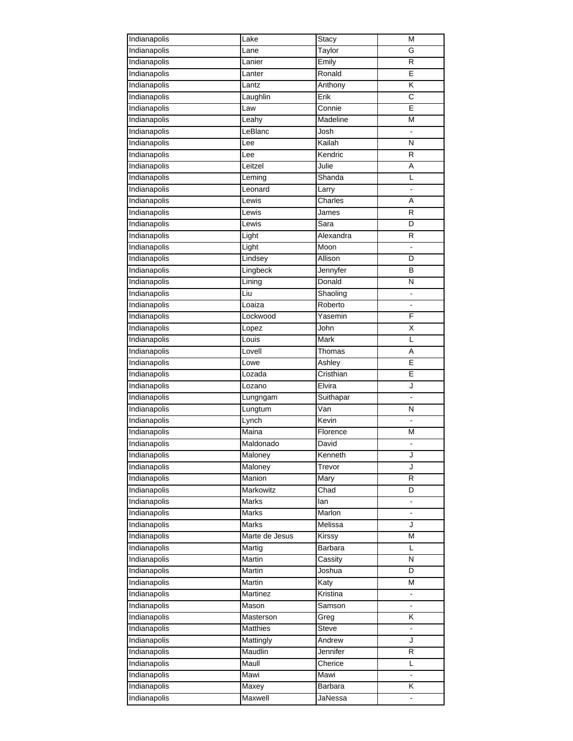| Indianapolis | Lake           | Stacy     | M              |
|--------------|----------------|-----------|----------------|
| Indianapolis | Lane           | Taylor    | G              |
| Indianapolis | Lanier         | Emily     | R              |
| Indianapolis | Lanter         | Ronald    | Ε              |
| Indianapolis | Lantz          | Anthony   | Κ              |
| Indianapolis | Laughlin       | Erik      | C              |
| Indianapolis | Law            | Connie    | E              |
| Indianapolis | Leahy          | Madeline  | M              |
| Indianapolis | LeBlanc        | Josh      |                |
| Indianapolis | Lee            | Kailah    | N              |
| Indianapolis | Lee            | Kendric   | R              |
| Indianapolis | Leitzel        | Julie     | Α              |
| Indianapolis | Leming         | Shanda    | L              |
| Indianapolis | Leonard        | Larry     | $\overline{a}$ |
| Indianapolis | Lewis          | Charles   | Α              |
| Indianapolis | Lewis          | James     | R              |
| Indianapolis | Lewis          |           | D              |
|              |                | Sara      |                |
| Indianapolis | Light          | Alexandra | R              |
| Indianapolis | Light          | Moon      | $\blacksquare$ |
| Indianapolis | Lindsey        | Allison   | D              |
| Indianapolis | Lingbeck       | Jennyfer  | В              |
| Indianapolis | Lining         | Donald    | N              |
| Indianapolis | Liu            | Shaoling  | $\overline{a}$ |
| Indianapolis | Loaiza         | Roberto   |                |
| Indianapolis | Lockwood       | Yasemin   | F              |
| Indianapolis | Lopez          | John      | X              |
| Indianapolis | Louis          | Mark      | L              |
| Indianapolis | Lovell         | Thomas    | Α              |
| Indianapolis | Lowe           | Ashley    | Е              |
| Indianapolis | Lozada         | Cristhian | E              |
| Indianapolis | Lozano         | Elvira    | J              |
| Indianapolis | Lungngam       | Suithapar |                |
| Indianapolis | Lungtum        | Van       | N              |
| Indianapolis | Lynch          | Kevin     | $\blacksquare$ |
| Indianapolis | Maina          | Florence  | M              |
| Indianapolis | Maldonado      | David     | $\blacksquare$ |
| Indianapolis | Maloney        | Kenneth   | J              |
| Indianapolis | Maloney        | Trevor    | J              |
| Indianapolis | Manion         | Mary      | R              |
| Indianapolis | Markowitz      | Chad      | D              |
| Indianapolis | Marks          | lan       |                |
| Indianapolis | Marks          | Marlon    |                |
| Indianapolis | Marks          | Melissa   | J              |
| Indianapolis | Marte de Jesus | Kirssy    | M              |
| Indianapolis | Martig         | Barbara   | L              |
| Indianapolis | Martin         | Cassity   | N              |
| Indianapolis | Martin         | Joshua    | D              |
| Indianapolis | Martin         | Katy      | M              |
| Indianapolis | Martinez       | Kristina  | $\blacksquare$ |
| Indianapolis | Mason          | Samson    |                |
| Indianapolis | Masterson      | Greg      | Κ              |
| Indianapolis | Matthies       | Steve     | $\blacksquare$ |
| Indianapolis | Mattingly      | Andrew    | J              |
| Indianapolis | Maudlin        | Jennifer  | R              |
| Indianapolis | Maull          | Cherice   | L              |
| Indianapolis | Mawi           |           | ä,             |
|              |                | Mawi      | Κ              |
| Indianapolis | Maxey          | Barbara   |                |
| Indianapolis | Maxwell        | JaNessa   |                |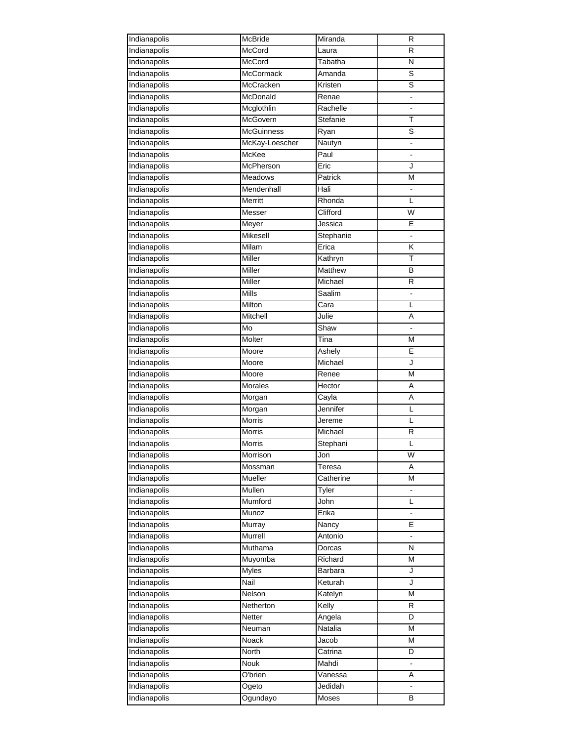| Indianapolis | McBride           | Miranda   | R                            |
|--------------|-------------------|-----------|------------------------------|
| Indianapolis | McCord            | Laura     | $\overline{R}$               |
| Indianapolis | McCord            | Tabatha   | N                            |
| Indianapolis | <b>McCormack</b>  | Amanda    | S                            |
| Indianapolis | McCracken         | Kristen   | S                            |
| Indianapolis | McDonald          | Renae     |                              |
| Indianapolis | Mcglothlin        | Rachelle  |                              |
| Indianapolis | McGovern          | Stefanie  | T                            |
| Indianapolis | <b>McGuinness</b> | Ryan      | S                            |
| Indianapolis | McKay-Loescher    | Nautyn    | $\frac{1}{2}$                |
| Indianapolis | McKee             | Paul      |                              |
| Indianapolis | McPherson         | Eric      | J                            |
| Indianapolis | Meadows           | Patrick   | M                            |
| Indianapolis | Mendenhall        | Hali      | $\qquad \qquad \blacksquare$ |
| Indianapolis | Merritt           | Rhonda    | L                            |
| Indianapolis | Messer            | Clifford  | W                            |
| Indianapolis | Meyer             | Jessica   | E                            |
| Indianapolis | Mikesell          | Stephanie | $\blacksquare$               |
| Indianapolis | Milam             | Erica     | K                            |
| Indianapolis | Miller            | Kathryn   | T                            |
| Indianapolis | Miller            | Matthew   | в                            |
| Indianapolis | Miller            | Michael   | R                            |
| Indianapolis | Mills             | Saalim    |                              |
| Indianapolis | Milton            | Cara      | L                            |
|              | Mitchell          |           |                              |
| Indianapolis |                   | Julie     | Α                            |
| Indianapolis | Mo                | Shaw      |                              |
| Indianapolis | Molter            | Tina      | M                            |
| Indianapolis | Moore             | Ashely    | E                            |
| Indianapolis | Moore             | Michael   | J                            |
| Indianapolis | Moore             | Renee     | M                            |
| Indianapolis | Morales           | Hector    | A                            |
| Indianapolis | Morgan            | Cayla     | Α                            |
| Indianapolis | Morgan            | Jennifer  | L                            |
| Indianapolis | <b>Morris</b>     | Jereme    | L                            |
| Indianapolis | <b>Morris</b>     | Michael   | R                            |
| Indianapolis | Morris            | Stephani  | L                            |
| Indianapolis | Morrison          | Jon       | W                            |
| Indianapolis | Mossman           | Teresa    | A                            |
| Indianapolis | Mueller           | Catherine | M                            |
| Indianapolis | Mullen            | Tyler     |                              |
| Indianapolis | Mumford           | John      | L                            |
| Indianapolis | Munoz             | Erika     | ä,                           |
| Indianapolis | Murray            | Nancy     | Е                            |
| Indianapolis | Murrell           | Antonio   |                              |
| Indianapolis | Muthama           | Dorcas    | N                            |
| Indianapolis | Muyomba           | Richard   | M                            |
| Indianapolis | <b>Myles</b>      | Barbara   | J                            |
| Indianapolis | Nail              | Keturah   | J                            |
| Indianapolis | <b>Nelson</b>     | Katelyn   | M                            |
| Indianapolis | Netherton         | Kelly     | R                            |
| Indianapolis | Netter            | Angela    | D                            |
| Indianapolis | Neuman            | Natalia   | M                            |
| Indianapolis | Noack             | Jacob     | M                            |
| Indianapolis | North             | Catrina   | D                            |
| Indianapolis | Nouk              | Mahdi     | $\blacksquare$               |
| Indianapolis | O'brien           | Vanessa   | A                            |
| Indianapolis | Ogeto             | Jedidah   |                              |
| Indianapolis |                   | Moses     | в                            |
|              | Ogundayo          |           |                              |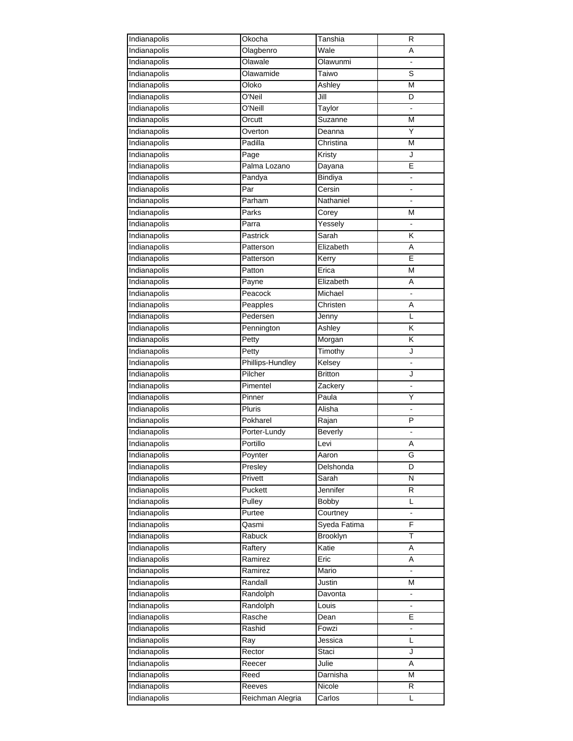| Indianapolis | Okocha           | Tanshia        | R                            |
|--------------|------------------|----------------|------------------------------|
| Indianapolis | Olagbenro        | Wale           | A                            |
| Indianapolis | Olawale          | Olawunmi       |                              |
| Indianapolis | Olawamide        | Taiwo          | S                            |
| Indianapolis | Oloko            | Ashley         | M                            |
| Indianapolis | O'Neil           | Jill           | D                            |
| Indianapolis | O'Neill          | Taylor         |                              |
| Indianapolis | Orcutt           | Suzanne        | M                            |
| Indianapolis | Overton          | Deanna         | Y                            |
| Indianapolis | Padilla          | Christina      | M                            |
| Indianapolis | Page             | Kristy         | J                            |
| Indianapolis | Palma Lozano     | Dayana         | Е                            |
| Indianapolis | Pandya           | Bindiya        | ÷,                           |
| Indianapolis | Par              | Cersin         |                              |
| Indianapolis | Parham           | Nathaniel      |                              |
| Indianapolis | Parks            | Corey          | M                            |
| Indianapolis | Parra            | Yessely        | ÷.                           |
| Indianapolis | Pastrick         | Sarah          | K                            |
| Indianapolis | Patterson        | Elizabeth      | A                            |
| Indianapolis |                  | Kerry          | E                            |
|              | Patterson        | Erica          |                              |
| Indianapolis | Patton           |                | М                            |
| Indianapolis | Payne            | Elizabeth      | A                            |
| Indianapolis | Peacock          | Michael        |                              |
| Indianapolis | Peapples         | Christen       | Α                            |
| Indianapolis | Pedersen         | Jenny          | L                            |
| Indianapolis | Pennington       | Ashley         | Κ                            |
| Indianapolis | Petty            | Morgan         | Κ                            |
| Indianapolis | Petty            | Timothy        | J                            |
| Indianapolis | Phillips-Hundley | Kelsey         | $\qquad \qquad \blacksquare$ |
| Indianapolis | Pilcher          | <b>Britton</b> | J                            |
| Indianapolis | Pimentel         | Zackery        |                              |
| Indianapolis | Pinner           | Paula          | Υ                            |
| Indianapolis | Pluris           | Alisha         |                              |
| Indianapolis | Pokharel         | Rajan          | P                            |
| Indianapolis | Porter-Lundy     | <b>Beverly</b> | $\frac{1}{2}$                |
| Indianapolis | Portillo         | Levi           | Α                            |
| Indianapolis | Poynter          | Aaron          | G                            |
| Indianapolis | Presley          | Delshonda      | D                            |
| Indianapolis | Privett          | Sarah          | N                            |
| Indianapolis | Puckett          | Jennifer       | R                            |
| Indianapolis | Pulley           | Bobby          | L                            |
| Indianapolis | Purtee           | Courtney       | ÷.                           |
| Indianapolis | Qasmi            | Syeda Fatima   | F                            |
| Indianapolis | Rabuck           | Brooklyn       | Т                            |
| Indianapolis | Raftery          | Katie          | A                            |
| Indianapolis | Ramirez          | Eric           | Α                            |
| Indianapolis | Ramirez          | Mario          | $\blacksquare$               |
| Indianapolis | Randall          | Justin         | M                            |
| Indianapolis | Randolph         | Davonta        |                              |
| Indianapolis | Randolph         | Louis          | ÷,                           |
| Indianapolis | Rasche           | Dean           | E                            |
| Indianapolis | Rashid           | Fowzi          | $\frac{1}{2}$                |
| Indianapolis | Ray              | Jessica        | L                            |
| Indianapolis | Rector           | Staci          | J                            |
| Indianapolis | Reecer           | Julie          | A                            |
| Indianapolis | Reed             | Darnisha       | M                            |
| Indianapolis | Reeves           | Nicole         | R                            |
| Indianapolis | Reichman Alegria | Carlos         | L                            |
|              |                  |                |                              |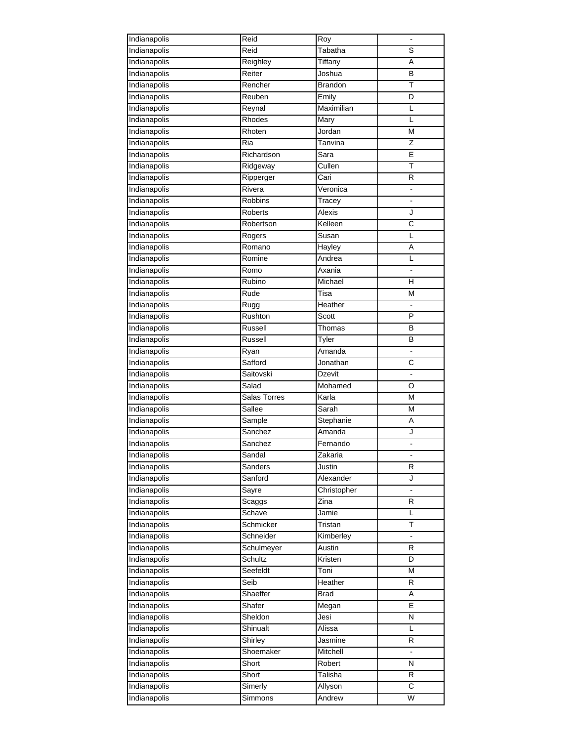| Indianapolis | Reid         | Roy            |                              |
|--------------|--------------|----------------|------------------------------|
| Indianapolis | Reid         | Tabatha        | S                            |
| Indianapolis | Reighley     | Tiffany        | A                            |
| Indianapolis | Reiter       | Joshua         | В                            |
| Indianapolis | Rencher      | <b>Brandon</b> | Ŧ                            |
| Indianapolis | Reuben       | Emily          | D                            |
| Indianapolis | Reynal       | Maximilian     | L                            |
| Indianapolis | Rhodes       | Mary           | L                            |
| Indianapolis | Rhoten       | Jordan         | M                            |
| Indianapolis | Ria          | Tanvina        | Z                            |
| Indianapolis | Richardson   | Sara           | E                            |
| Indianapolis | Ridgeway     | Cullen         | Τ                            |
| Indianapolis | Ripperger    | Cari           | R                            |
| Indianapolis | Rivera       | Veronica       |                              |
| Indianapolis | Robbins      | Tracey         |                              |
| Indianapolis | Roberts      | Alexis         | J                            |
| Indianapolis | Robertson    | Kelleen        | C                            |
| Indianapolis | Rogers       | Susan          | L                            |
| Indianapolis | Romano       | Hayley         | Α                            |
| Indianapolis | Romine       | Andrea         | L                            |
| Indianapolis | Romo         |                |                              |
|              |              | Axania         |                              |
| Indianapolis | Rubino       | Michael        | н                            |
| Indianapolis | Rude         | Tisa           | M                            |
| Indianapolis | Rugg         | Heather        |                              |
| Indianapolis | Rushton      | Scott          | $\overline{P}$               |
| Indianapolis | Russell      | Thomas         | B                            |
| Indianapolis | Russell      | Tyler          | В                            |
| Indianapolis | Ryan         | Amanda         | $\qquad \qquad \blacksquare$ |
| Indianapolis | Safford      | Jonathan       | С                            |
| Indianapolis | Saitovski    | Dzevit         |                              |
| Indianapolis | Salad        | Mohamed        | O                            |
| Indianapolis | Salas Torres | Karla          | M                            |
| Indianapolis | Sallee       | Sarah          | M                            |
| Indianapolis | Sample       | Stephanie      | Α                            |
| Indianapolis | Sanchez      | Amanda         | J                            |
| Indianapolis | Sanchez      | Fernando       |                              |
| Indianapolis | Sandal       | Zakaria        |                              |
| Indianapolis | Sanders      | Justin         | R                            |
| Indianapolis | Sanford      | Alexander      | J                            |
| Indianapolis | Sayre        | Christopher    |                              |
| Indianapolis | Scaggs       | Zina           | R                            |
| Indianapolis | Schave       | Jamie          | L                            |
| Indianapolis | Schmicker    | Tristan        | Т                            |
| Indianapolis | Schneider    | Kimberley      | ۰                            |
| Indianapolis | Schulmeyer   | Austin         | R                            |
| Indianapolis | Schultz      | Kristen        | D                            |
| Indianapolis | Seefeldt     | Toni           | M                            |
| Indianapolis | Seib         | Heather        | R                            |
| Indianapolis | Shaeffer     | <b>Brad</b>    | Α                            |
| Indianapolis | Shafer       | Megan          | E                            |
| Indianapolis | Sheldon      | Jesi           | N                            |
| Indianapolis | Shinualt     | Alissa         | L                            |
| Indianapolis | Shirley      |                | R                            |
|              |              | Jasmine        |                              |
| Indianapolis | Shoemaker    | Mitchell       | $\blacksquare$               |
| Indianapolis | Short        | Robert         | N                            |
| Indianapolis | Short        | Talisha        | R                            |
| Indianapolis | Simerly      | Allyson        | $\overline{C}$               |
| Indianapolis | Simmons      | Andrew         | W                            |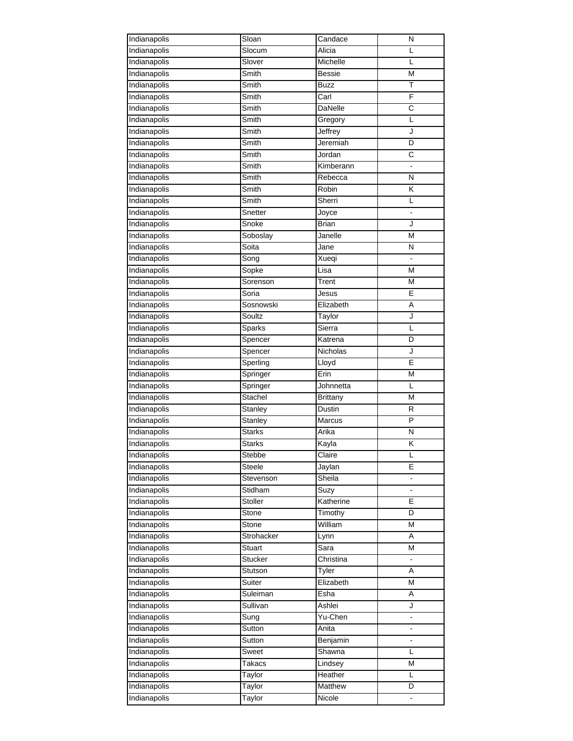| Indianapolis | Sloan         | Candace         | N                     |
|--------------|---------------|-----------------|-----------------------|
| Indianapolis | Slocum        | Alicia          | L                     |
| Indianapolis | Slover        | Michelle        | L                     |
| Indianapolis | Smith         | <b>Bessie</b>   | M                     |
| Indianapolis | Smith         | <b>Buzz</b>     | T                     |
| Indianapolis | Smith         | Carl            | F                     |
| Indianapolis | Smith         | DaNelle         | $\overline{\text{c}}$ |
| Indianapolis | Smith         | Gregory         | L                     |
| Indianapolis | Smith         | Jeffrey         | J                     |
| Indianapolis | Smith         | Jeremiah        | D                     |
| Indianapolis | Smith         | Jordan          | C                     |
| Indianapolis | Smith         | Kimberann       |                       |
| Indianapolis | Smith         | Rebecca         | N                     |
| Indianapolis | Smith         | Robin           | Κ                     |
| Indianapolis | Smith         | Sherri          | L                     |
| Indianapolis | Snetter       | Joyce           | $\blacksquare$        |
| Indianapolis | Snoke         | <b>Brian</b>    | J                     |
| Indianapolis | Soboslay      | Janelle         | M                     |
| Indianapolis | Soita         | Jane            | N                     |
| Indianapolis | Song          | Xueqi           |                       |
| Indianapolis | Sopke         | Lisa            | М                     |
| Indianapolis |               |                 | M                     |
|              | Sorenson      | Trent           |                       |
| Indianapolis | Soria         | Jesus           | E                     |
| Indianapolis | Sosnowski     | Elizabeth       | Α                     |
| Indianapolis | Soultz        | Taylor          | J                     |
| Indianapolis | Sparks        | Sierra          | L                     |
| Indianapolis | Spencer       | Katrena         | D                     |
| Indianapolis | Spencer       | Nicholas        | J                     |
| Indianapolis | Sperling      | Lloyd           | E                     |
| Indianapolis | Springer      | Erin            | M                     |
| Indianapolis | Springer      | Johnnetta       | L                     |
| Indianapolis | Stachel       | <b>Brittany</b> | M                     |
| Indianapolis | Stanley       | Dustin          | R                     |
| Indianapolis | Stanley       | <b>Marcus</b>   | P                     |
| Indianapolis | <b>Starks</b> | Arika           | N                     |
| Indianapolis | <b>Starks</b> | Kayla           | Κ                     |
| Indianapolis | Stebbe        | Claire          | L                     |
| Indianapolis | Steele        | Jaylan          | Е                     |
| Indianapolis | Stevenson     | Sheila          |                       |
| Indianapolis | Stidham       | Suzy            |                       |
| Indianapolis | Stoller       | Katherine       | E                     |
| Indianapolis | Stone         | Timothy         | D                     |
| Indianapolis | Stone         | William         | M                     |
| Indianapolis | Strohacker    | Lynn            | Α                     |
| Indianapolis | Stuart        | Sara            | Μ                     |
| Indianapolis | Stucker       | Christina       | $\blacksquare$        |
| Indianapolis | Stutson       | Tyler           | Α                     |
| Indianapolis | Suiter        | Elizabeth       | M                     |
| Indianapolis | Suleiman      | Esha            | Α                     |
| Indianapolis | Sullivan      | Ashlei          | J                     |
| Indianapolis | Sung          | Yu-Chen         | $\blacksquare$        |
| Indianapolis | Sutton        | Anita           | ÷.                    |
| Indianapolis | Sutton        | Benjamin        |                       |
| Indianapolis | Sweet         | Shawna          | L                     |
| Indianapolis | Takacs        | Lindsey         | M                     |
| Indianapolis |               | Heather         | L                     |
|              | Taylor        |                 |                       |
| Indianapolis | Taylor        | Matthew         | D                     |
| Indianapolis | Taylor        | Nicole          |                       |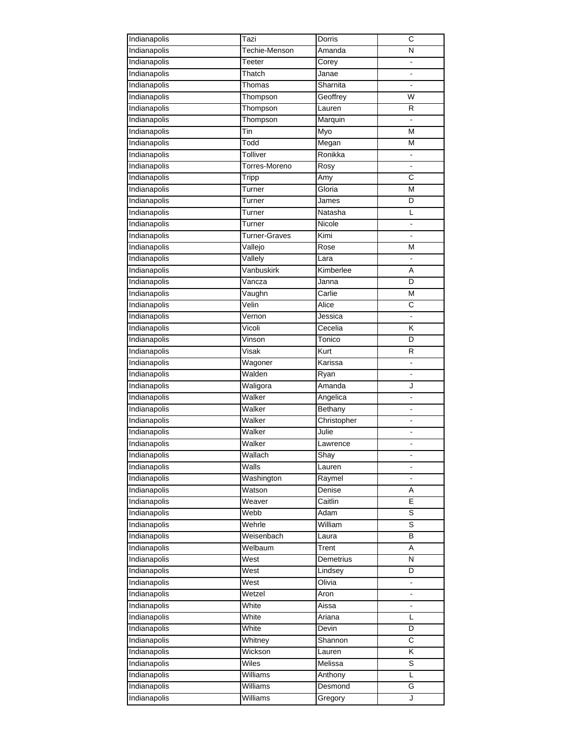| Indianapolis | Tazi          | Dorris      | С                     |
|--------------|---------------|-------------|-----------------------|
| Indianapolis | Techie-Menson | Amanda      | N                     |
| Indianapolis | Teeter        | Corey       | $\blacksquare$        |
| Indianapolis | Thatch        | Janae       |                       |
| Indianapolis | Thomas        | Sharnita    |                       |
| Indianapolis | Thompson      | Geoffrey    | W                     |
| Indianapolis | Thompson      | Lauren      | R                     |
| Indianapolis | Thompson      | Marquin     |                       |
| Indianapolis | Tin           | Myo         | M                     |
| Indianapolis | Todd          | Megan       | Μ                     |
| Indianapolis | Tolliver      | Ronikka     | ۰                     |
| Indianapolis | Torres-Moreno | Rosy        | $\blacksquare$        |
| Indianapolis | Tripp         | Amy         | С                     |
| Indianapolis | Turner        | Gloria      | M                     |
| Indianapolis | Turner        | James       | D                     |
| Indianapolis | Turner        | Natasha     | L                     |
| Indianapolis | Turner        | Nicole      | ÷,                    |
| Indianapolis | Turner-Graves | Kimi        |                       |
| Indianapolis | Vallejo       | Rose        |                       |
| Indianapolis |               |             | М<br>$\overline{a}$   |
|              | Vallely       | Lara        |                       |
| Indianapolis | Vanbuskirk    | Kimberlee   | Α                     |
| Indianapolis | Vancza        | Janna       | D                     |
| Indianapolis | Vaughn        | Carlie      | M                     |
| Indianapolis | Velin         | Alice       | $\overline{\text{c}}$ |
| Indianapolis | Vernon        | Jessica     |                       |
| Indianapolis | Vicoli        | Cecelia     | Κ                     |
| Indianapolis | Vinson        | Tonico      | D                     |
| Indianapolis | Visak         | Kurt        | R                     |
| Indianapolis | Wagoner       | Karissa     | $\overline{a}$        |
| Indianapolis | Walden        | Ryan        |                       |
| Indianapolis | Waligora      | Amanda      | J                     |
| Indianapolis | Walker        | Angelica    | $\blacksquare$        |
| Indianapolis | Walker        | Bethany     |                       |
| Indianapolis | Walker        | Christopher | ÷.                    |
| Indianapolis | Walker        | Julie       |                       |
| Indianapolis | Walker        | Lawrence    |                       |
| Indianapolis | Wallach       | Shay        |                       |
| Indianapolis | Walls         | Lauren      |                       |
| Indianapolis | Washington    | Raymel      |                       |
| Indianapolis | Watson        | Denise      | Α                     |
| Indianapolis | Weaver        | Caitlin     | E                     |
| Indianapolis | Webb          | Adam        | S                     |
| Indianapolis | Wehrle        | William     | S                     |
| Indianapolis | Weisenbach    | Laura       | В                     |
| Indianapolis | Welbaum       | Trent       | Α                     |
| Indianapolis | West          | Demetrius   | N                     |
| Indianapolis | West          | Lindsey     | D                     |
| Indianapolis | West          | Olivia      | $\frac{1}{2}$         |
| Indianapolis | Wetzel        | Aron        | ۰                     |
| Indianapolis | White         | Aissa       | $\blacksquare$        |
| Indianapolis | White         | Ariana      | L                     |
| Indianapolis | White         | Devin       | D                     |
| Indianapolis | Whitney       | Shannon     | $\overline{C}$        |
| Indianapolis | Wickson       | Lauren      | K                     |
| Indianapolis | Wiles         | Melissa     | S                     |
| Indianapolis | Williams      | Anthony     | L                     |
| Indianapolis | Williams      | Desmond     | G                     |
| Indianapolis | Williams      | Gregory     | J                     |
|              |               |             |                       |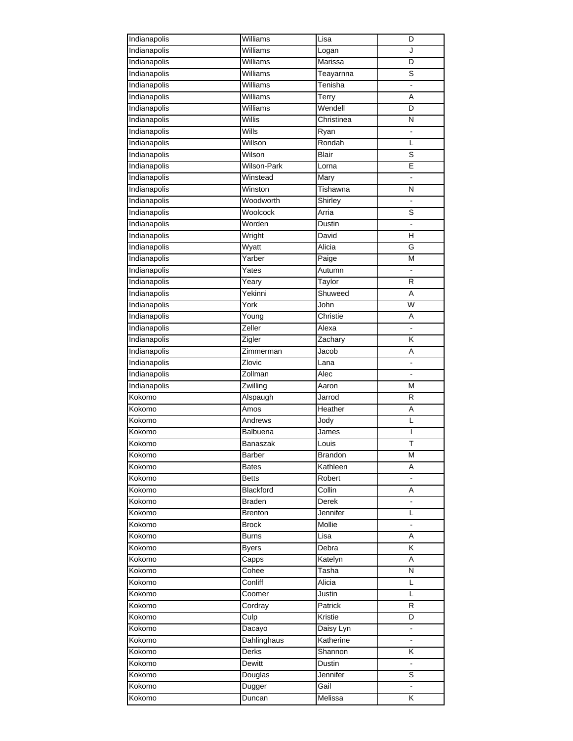| Indianapolis | Williams      | Lisa           | D                       |
|--------------|---------------|----------------|-------------------------|
| Indianapolis | Williams      | Logan          | J                       |
| Indianapolis | Williams      | Marissa        | D                       |
| Indianapolis | Williams      | Teayarnna      | S                       |
| Indianapolis | Williams      | Tenisha        |                         |
| Indianapolis | Williams      | Terry          | A                       |
| Indianapolis | Williams      | Wendell        | D                       |
| Indianapolis | Willis        | Christinea     | N                       |
| Indianapolis | Wills         | Ryan           | ۰                       |
| Indianapolis | Willson       | Rondah         | L                       |
| Indianapolis | Wilson        | Blair          | S                       |
| Indianapolis | Wilson-Park   | Lorna          | E                       |
| Indianapolis | Winstead      | Mary           | $\blacksquare$          |
| Indianapolis | Winston       | Tishawna       | N                       |
| Indianapolis | Woodworth     | Shirley        |                         |
| Indianapolis | Woolcock      | Arria          | S                       |
| Indianapolis | Worden        | Dustin         | $\blacksquare$          |
|              |               |                | H                       |
| Indianapolis | Wright        | David          |                         |
| Indianapolis | Wyatt         | Alicia         | G                       |
| Indianapolis | Yarber        | Paige          | М                       |
| Indianapolis | Yates         | Autumn         |                         |
| Indianapolis | Yeary         | Taylor         | R                       |
| Indianapolis | Yekinni       | Shuweed        | Α                       |
| Indianapolis | York          | John           | $\overline{\mathsf{W}}$ |
| Indianapolis | Young         | Christie       | A                       |
| Indianapolis | Zeller        | Alexa          |                         |
| Indianapolis | Zigler        | Zachary        | Κ                       |
| Indianapolis | Zimmerman     | Jacob          | Α                       |
| Indianapolis | Zlovic        | Lana           | ä,                      |
| Indianapolis | Zollman       | Alec           |                         |
| Indianapolis | Zwilling      | Aaron          | M                       |
| Kokomo       | Alspaugh      | Jarrod         | R                       |
| Kokomo       | Amos          | Heather        | Α                       |
| Kokomo       | Andrews       | Jody           | Г                       |
| Kokomo       | Balbuena      | James          | T                       |
| Kokomo       | Banaszak      | Louis          | Т                       |
| Kokomo       | Barber        | <b>Brandon</b> | M                       |
| Kokomo       | <b>Bates</b>  | Kathleen       | A                       |
| Kokomo       | <b>Betts</b>  | Robert         |                         |
| Kokomo       | Blackford     | Collin         | Α                       |
| Kokomo       | <b>Braden</b> | Derek          |                         |
| Kokomo       | Brenton       | Jennifer       | Г                       |
| Kokomo       | <b>Brock</b>  | Mollie         | L,                      |
| Kokomo       | Burns         | Lisa           | Α                       |
| Kokomo       | <b>Byers</b>  | Debra          | Κ                       |
| Kokomo       | Capps         | Katelyn        | Α                       |
| Kokomo       | Cohee         | Tasha          | N                       |
| Kokomo       | Conliff       | Alicia         | L                       |
| Kokomo       | Coomer        | Justin         | L                       |
| Kokomo       | Cordray       | Patrick        | $\mathsf{R}$            |
| Kokomo       | Culp          | Kristie        | D                       |
| Kokomo       | Dacayo        | Daisy Lyn      |                         |
| Kokomo       | Dahlinghaus   | Katherine      | ÷,                      |
| Kokomo       | Derks         | Shannon        | K                       |
| Kokomo       | Dewitt        | Dustin         |                         |
| Kokomo       | Douglas       | Jennifer       | S                       |
| Kokomo       | Dugger        | Gail           |                         |
| Kokomo       | Duncan        | Melissa        | Κ                       |
|              |               |                |                         |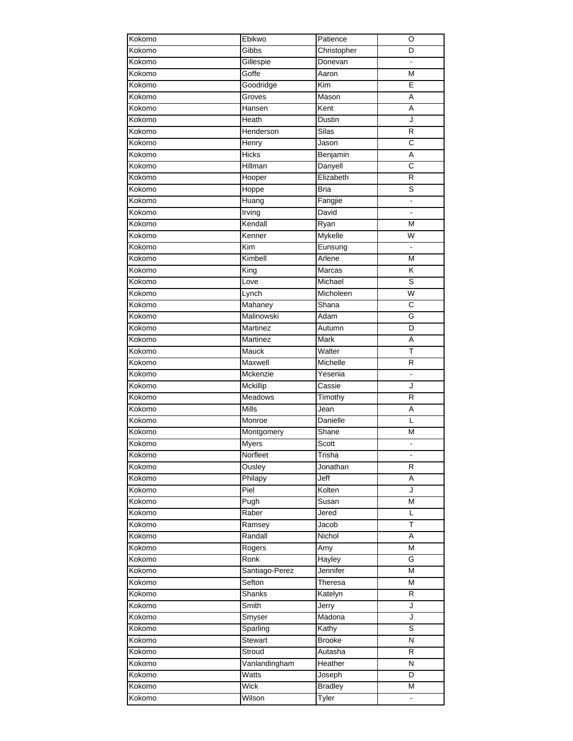| Kokomo | Ebikwo             | Patience       | O                       |
|--------|--------------------|----------------|-------------------------|
| Kokomo | Gibbs              | Christopher    | D                       |
| Kokomo | Gillespie          | Donevan        | $\blacksquare$          |
| Kokomo | Goffe              | Aaron          | M                       |
| Kokomo | Goodridge          | Kim            | Ē                       |
| Kokomo | Groves             | Mason          | A                       |
| Kokomo | Hansen             | Kent           | Α                       |
| Kokomo | Heath              | Dustin         | J                       |
| Kokomo | Henderson          | Silas          | $\mathsf R$             |
| Kokomo | Henry              | Jason          | C                       |
| Kokomo | <b>Hicks</b>       | Benjamin       | Α                       |
| Kokomo | Hillman            | Danyell        | C                       |
| Kokomo | Hooper             | Elizabeth      | $\mathsf{R}$            |
| Kokomo | Hoppe              | <b>Bria</b>    | S                       |
| Kokomo |                    |                |                         |
|        | Huang              | Fangjie        |                         |
| Kokomo | Irving             | David          |                         |
| Kokomo | Kendall            | Ryan           | M                       |
| Kokomo | Kenner             | <b>Mykelle</b> | W                       |
| Kokomo | Kim                | Eunsung        | $\overline{a}$          |
| Kokomo | Kimbell            | Arlene         | M                       |
| Kokomo | King               | Marcas         | Κ                       |
| Kokomo | Love               | Michael        | S                       |
| Kokomo | Lynch              | Micholeen      | $\overline{\mathsf{w}}$ |
| Kokomo | Mahaney            | Shana          | $\overline{\text{c}}$   |
| Kokomo | Malinowski         | Adam           | G                       |
| Kokomo | Martinez           | Autumn         | D                       |
| Kokomo | Martinez           | Mark           | A                       |
| Kokomo | Mauck              | Walter         | Τ                       |
| Kokomo | Maxwell            | Michelle       | $\mathsf{R}$            |
| Kokomo | Mckenzie           | Yesenia        | $\blacksquare$          |
| Kokomo | <b>Mckillip</b>    | Cassie         | J                       |
| Kokomo | <b>Meadows</b>     | Timothy        | $\mathsf{R}$            |
| Kokomo | Mills              | Jean           | Α                       |
| Kokomo | Monroe             | Danielle       | L                       |
| Kokomo | Montgomery         | Shane          | M                       |
| Kokomo | Myers              | Scott          | L.                      |
| Kokomo | Norfleet           | Trisha         |                         |
| Kokomo | Ousley             | Jonathan       | R                       |
| Kokomo | Philapy            | Jeff           | A                       |
| Kokomo | Piel               | Kolten         | J                       |
| Kokomo | $\overline{P}$ ugh | Susan          | M                       |
| Kokomo | Raber              | Jered          | L                       |
| Kokomo | Ramsey             | Jacob          | T                       |
| Kokomo | Randall            | Nichol         | Α                       |
| Kokomo | Rogers             | Amy            | M                       |
| Kokomo | Ronk               | Hayley         | G                       |
| Kokomo | Santiago-Perez     | Jennifer       | M                       |
| Kokomo | Sefton             | Theresa        | M                       |
| Kokomo | Shanks             | Katelyn        | R                       |
| Kokomo | Smith              | Jerry          | J                       |
| Kokomo | Smyser             | Madona         | J                       |
| Kokomo | Sparling           | Kathy          | ड                       |
| Kokomo | Stewart            | <b>Brooke</b>  | N                       |
| Kokomo | Stroud             | Autasha        | $\overline{R}$          |
| Kokomo | Vanlandingham      | Heather        | N                       |
| Kokomo | Watts              | Joseph         | D                       |
| Kokomo | Wick               | <b>Bradley</b> | M                       |
| Kokomo | Wilson             | Tyler          |                         |
|        |                    |                |                         |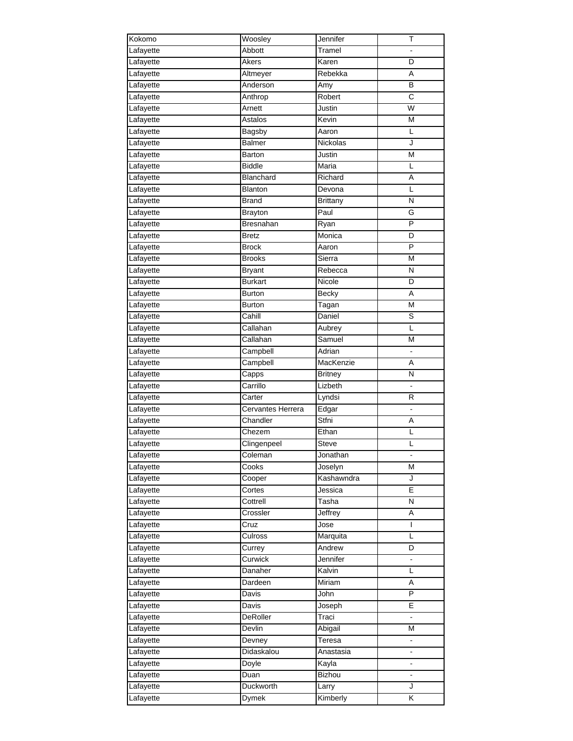| Kokomo    | Woosley           | Jennifer        | Τ                            |
|-----------|-------------------|-----------------|------------------------------|
| Lafayette | Abbott            | Tramel          |                              |
| Lafayette | Akers             | Karen           | D                            |
| Lafayette | Altmeyer          | Rebekka         | A                            |
| Lafayette | Anderson          | Amy             | B                            |
| Lafayette | Anthrop           | Robert          | C                            |
| Lafayette | Arnett            | Justin          | W                            |
| Lafayette | Astalos           | Kevin           | M                            |
| Lafayette | Bagsby            | Aaron           | L                            |
| Lafayette | Balmer            | Nickolas        | J                            |
| Lafayette | Barton            | Justin          | M                            |
| Lafayette | <b>Biddle</b>     | Maria           | L                            |
| Lafayette | Blanchard         | Richard         | Α                            |
| Lafayette | Blanton           | Devona          | L                            |
| Lafayette | Brand             | <b>Brittany</b> | $\mathsf{N}$                 |
| Lafayette | Brayton           | Paul            | G                            |
| Lafayette | Bresnahan         | Ryan            | P                            |
|           | <b>Bretz</b>      | Monica          | D                            |
| Lafayette |                   |                 | P                            |
| Lafayette | <b>Brock</b>      | Aaron           |                              |
| Lafayette | <b>Brooks</b>     | Sierra          | M                            |
| Lafayette | <b>Bryant</b>     | Rebecca         | $\mathsf{N}$                 |
| Lafayette | <b>Burkart</b>    | Nicole          | D                            |
| Lafayette | Burton            | Becky           | Α                            |
| Lafayette | Burton            | Tagan           | M                            |
| Lafayette | Cahill            | Daniel          | S                            |
| Lafayette | Callahan          | Aubrey          | L                            |
| Lafayette | Callahan          | Samuel          | M                            |
| Lafayette | Campbell          | Adrian          | $\overline{\phantom{a}}$     |
| Lafayette | Campbell          | MacKenzie       | Α                            |
| Lafayette | Capps             | <b>Britney</b>  | N                            |
| Lafayette | Carrillo          | Lizbeth         |                              |
| Lafayette | Carter            | Lyndsi          | $\mathsf{R}$                 |
| Lafayette | Cervantes Herrera | Edgar           | ä,                           |
| Lafayette | Chandler          | Stfni           | A                            |
| Lafayette | Chezem            | Ethan           | L                            |
| Lafayette | Clingenpeel       | Steve           | L                            |
| Lafayette | Coleman           | Jonathan        |                              |
| Lafayette | Cooks             | Joselyn         | M                            |
| Lafayette | Cooper            | Kashawndra      | J                            |
| Lafayette | Cortes            | Jessica         | E                            |
| Lafayette | Cottrell          | Tasha           | N                            |
| Lafayette | Crossler          | Jeffrey         | Α                            |
| Lafayette | Cruz              | Jose            | I                            |
| Lafayette | Culross           | Marquita        | L                            |
| Lafayette | Currey            | Andrew          | D                            |
| Lafayette | Curwick           | Jennifer        | $\qquad \qquad \blacksquare$ |
| Lafayette | Danaher           | Kalvin          | L                            |
| Lafayette | Dardeen           | Miriam          | Α                            |
| Lafayette | Davis             | John            | $\overline{P}$               |
| Lafayette | Davis             | Joseph          | E                            |
| Lafayette | DeRoller          | Traci           | ä,                           |
| Lafayette | Devlin            | Abigail         | M                            |
| Lafayette | Devney            | Teresa          | $\blacksquare$               |
| Lafayette | Didaskalou        | Anastasia       | ä,                           |
| Lafayette | Doyle             | Kayla           |                              |
| Lafayette | Duan              | <b>Bizhou</b>   |                              |
| Lafayette | Duckworth         | Larry           | J                            |
| Lafayette | Dymek             | Kimberly        | Κ                            |
|           |                   |                 |                              |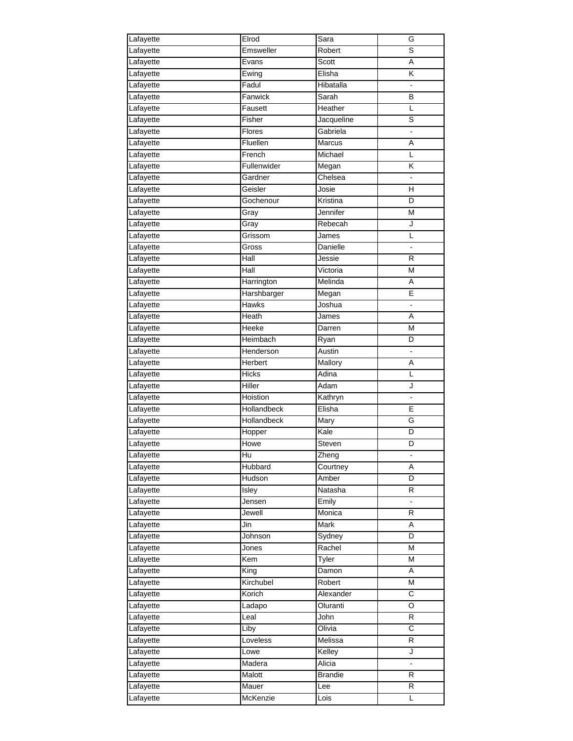| Lafayette | Elrod         | Sara           | G                            |
|-----------|---------------|----------------|------------------------------|
| Lafayette | Emsweller     | Robert         | S                            |
| Lafayette | Evans         | Scott          | Α                            |
| Lafayette | Ewing         | Elisha         | K                            |
| Lafayette | Fadul         | Hibatalla      |                              |
| Lafayette | Fanwick       | Sarah          | B                            |
| Lafayette | Fausett       | Heather        | Г                            |
| Lafayette | Fisher        | Jacqueline     | S                            |
| Lafayette | <b>Flores</b> | Gabriela       | ÷,                           |
| Lafayette | Fluellen      | Marcus         | Α                            |
| Lafayette | French        | Michael        | L                            |
| Lafayette | Fullenwider   | Megan          | Κ                            |
| Lafayette | Gardner       | Chelsea        | $\qquad \qquad \blacksquare$ |
| Lafayette | Geisler       | Josie          | н                            |
| Lafayette | Gochenour     | Kristina       | D                            |
| Lafayette | Gray          | Jennifer       | M                            |
| Lafayette | Gray          | Rebecah        | J                            |
| Lafayette | Grissom       | James          | L                            |
| Lafayette | Gross         | Danielle       | $\overline{\phantom{a}}$     |
| Lafayette | Hall          | Jessie         | R                            |
| Lafayette | Hall          | Victoria       | M                            |
|           | Harrington    | Melinda        | Α                            |
| Lafayette |               |                | E                            |
| Lafayette | Harshbarger   | Megan          |                              |
| Lafayette | Hawks         | Joshua         |                              |
| Lafayette | Heath         | James          | Α                            |
| Lafayette | <b>Heeke</b>  | Darren         | M                            |
| Lafayette | Heimbach      | Ryan           | D                            |
| Lafayette | Henderson     | Austin         | $\overline{\phantom{a}}$     |
| Lafayette | Herbert       | Mallory        | Α                            |
| Lafayette | <b>Hicks</b>  | Adina          | L                            |
| Lafayette | Hiller        | Adam           | J                            |
| Lafayette | Hoistion      | Kathryn        | $\overline{a}$               |
| Lafayette | Hollandbeck   | Elisha         | E                            |
| Lafayette | Hollandbeck   | Mary           | G                            |
| Lafayette | Hopper        | Kale           | D                            |
| Lafayette | Howe          | Steven         | D                            |
| Lafayette | Hu            | Zheng          |                              |
| Lafayette | Hubbard       | Courtney       | Α                            |
| Lafayette | Hudson        | Amber          | D                            |
| Lafayette | Isley         | Natasha        | R                            |
| Lafayette | Jensen        | Emily          |                              |
| Lafayette | Jewell        | Monica         | ${\sf R}$                    |
| Lafayette | Jin           | Mark           | Α                            |
| Lafayette | Johnson       | Sydney         | D                            |
| Lafayette | Jones         | Rachel         | M                            |
| Lafayette | Kem           | Tyler          | M                            |
| Lafayette | King          | Damon          | Α                            |
| Lafayette | Kirchubel     | Robert         | M                            |
| Lafayette | Korich        | Alexander      | $\overline{C}$               |
| Lafayette | Ladapo        | Oluranti       | $\overline{O}$               |
| Lafayette | Leal          | John           | $\mathsf{R}$                 |
| Lafayette | Liby          | Olivia         | $\overline{C}$               |
| Lafayette | Loveless      | Melissa        | $\mathsf{R}$                 |
| Lafayette | Lowe          | Kelley         | J                            |
| Lafayette | Madera        | Alicia         |                              |
| Lafayette | Malott        | <b>Brandie</b> | $\mathsf{R}$                 |
| Lafayette | Mauer         | Lee            | R                            |
| Lafayette | McKenzie      | Lois           | Г                            |
|           |               |                |                              |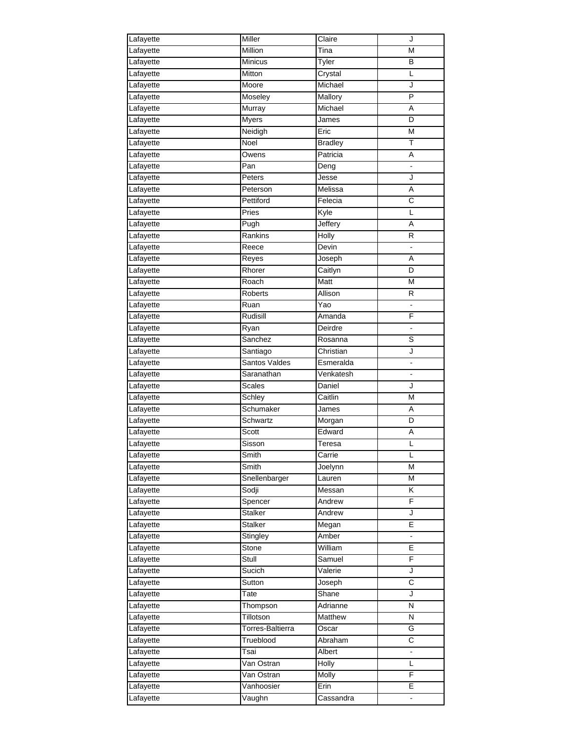| Million<br>M<br>Lafayette<br>Tina<br>B<br>Lafayette<br>Minicus<br>Tyler<br>Lafayette<br>Mitton<br>Crystal<br>L<br>Michael<br>Lafayette<br>Moore<br>J<br>P<br>Lafayette<br>Mallory<br>Moseley<br>Lafayette<br>Michael<br>Α<br>Murray<br>Lafayette<br>Myers<br>D<br>James<br>Lafayette<br>Neidigh<br>Eric<br>M<br>Τ<br>Lafayette<br>Noel<br><b>Bradley</b><br>Lafayette<br>Patricia<br>Α<br>Owens<br>Lafayette<br>Pan<br>Deng<br>$\qquad \qquad \blacksquare$<br>Lafayette<br>Peters<br>J<br>Jesse<br>Lafayette<br>Melissa<br>Peterson<br>Α<br>C<br>Lafayette<br>Pettiford<br>Felecia<br>Г<br>Pries<br>Kyle<br>Lafayette<br>Pugh<br>Jeffery<br>Α<br>Lafayette<br>Lafayette<br>Rankins<br>Holly<br>R<br>Lafayette<br>Reece<br>Devin<br>$\blacksquare$<br>Lafayette<br>Joseph<br>Α<br>Reyes<br>D<br>Rhorer<br>Caitlyn<br>Lafayette<br>Lafayette<br>Matt<br>M<br>Roach<br>$\mathsf{R}$<br>Lafayette<br>Roberts<br>Allison<br>Yao<br>Lafayette<br>Ruan<br>F<br>Lafayette<br>Rudisill<br>Amanda<br>Lafayette<br>Ryan<br>Deirdre<br>S<br>Lafayette<br>Sanchez<br>Rosanna<br>Lafayette<br>Christian<br>J<br>Santiago<br>Santos Valdes<br>Lafayette<br>Esmeralda<br>Venkatesh<br>Lafayette<br>Saranathan<br>J<br>Lafayette<br>Scales<br>Daniel<br>M<br>Lafayette<br>Schley<br>Caitlin<br>Lafayette<br>Schumaker<br>Α<br>James<br>D<br>Schwartz<br>Lafayette<br>Morgan<br>Lafayette<br>Scott<br>Edward<br>Α<br>Sisson<br>L<br>Lafayette<br>Teresa<br>Smith<br>Carrie<br>Lafayette<br>L<br>Smith<br>M<br>Lafayette<br>Joelynn<br>Lafayette<br>Snellenbarger<br>M<br>Lauren<br>Κ<br>Lafayette<br>Sodji<br>Messan<br>F<br>Lafayette<br>Spencer<br>Andrew<br><b>Stalker</b><br>Andrew<br>J<br>Lafayette<br>Lafayette<br><b>Stalker</b><br>Ε<br>Megan<br>Lafayette<br>Stingley<br>Amber<br>$\frac{1}{2}$<br>William<br>E<br>Lafayette<br>Stone<br>Stull<br>F<br>Lafayette<br>Samuel<br>Valerie<br>Lafayette<br>Sucich<br>J<br>$\mathbf C$<br>Lafayette<br>Sutton<br>Joseph<br>J<br>Lafayette<br>Tate<br>Shane<br>Adrianne<br>N<br>Lafayette<br>Thompson<br>Tillotson<br>N<br>Matthew<br>Lafayette<br>G<br>Lafayette<br>Torres-Baltierra<br>Oscar<br>$\overline{\text{c}}$<br>Lafayette<br>Trueblood<br>Abraham<br>Lafayette<br>Tsai<br>Albert<br>Lafayette<br>Van Ostran<br>Holly<br>L<br>F<br>Lafayette<br>Van Ostran<br>Molly<br>E<br>Lafayette<br>Vanhoosier<br>Erin<br>Lafayette<br>Vaughn<br>Cassandra | Lafayette | Miller | Claire | J |
|---------------------------------------------------------------------------------------------------------------------------------------------------------------------------------------------------------------------------------------------------------------------------------------------------------------------------------------------------------------------------------------------------------------------------------------------------------------------------------------------------------------------------------------------------------------------------------------------------------------------------------------------------------------------------------------------------------------------------------------------------------------------------------------------------------------------------------------------------------------------------------------------------------------------------------------------------------------------------------------------------------------------------------------------------------------------------------------------------------------------------------------------------------------------------------------------------------------------------------------------------------------------------------------------------------------------------------------------------------------------------------------------------------------------------------------------------------------------------------------------------------------------------------------------------------------------------------------------------------------------------------------------------------------------------------------------------------------------------------------------------------------------------------------------------------------------------------------------------------------------------------------------------------------------------------------------------------------------------------------------------------------------------------------------------------------------------------------------------------------------------------------------------------------------------------------------------------------------------------------------------------------------------------------------------------------------------------------------------------------------------------------------|-----------|--------|--------|---|
|                                                                                                                                                                                                                                                                                                                                                                                                                                                                                                                                                                                                                                                                                                                                                                                                                                                                                                                                                                                                                                                                                                                                                                                                                                                                                                                                                                                                                                                                                                                                                                                                                                                                                                                                                                                                                                                                                                                                                                                                                                                                                                                                                                                                                                                                                                                                                                                             |           |        |        |   |
|                                                                                                                                                                                                                                                                                                                                                                                                                                                                                                                                                                                                                                                                                                                                                                                                                                                                                                                                                                                                                                                                                                                                                                                                                                                                                                                                                                                                                                                                                                                                                                                                                                                                                                                                                                                                                                                                                                                                                                                                                                                                                                                                                                                                                                                                                                                                                                                             |           |        |        |   |
|                                                                                                                                                                                                                                                                                                                                                                                                                                                                                                                                                                                                                                                                                                                                                                                                                                                                                                                                                                                                                                                                                                                                                                                                                                                                                                                                                                                                                                                                                                                                                                                                                                                                                                                                                                                                                                                                                                                                                                                                                                                                                                                                                                                                                                                                                                                                                                                             |           |        |        |   |
|                                                                                                                                                                                                                                                                                                                                                                                                                                                                                                                                                                                                                                                                                                                                                                                                                                                                                                                                                                                                                                                                                                                                                                                                                                                                                                                                                                                                                                                                                                                                                                                                                                                                                                                                                                                                                                                                                                                                                                                                                                                                                                                                                                                                                                                                                                                                                                                             |           |        |        |   |
|                                                                                                                                                                                                                                                                                                                                                                                                                                                                                                                                                                                                                                                                                                                                                                                                                                                                                                                                                                                                                                                                                                                                                                                                                                                                                                                                                                                                                                                                                                                                                                                                                                                                                                                                                                                                                                                                                                                                                                                                                                                                                                                                                                                                                                                                                                                                                                                             |           |        |        |   |
|                                                                                                                                                                                                                                                                                                                                                                                                                                                                                                                                                                                                                                                                                                                                                                                                                                                                                                                                                                                                                                                                                                                                                                                                                                                                                                                                                                                                                                                                                                                                                                                                                                                                                                                                                                                                                                                                                                                                                                                                                                                                                                                                                                                                                                                                                                                                                                                             |           |        |        |   |
|                                                                                                                                                                                                                                                                                                                                                                                                                                                                                                                                                                                                                                                                                                                                                                                                                                                                                                                                                                                                                                                                                                                                                                                                                                                                                                                                                                                                                                                                                                                                                                                                                                                                                                                                                                                                                                                                                                                                                                                                                                                                                                                                                                                                                                                                                                                                                                                             |           |        |        |   |
|                                                                                                                                                                                                                                                                                                                                                                                                                                                                                                                                                                                                                                                                                                                                                                                                                                                                                                                                                                                                                                                                                                                                                                                                                                                                                                                                                                                                                                                                                                                                                                                                                                                                                                                                                                                                                                                                                                                                                                                                                                                                                                                                                                                                                                                                                                                                                                                             |           |        |        |   |
|                                                                                                                                                                                                                                                                                                                                                                                                                                                                                                                                                                                                                                                                                                                                                                                                                                                                                                                                                                                                                                                                                                                                                                                                                                                                                                                                                                                                                                                                                                                                                                                                                                                                                                                                                                                                                                                                                                                                                                                                                                                                                                                                                                                                                                                                                                                                                                                             |           |        |        |   |
|                                                                                                                                                                                                                                                                                                                                                                                                                                                                                                                                                                                                                                                                                                                                                                                                                                                                                                                                                                                                                                                                                                                                                                                                                                                                                                                                                                                                                                                                                                                                                                                                                                                                                                                                                                                                                                                                                                                                                                                                                                                                                                                                                                                                                                                                                                                                                                                             |           |        |        |   |
|                                                                                                                                                                                                                                                                                                                                                                                                                                                                                                                                                                                                                                                                                                                                                                                                                                                                                                                                                                                                                                                                                                                                                                                                                                                                                                                                                                                                                                                                                                                                                                                                                                                                                                                                                                                                                                                                                                                                                                                                                                                                                                                                                                                                                                                                                                                                                                                             |           |        |        |   |
|                                                                                                                                                                                                                                                                                                                                                                                                                                                                                                                                                                                                                                                                                                                                                                                                                                                                                                                                                                                                                                                                                                                                                                                                                                                                                                                                                                                                                                                                                                                                                                                                                                                                                                                                                                                                                                                                                                                                                                                                                                                                                                                                                                                                                                                                                                                                                                                             |           |        |        |   |
|                                                                                                                                                                                                                                                                                                                                                                                                                                                                                                                                                                                                                                                                                                                                                                                                                                                                                                                                                                                                                                                                                                                                                                                                                                                                                                                                                                                                                                                                                                                                                                                                                                                                                                                                                                                                                                                                                                                                                                                                                                                                                                                                                                                                                                                                                                                                                                                             |           |        |        |   |
|                                                                                                                                                                                                                                                                                                                                                                                                                                                                                                                                                                                                                                                                                                                                                                                                                                                                                                                                                                                                                                                                                                                                                                                                                                                                                                                                                                                                                                                                                                                                                                                                                                                                                                                                                                                                                                                                                                                                                                                                                                                                                                                                                                                                                                                                                                                                                                                             |           |        |        |   |
|                                                                                                                                                                                                                                                                                                                                                                                                                                                                                                                                                                                                                                                                                                                                                                                                                                                                                                                                                                                                                                                                                                                                                                                                                                                                                                                                                                                                                                                                                                                                                                                                                                                                                                                                                                                                                                                                                                                                                                                                                                                                                                                                                                                                                                                                                                                                                                                             |           |        |        |   |
|                                                                                                                                                                                                                                                                                                                                                                                                                                                                                                                                                                                                                                                                                                                                                                                                                                                                                                                                                                                                                                                                                                                                                                                                                                                                                                                                                                                                                                                                                                                                                                                                                                                                                                                                                                                                                                                                                                                                                                                                                                                                                                                                                                                                                                                                                                                                                                                             |           |        |        |   |
|                                                                                                                                                                                                                                                                                                                                                                                                                                                                                                                                                                                                                                                                                                                                                                                                                                                                                                                                                                                                                                                                                                                                                                                                                                                                                                                                                                                                                                                                                                                                                                                                                                                                                                                                                                                                                                                                                                                                                                                                                                                                                                                                                                                                                                                                                                                                                                                             |           |        |        |   |
|                                                                                                                                                                                                                                                                                                                                                                                                                                                                                                                                                                                                                                                                                                                                                                                                                                                                                                                                                                                                                                                                                                                                                                                                                                                                                                                                                                                                                                                                                                                                                                                                                                                                                                                                                                                                                                                                                                                                                                                                                                                                                                                                                                                                                                                                                                                                                                                             |           |        |        |   |
|                                                                                                                                                                                                                                                                                                                                                                                                                                                                                                                                                                                                                                                                                                                                                                                                                                                                                                                                                                                                                                                                                                                                                                                                                                                                                                                                                                                                                                                                                                                                                                                                                                                                                                                                                                                                                                                                                                                                                                                                                                                                                                                                                                                                                                                                                                                                                                                             |           |        |        |   |
|                                                                                                                                                                                                                                                                                                                                                                                                                                                                                                                                                                                                                                                                                                                                                                                                                                                                                                                                                                                                                                                                                                                                                                                                                                                                                                                                                                                                                                                                                                                                                                                                                                                                                                                                                                                                                                                                                                                                                                                                                                                                                                                                                                                                                                                                                                                                                                                             |           |        |        |   |
|                                                                                                                                                                                                                                                                                                                                                                                                                                                                                                                                                                                                                                                                                                                                                                                                                                                                                                                                                                                                                                                                                                                                                                                                                                                                                                                                                                                                                                                                                                                                                                                                                                                                                                                                                                                                                                                                                                                                                                                                                                                                                                                                                                                                                                                                                                                                                                                             |           |        |        |   |
|                                                                                                                                                                                                                                                                                                                                                                                                                                                                                                                                                                                                                                                                                                                                                                                                                                                                                                                                                                                                                                                                                                                                                                                                                                                                                                                                                                                                                                                                                                                                                                                                                                                                                                                                                                                                                                                                                                                                                                                                                                                                                                                                                                                                                                                                                                                                                                                             |           |        |        |   |
|                                                                                                                                                                                                                                                                                                                                                                                                                                                                                                                                                                                                                                                                                                                                                                                                                                                                                                                                                                                                                                                                                                                                                                                                                                                                                                                                                                                                                                                                                                                                                                                                                                                                                                                                                                                                                                                                                                                                                                                                                                                                                                                                                                                                                                                                                                                                                                                             |           |        |        |   |
|                                                                                                                                                                                                                                                                                                                                                                                                                                                                                                                                                                                                                                                                                                                                                                                                                                                                                                                                                                                                                                                                                                                                                                                                                                                                                                                                                                                                                                                                                                                                                                                                                                                                                                                                                                                                                                                                                                                                                                                                                                                                                                                                                                                                                                                                                                                                                                                             |           |        |        |   |
|                                                                                                                                                                                                                                                                                                                                                                                                                                                                                                                                                                                                                                                                                                                                                                                                                                                                                                                                                                                                                                                                                                                                                                                                                                                                                                                                                                                                                                                                                                                                                                                                                                                                                                                                                                                                                                                                                                                                                                                                                                                                                                                                                                                                                                                                                                                                                                                             |           |        |        |   |
|                                                                                                                                                                                                                                                                                                                                                                                                                                                                                                                                                                                                                                                                                                                                                                                                                                                                                                                                                                                                                                                                                                                                                                                                                                                                                                                                                                                                                                                                                                                                                                                                                                                                                                                                                                                                                                                                                                                                                                                                                                                                                                                                                                                                                                                                                                                                                                                             |           |        |        |   |
|                                                                                                                                                                                                                                                                                                                                                                                                                                                                                                                                                                                                                                                                                                                                                                                                                                                                                                                                                                                                                                                                                                                                                                                                                                                                                                                                                                                                                                                                                                                                                                                                                                                                                                                                                                                                                                                                                                                                                                                                                                                                                                                                                                                                                                                                                                                                                                                             |           |        |        |   |
|                                                                                                                                                                                                                                                                                                                                                                                                                                                                                                                                                                                                                                                                                                                                                                                                                                                                                                                                                                                                                                                                                                                                                                                                                                                                                                                                                                                                                                                                                                                                                                                                                                                                                                                                                                                                                                                                                                                                                                                                                                                                                                                                                                                                                                                                                                                                                                                             |           |        |        |   |
|                                                                                                                                                                                                                                                                                                                                                                                                                                                                                                                                                                                                                                                                                                                                                                                                                                                                                                                                                                                                                                                                                                                                                                                                                                                                                                                                                                                                                                                                                                                                                                                                                                                                                                                                                                                                                                                                                                                                                                                                                                                                                                                                                                                                                                                                                                                                                                                             |           |        |        |   |
|                                                                                                                                                                                                                                                                                                                                                                                                                                                                                                                                                                                                                                                                                                                                                                                                                                                                                                                                                                                                                                                                                                                                                                                                                                                                                                                                                                                                                                                                                                                                                                                                                                                                                                                                                                                                                                                                                                                                                                                                                                                                                                                                                                                                                                                                                                                                                                                             |           |        |        |   |
|                                                                                                                                                                                                                                                                                                                                                                                                                                                                                                                                                                                                                                                                                                                                                                                                                                                                                                                                                                                                                                                                                                                                                                                                                                                                                                                                                                                                                                                                                                                                                                                                                                                                                                                                                                                                                                                                                                                                                                                                                                                                                                                                                                                                                                                                                                                                                                                             |           |        |        |   |
|                                                                                                                                                                                                                                                                                                                                                                                                                                                                                                                                                                                                                                                                                                                                                                                                                                                                                                                                                                                                                                                                                                                                                                                                                                                                                                                                                                                                                                                                                                                                                                                                                                                                                                                                                                                                                                                                                                                                                                                                                                                                                                                                                                                                                                                                                                                                                                                             |           |        |        |   |
|                                                                                                                                                                                                                                                                                                                                                                                                                                                                                                                                                                                                                                                                                                                                                                                                                                                                                                                                                                                                                                                                                                                                                                                                                                                                                                                                                                                                                                                                                                                                                                                                                                                                                                                                                                                                                                                                                                                                                                                                                                                                                                                                                                                                                                                                                                                                                                                             |           |        |        |   |
|                                                                                                                                                                                                                                                                                                                                                                                                                                                                                                                                                                                                                                                                                                                                                                                                                                                                                                                                                                                                                                                                                                                                                                                                                                                                                                                                                                                                                                                                                                                                                                                                                                                                                                                                                                                                                                                                                                                                                                                                                                                                                                                                                                                                                                                                                                                                                                                             |           |        |        |   |
|                                                                                                                                                                                                                                                                                                                                                                                                                                                                                                                                                                                                                                                                                                                                                                                                                                                                                                                                                                                                                                                                                                                                                                                                                                                                                                                                                                                                                                                                                                                                                                                                                                                                                                                                                                                                                                                                                                                                                                                                                                                                                                                                                                                                                                                                                                                                                                                             |           |        |        |   |
|                                                                                                                                                                                                                                                                                                                                                                                                                                                                                                                                                                                                                                                                                                                                                                                                                                                                                                                                                                                                                                                                                                                                                                                                                                                                                                                                                                                                                                                                                                                                                                                                                                                                                                                                                                                                                                                                                                                                                                                                                                                                                                                                                                                                                                                                                                                                                                                             |           |        |        |   |
|                                                                                                                                                                                                                                                                                                                                                                                                                                                                                                                                                                                                                                                                                                                                                                                                                                                                                                                                                                                                                                                                                                                                                                                                                                                                                                                                                                                                                                                                                                                                                                                                                                                                                                                                                                                                                                                                                                                                                                                                                                                                                                                                                                                                                                                                                                                                                                                             |           |        |        |   |
|                                                                                                                                                                                                                                                                                                                                                                                                                                                                                                                                                                                                                                                                                                                                                                                                                                                                                                                                                                                                                                                                                                                                                                                                                                                                                                                                                                                                                                                                                                                                                                                                                                                                                                                                                                                                                                                                                                                                                                                                                                                                                                                                                                                                                                                                                                                                                                                             |           |        |        |   |
|                                                                                                                                                                                                                                                                                                                                                                                                                                                                                                                                                                                                                                                                                                                                                                                                                                                                                                                                                                                                                                                                                                                                                                                                                                                                                                                                                                                                                                                                                                                                                                                                                                                                                                                                                                                                                                                                                                                                                                                                                                                                                                                                                                                                                                                                                                                                                                                             |           |        |        |   |
|                                                                                                                                                                                                                                                                                                                                                                                                                                                                                                                                                                                                                                                                                                                                                                                                                                                                                                                                                                                                                                                                                                                                                                                                                                                                                                                                                                                                                                                                                                                                                                                                                                                                                                                                                                                                                                                                                                                                                                                                                                                                                                                                                                                                                                                                                                                                                                                             |           |        |        |   |
|                                                                                                                                                                                                                                                                                                                                                                                                                                                                                                                                                                                                                                                                                                                                                                                                                                                                                                                                                                                                                                                                                                                                                                                                                                                                                                                                                                                                                                                                                                                                                                                                                                                                                                                                                                                                                                                                                                                                                                                                                                                                                                                                                                                                                                                                                                                                                                                             |           |        |        |   |
|                                                                                                                                                                                                                                                                                                                                                                                                                                                                                                                                                                                                                                                                                                                                                                                                                                                                                                                                                                                                                                                                                                                                                                                                                                                                                                                                                                                                                                                                                                                                                                                                                                                                                                                                                                                                                                                                                                                                                                                                                                                                                                                                                                                                                                                                                                                                                                                             |           |        |        |   |
|                                                                                                                                                                                                                                                                                                                                                                                                                                                                                                                                                                                                                                                                                                                                                                                                                                                                                                                                                                                                                                                                                                                                                                                                                                                                                                                                                                                                                                                                                                                                                                                                                                                                                                                                                                                                                                                                                                                                                                                                                                                                                                                                                                                                                                                                                                                                                                                             |           |        |        |   |
|                                                                                                                                                                                                                                                                                                                                                                                                                                                                                                                                                                                                                                                                                                                                                                                                                                                                                                                                                                                                                                                                                                                                                                                                                                                                                                                                                                                                                                                                                                                                                                                                                                                                                                                                                                                                                                                                                                                                                                                                                                                                                                                                                                                                                                                                                                                                                                                             |           |        |        |   |
|                                                                                                                                                                                                                                                                                                                                                                                                                                                                                                                                                                                                                                                                                                                                                                                                                                                                                                                                                                                                                                                                                                                                                                                                                                                                                                                                                                                                                                                                                                                                                                                                                                                                                                                                                                                                                                                                                                                                                                                                                                                                                                                                                                                                                                                                                                                                                                                             |           |        |        |   |
|                                                                                                                                                                                                                                                                                                                                                                                                                                                                                                                                                                                                                                                                                                                                                                                                                                                                                                                                                                                                                                                                                                                                                                                                                                                                                                                                                                                                                                                                                                                                                                                                                                                                                                                                                                                                                                                                                                                                                                                                                                                                                                                                                                                                                                                                                                                                                                                             |           |        |        |   |
|                                                                                                                                                                                                                                                                                                                                                                                                                                                                                                                                                                                                                                                                                                                                                                                                                                                                                                                                                                                                                                                                                                                                                                                                                                                                                                                                                                                                                                                                                                                                                                                                                                                                                                                                                                                                                                                                                                                                                                                                                                                                                                                                                                                                                                                                                                                                                                                             |           |        |        |   |
|                                                                                                                                                                                                                                                                                                                                                                                                                                                                                                                                                                                                                                                                                                                                                                                                                                                                                                                                                                                                                                                                                                                                                                                                                                                                                                                                                                                                                                                                                                                                                                                                                                                                                                                                                                                                                                                                                                                                                                                                                                                                                                                                                                                                                                                                                                                                                                                             |           |        |        |   |
|                                                                                                                                                                                                                                                                                                                                                                                                                                                                                                                                                                                                                                                                                                                                                                                                                                                                                                                                                                                                                                                                                                                                                                                                                                                                                                                                                                                                                                                                                                                                                                                                                                                                                                                                                                                                                                                                                                                                                                                                                                                                                                                                                                                                                                                                                                                                                                                             |           |        |        |   |
|                                                                                                                                                                                                                                                                                                                                                                                                                                                                                                                                                                                                                                                                                                                                                                                                                                                                                                                                                                                                                                                                                                                                                                                                                                                                                                                                                                                                                                                                                                                                                                                                                                                                                                                                                                                                                                                                                                                                                                                                                                                                                                                                                                                                                                                                                                                                                                                             |           |        |        |   |
|                                                                                                                                                                                                                                                                                                                                                                                                                                                                                                                                                                                                                                                                                                                                                                                                                                                                                                                                                                                                                                                                                                                                                                                                                                                                                                                                                                                                                                                                                                                                                                                                                                                                                                                                                                                                                                                                                                                                                                                                                                                                                                                                                                                                                                                                                                                                                                                             |           |        |        |   |
|                                                                                                                                                                                                                                                                                                                                                                                                                                                                                                                                                                                                                                                                                                                                                                                                                                                                                                                                                                                                                                                                                                                                                                                                                                                                                                                                                                                                                                                                                                                                                                                                                                                                                                                                                                                                                                                                                                                                                                                                                                                                                                                                                                                                                                                                                                                                                                                             |           |        |        |   |
|                                                                                                                                                                                                                                                                                                                                                                                                                                                                                                                                                                                                                                                                                                                                                                                                                                                                                                                                                                                                                                                                                                                                                                                                                                                                                                                                                                                                                                                                                                                                                                                                                                                                                                                                                                                                                                                                                                                                                                                                                                                                                                                                                                                                                                                                                                                                                                                             |           |        |        |   |
|                                                                                                                                                                                                                                                                                                                                                                                                                                                                                                                                                                                                                                                                                                                                                                                                                                                                                                                                                                                                                                                                                                                                                                                                                                                                                                                                                                                                                                                                                                                                                                                                                                                                                                                                                                                                                                                                                                                                                                                                                                                                                                                                                                                                                                                                                                                                                                                             |           |        |        |   |
|                                                                                                                                                                                                                                                                                                                                                                                                                                                                                                                                                                                                                                                                                                                                                                                                                                                                                                                                                                                                                                                                                                                                                                                                                                                                                                                                                                                                                                                                                                                                                                                                                                                                                                                                                                                                                                                                                                                                                                                                                                                                                                                                                                                                                                                                                                                                                                                             |           |        |        |   |
|                                                                                                                                                                                                                                                                                                                                                                                                                                                                                                                                                                                                                                                                                                                                                                                                                                                                                                                                                                                                                                                                                                                                                                                                                                                                                                                                                                                                                                                                                                                                                                                                                                                                                                                                                                                                                                                                                                                                                                                                                                                                                                                                                                                                                                                                                                                                                                                             |           |        |        |   |
|                                                                                                                                                                                                                                                                                                                                                                                                                                                                                                                                                                                                                                                                                                                                                                                                                                                                                                                                                                                                                                                                                                                                                                                                                                                                                                                                                                                                                                                                                                                                                                                                                                                                                                                                                                                                                                                                                                                                                                                                                                                                                                                                                                                                                                                                                                                                                                                             |           |        |        |   |
|                                                                                                                                                                                                                                                                                                                                                                                                                                                                                                                                                                                                                                                                                                                                                                                                                                                                                                                                                                                                                                                                                                                                                                                                                                                                                                                                                                                                                                                                                                                                                                                                                                                                                                                                                                                                                                                                                                                                                                                                                                                                                                                                                                                                                                                                                                                                                                                             |           |        |        |   |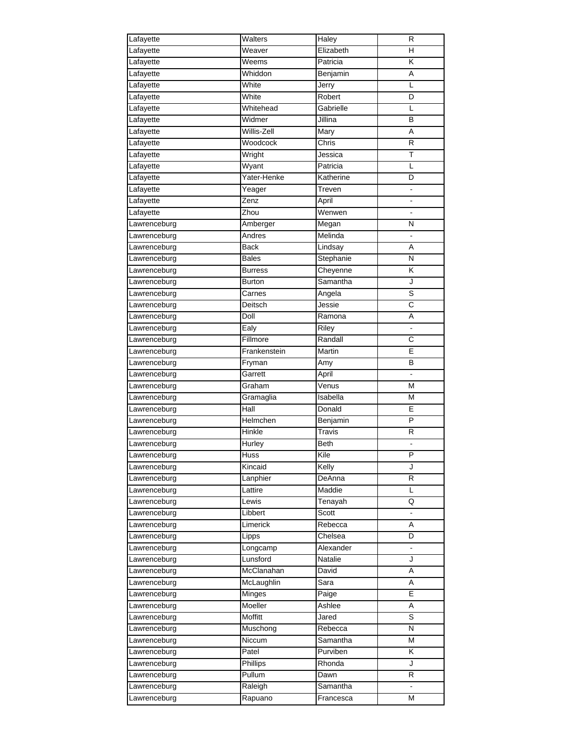| Lafayette    | Walters      | Haley     | R                            |
|--------------|--------------|-----------|------------------------------|
| Lafayette    | Weaver       | Elizabeth | н                            |
| Lafayette    | Weems        | Patricia  | Κ                            |
| Lafayette    | Whiddon      | Benjamin  | A                            |
| Lafayette    | White        | Jerry     | L                            |
| Lafayette    | White        | Robert    | D                            |
| Lafayette    | Whitehead    | Gabrielle | L                            |
| Lafayette    | Widmer       | Jillina   | B                            |
| Lafayette    | Willis-Zell  | Mary      | Α                            |
| Lafayette    | Woodcock     | Chris     | R                            |
| Lafayette    | Wright       | Jessica   | Τ                            |
| Lafayette    | Wyant        | Patricia  | L                            |
| Lafayette    | Yater-Henke  | Katherine | D                            |
| Lafayette    | Yeager       | Treven    |                              |
| Lafayette    | Zenz         | April     |                              |
| Lafayette    | Zhou         | Wenwen    | ٠                            |
| Lawrenceburg | Amberger     | Megan     | $\mathsf{N}$                 |
| Lawrenceburg | Andres       | Melinda   |                              |
| Lawrenceburg | Back         | Lindsay   | Α                            |
| Lawrenceburg | <b>Bales</b> | Stephanie | Ν                            |
|              |              |           | Κ                            |
| Lawrenceburg | Burress      | Cheyenne  |                              |
| Lawrenceburg | Burton       | Samantha  | J                            |
| Lawrenceburg | Carnes       | Angela    | S                            |
| Lawrenceburg | Deitsch      | Jessie    | $\overline{\text{c}}$        |
| Lawrenceburg | Doll         | Ramona    | Α                            |
| Lawrenceburg | Ealy         | Riley     |                              |
| Lawrenceburg | Fillmore     | Randall   | C                            |
| Lawrenceburg | Frankenstein | Martin    | E                            |
| Lawrenceburg | Fryman       | Amy       | В                            |
| Lawrenceburg | Garrett      | April     |                              |
| Lawrenceburg | Graham       | Venus     | M                            |
| Lawrenceburg | Gramaglia    | Isabella  | M                            |
| Lawrenceburg | Hall         | Donald    | E                            |
| Lawrenceburg | Helmchen     | Benjamin  | P                            |
| Lawrenceburg | Hinkle       | Travis    | R                            |
| Lawrenceburg | Hurley       | Beth      |                              |
| Lawrenceburg | Huss         | Kile      | Ρ                            |
| Lawrenceburg | Kincaid      | Kelly     | J                            |
| Lawrenceburg | Lanphier     | DeAnna    | R                            |
| Lawrenceburg | Lattire      | Maddie    | L                            |
| Lawrenceburg | Lewis        | Tenayah   | Q                            |
| Lawrenceburg | Libbert      | Scott     | ۰                            |
| Lawrenceburg | Limerick     | Rebecca   | Α                            |
| Lawrenceburg | Lipps        | Chelsea   | D                            |
| Lawrenceburg | Longcamp     | Alexander | $\qquad \qquad \blacksquare$ |
| Lawrenceburg | Lunsford     | Natalie   | J                            |
| Lawrenceburg | McClanahan   | David     | Α                            |
| Lawrenceburg | McLaughlin   | Sara      | Α                            |
| Lawrenceburg | Minges       | Paige     | E                            |
| Lawrenceburg | Moeller      | Ashlee    | Α                            |
| Lawrenceburg | Moffitt      | Jared     | S                            |
| Lawrenceburg | Muschong     | Rebecca   | N                            |
|              |              |           |                              |
| Lawrenceburg | Niccum       | Samantha  | M                            |
| Lawrenceburg | Patel        | Purviben  | Κ                            |
| Lawrenceburg | Phillips     | Rhonda    | J                            |
| Lawrenceburg | Pullum       | Dawn      | R                            |
| Lawrenceburg | Raleigh      | Samantha  |                              |
| Lawrenceburg | Rapuano      | Francesca | M                            |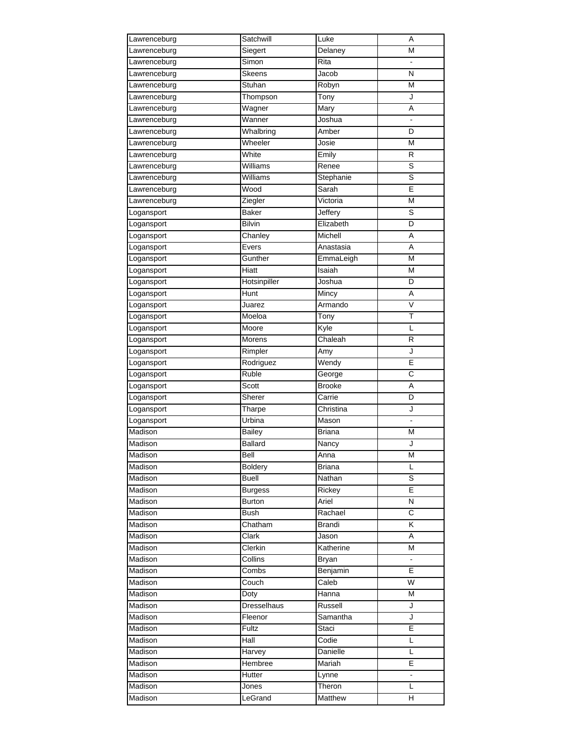| Lawrenceburg | Satchwill      | Luke          | A                       |
|--------------|----------------|---------------|-------------------------|
| Lawrenceburg | Siegert        | Delaney       | М                       |
| Lawrenceburg | Simon          | Rita          |                         |
| Lawrenceburg | Skeens         | Jacob         | N                       |
| Lawrenceburg | Stuhan         | Robyn         | M                       |
| Lawrenceburg | Thompson       | Tony          | J                       |
| Lawrenceburg | Wagner         | Mary          | Α                       |
| Lawrenceburg | Wanner         | Joshua        |                         |
| Lawrenceburg | Whalbring      | Amber         | D                       |
| Lawrenceburg | Wheeler        | Josie         | M                       |
| Lawrenceburg | White          | Emily         | R                       |
| Lawrenceburg | Williams       | Renee         | S                       |
| Lawrenceburg | Williams       | Stephanie     | S                       |
| Lawrenceburg | Wood           | Sarah         | E                       |
| Lawrenceburg | Ziegler        | Victoria      | M                       |
| Logansport   | Baker          | Jeffery       | S                       |
|              | <b>Bilvin</b>  | Elizabeth     | D                       |
| Logansport   |                |               |                         |
| Logansport   | Chanley        | Michell       | A                       |
| Logansport   | Evers          | Anastasia     | Α                       |
| Logansport   | Gunther        | EmmaLeigh     | М                       |
| Logansport   | Hiatt          | Isaiah        | M                       |
| Logansport   | Hotsinpiller   | Joshua        | D                       |
| Logansport   | Hunt           | Mincy         | Α                       |
| Logansport   | Juarez         | Armando       | $\overline{\mathsf{v}}$ |
| Logansport   | Moeloa         | Tony          | T                       |
| Logansport   | Moore          | Kyle          | L                       |
| Logansport   | Morens         | Chaleah       | R                       |
| Logansport   | Rimpler        | Āmy           | J                       |
| Logansport   | Rodriguez      | Wendy         | E                       |
| Logansport   | Ruble          | George        | C                       |
| Logansport   | Scott          | <b>Brooke</b> | Α                       |
| Logansport   | Sherer         | Carrie        | D                       |
| Logansport   | Tharpe         | Christina     | J                       |
| Logansport   | Urbina         | Mason         | ä,                      |
| Madison      | Bailey         | <b>Briana</b> | M                       |
| Madison      | <b>Ballard</b> | Nancy         | J                       |
| Madison      | Bell           | Anna          | M                       |
| Madison      | <b>Boldery</b> | <b>Briana</b> | L                       |
| Madison      | <b>Buell</b>   | Nathan        | S                       |
| Madison      | <b>Burgess</b> | Rickey        | Е                       |
| Madison      | <b>Burton</b>  | Ariel         | N                       |
| Madison      | <b>Bush</b>    | Rachael       | $\overline{C}$          |
| Madison      | Chatham        | Brandi        | Κ                       |
| Madison      | Clark          | Jason         | Α                       |
| Madison      | Clerkin        | Katherine     | M                       |
| Madison      | Collins        | <b>Bryan</b>  | $\blacksquare$          |
| Madison      | Combs          | Benjamin      | E                       |
| Madison      | Couch          | Caleb         | W                       |
| Madison      | Doty           | Hanna         | M                       |
| Madison      | Dresselhaus    | Russell       | J                       |
| Madison      | Fleenor        | Samantha      | J                       |
| Madison      | Fultz          | Staci         | E                       |
| Madison      | Hall           | Codie         | L                       |
| Madison      | Harvey         | Danielle      | Г                       |
| Madison      | Hembree        | Mariah        | E                       |
| Madison      | Hutter         | Lynne         |                         |
| Madison      | Jones          | Theron        | L                       |
| Madison      | LeGrand        | Matthew       | H                       |
|              |                |               |                         |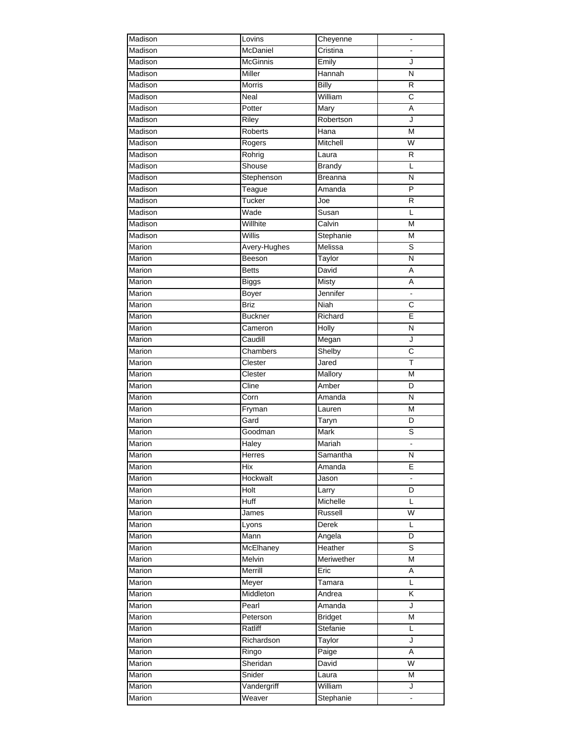| Madison | Lovins             | Cheyenne       |                         |
|---------|--------------------|----------------|-------------------------|
| Madison | McDaniel           | Cristina       |                         |
| Madison | <b>McGinnis</b>    | Emily          | J                       |
| Madison | Miller             | Hannah         | Ñ                       |
| Madison | Morris             | <b>Billy</b>   | $\overline{R}$          |
| Madison | Neal               | William        | $\overline{\text{c}}$   |
| Madison | Potter             | Mary           | A                       |
| Madison | Riley              | Robertson      | J                       |
| Madison | <b>Roberts</b>     | Hana           | M                       |
| Madison | Rogers             | Mitchell       | W                       |
| Madison | Rohrig             | Laura          | R                       |
| Madison | Shouse             | <b>Brandy</b>  | L                       |
| Madison | Stephenson         | <b>Breanna</b> | N                       |
| Madison | Teague             | Amanda         | P                       |
| Madison | Tucker             | Joe            | $\mathsf{R}$            |
| Madison | Wade               | Susan          | Г                       |
| Madison | Willhite           | Calvin         | M                       |
| Madison | Willis             | Stephanie      | M                       |
| Marion  | Avery-Hughes       | Melissa        | S                       |
|         |                    |                | N                       |
| Marion  | Beeson             | Taylor         |                         |
| Marion  | <b>Betts</b>       | David          | A                       |
| Marion  | <b>Biggs</b>       | Misty          | Α                       |
| Marion  | Boyer              | Jennifer       |                         |
| Marion  | <b>Briz</b>        | Niah           | $\overline{\text{c}}$   |
| Marion  | <b>Buckner</b>     | Richard        | E                       |
| Marion  | Cameron            | Holly          | N                       |
| Marion  | Caudill            | Megan          | J                       |
| Marion  | Chambers           | Shelby         | $\overline{\text{c}}$   |
| Marion  | Clester            | Jared          | Т                       |
| Marion  | Clester            | Mallory        | M                       |
| Marion  | Cline              | Amber          | D                       |
| Marion  | Corn               | Amanda         | $\mathsf{N}$            |
| Marion  | Fryman             | Lauren         | M                       |
| Marion  | Gard               | Taryn          | D                       |
| Marion  | Goodman            | Mark           | S                       |
| Marion  | Haley              | Mariah         | $\blacksquare$          |
| Marion  | Herres             | Samantha       | N                       |
| Marion  | Hix                | Amanda         | E                       |
| Marion  | Hockwalt           | Jason          |                         |
| Marion  | Holt               | Larry          | D                       |
| Marion  | Huff               | Michelle       | Г                       |
| Marion  | James              | Russell        | W                       |
| Marion  | Lyons              | Derek          | L                       |
| Marion  | Mann               | Angela         | D                       |
| Marion  | McElhaney          | Heather        | S                       |
| Marion  | Melvin             | Meriwether     | M                       |
| Marion  | Merrill            | Eric           | Α                       |
| Marion  |                    | Tamara         | Г                       |
| Marion  | Meyer<br>Middleton | Andrea         | K                       |
| Marion  | Pearl              | Amanda         | J                       |
|         |                    |                |                         |
| Marion  | Peterson           | <b>Bridget</b> | $\overline{\mathsf{M}}$ |
| Marion  | Ratliff            | Stefanie       | Г                       |
| Marion  | Richardson         | Taylor         | J                       |
| Marion  | Ringo              | Paige          | $\overline{A}$          |
| Marion  | Sheridan           | David          | $\overline{W}$          |
| Marion  | Snider             | Laura          | M                       |
| Marion  | Vandergriff        | William        | J                       |
| Marion  | Weaver             | Stephanie      |                         |
|         |                    |                |                         |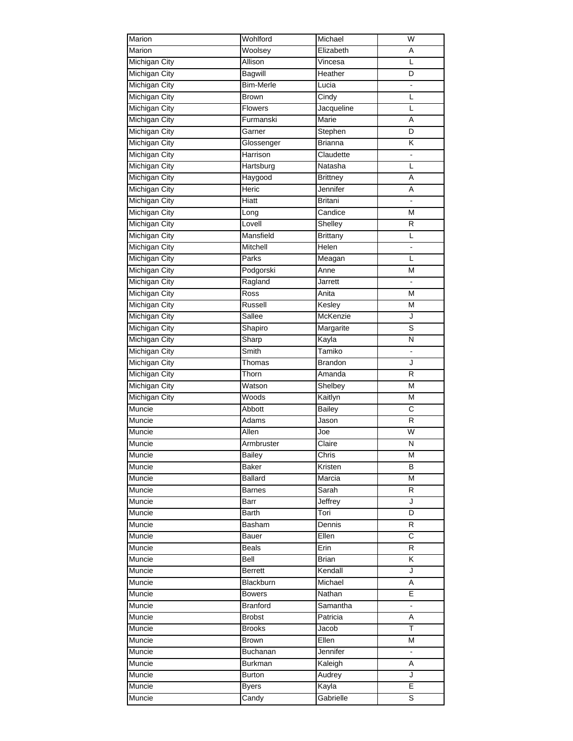| Marion               | Wohlford         | Michael         | W              |
|----------------------|------------------|-----------------|----------------|
| Marion               | Woolsey          | Elizabeth       | A              |
| Michigan City        | Allison          | Vincesa         | L              |
| <b>Michigan City</b> | <b>Bagwill</b>   | Heather         | D              |
| <b>Michigan City</b> | <b>Bim-Merle</b> | Lucia           | ä,             |
| <b>Michigan City</b> | <b>Brown</b>     | Cindy           | L              |
| <b>Michigan City</b> | Flowers          | Jacqueline      | L              |
| Michigan City        | Furmanski        | Marie           | Α              |
| Michigan City        | Garner           | Stephen         | D              |
| Michigan City        | Glossenger       | <b>Brianna</b>  | Κ              |
| Michigan City        | Harrison         | Claudette       |                |
| Michigan City        | Hartsburg        | Natasha         | L              |
| Michigan City        | Haygood          | <b>Brittney</b> | A              |
| Michigan City        | Heric            | Jennifer        | Α              |
| Michigan City        | Hiatt            | Britani         | L.             |
| Michigan City        | Long             | Candice         | M              |
| Michigan City        | Lovell           | Shelley         | R              |
|                      | Mansfield        |                 | L              |
| <b>Michigan City</b> |                  | <b>Brittany</b> |                |
| <b>Michigan City</b> | Mitchell         | Helen           |                |
| Michigan City        | Parks            | Meagan          | L              |
| Michigan City        | Podgorski        | Anne            | M              |
| Michigan City        | Ragland          | Jarrett         | $\frac{1}{2}$  |
| Michigan City        | Ross             | Anita           | M              |
| <b>Michigan City</b> | Russell          | Kesley          | M              |
| <b>Michigan City</b> | Sallee           | McKenzie        | J              |
| <b>Michigan City</b> | Shapiro          | Margarite       | S              |
| <b>Michigan City</b> | Sharp            | Kayla           | Ν              |
| <b>Michigan City</b> | Smith            | Tamiko          |                |
| <b>Michigan City</b> | Thomas           | Brandon         | J              |
| <b>Michigan City</b> | Thorn            | Amanda          | $\mathsf{R}$   |
| <b>Michigan City</b> | Watson           | Shelbey         | M              |
| <b>Michigan City</b> | Woods            | Kaitlyn         | M              |
| Muncie               | Abbott           | Bailey          | C              |
| Muncie               | Adams            | Jason           | R              |
| Muncie               | Allen            | Joe             | W              |
| Muncie               | Armbruster       | Claire          | N              |
| Muncie               | <b>Bailey</b>    | Chris           | M              |
| Muncie               | <b>Baker</b>     | Kristen         | В              |
| Muncie               | <b>Ballard</b>   | Marcia          | M              |
| Muncie               | Barnes           | Sarah           | R              |
| Muncie               | Barr             | Jeffrey         | J              |
| Muncie               | Barth            | Tori            | D              |
| Muncie               | Basham           | Dennis          | R              |
| Muncie               | Bauer            | Ellen           | C              |
| Muncie               | <b>Beals</b>     | Erin            | R              |
| Muncie               | Bell             | <b>Brian</b>    | Κ              |
| Muncie               | <b>Berrett</b>   | Kendall         | J              |
| Muncie               | Blackburn        | Michael         | A              |
| Muncie               | <b>Bowers</b>    | Nathan          | E              |
| Muncie               | <b>Branford</b>  | Samantha        | $\blacksquare$ |
| Muncie               | <b>Brobst</b>    | Patricia        | A              |
| Muncie               | <b>Brooks</b>    | Jacob           | T              |
|                      |                  |                 |                |
| Muncie               | Brown            | Ellen           | M              |
| Muncie               | Buchanan         | Jennifer        |                |
| Muncie               | Burkman          | Kaleigh         | A              |
| Muncie               | <b>Burton</b>    | Audrey          | J              |
| Muncie               | <b>Byers</b>     | Kayla           | E              |
| Muncie               | Candy            | Gabrielle       | S              |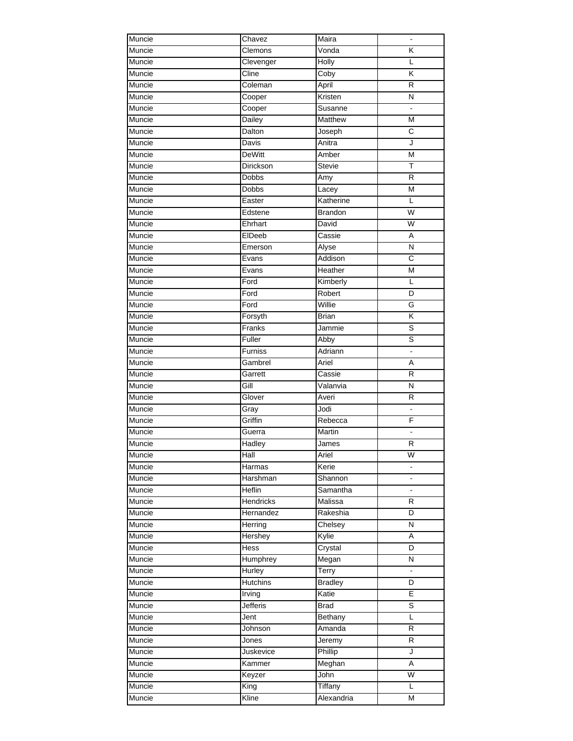| Muncie | Chavez          | Maira            |                         |
|--------|-----------------|------------------|-------------------------|
| Muncie | Clemons         | Vonda            | K                       |
| Muncie | Clevenger       | <b>Holly</b>     | Г                       |
| Muncie | Cline           | Coby             | K                       |
| Muncie | Coleman         | April            | R                       |
| Muncie | Cooper          | Kristen          | N                       |
| Muncie | Cooper          | Susanne          | L.                      |
| Muncie | Dailey          | Matthew          | M                       |
| Muncie | Dalton          | Joseph           | С                       |
| Muncie | Davis           | Anitra           | J                       |
| Muncie | <b>DeWitt</b>   | Amber            | M                       |
| Muncie | Dirickson       | <b>Stevie</b>    | Т                       |
| Muncie | <b>Dobbs</b>    | Amy              | $\mathsf{R}$            |
| Muncie | <b>Dobbs</b>    | Lacey            | M                       |
| Muncie | Easter          | Katherine        | L                       |
| Muncie | Edstene         | <b>Brandon</b>   | W                       |
| Muncie | Ehrhart         | David            | W                       |
| Muncie | EIDeeb          | Cassie           | Α                       |
|        |                 |                  | N                       |
| Muncie | Emerson         | Alyse<br>Addison |                         |
| Muncie | Evans           |                  | C                       |
| Muncie | Evans           | Heather          | M                       |
| Muncie | Ford            | Kimberly         | L                       |
| Muncie | Ford            | Robert           | D                       |
| Muncie | Ford            | Willie           | G                       |
| Muncie | Forsyth         | <b>Brian</b>     | Κ                       |
| Muncie | Franks          | Jammie           | S                       |
| Muncie | Fuller          | Abby             | S                       |
| Muncie | Furniss         | Adriann          | $\blacksquare$          |
| Muncie | Gambrel         | Ariel            | A                       |
| Muncie | Garrett         | Cassie           | $\mathsf{R}$            |
| Muncie | Gill            | Valanvia         | $\mathsf{N}$            |
| Muncie | Glover          | Averi            | R                       |
| Muncie | Gray            | Jodi             | $\Box$                  |
| Muncie | Griffin         | Rebecca          | F                       |
| Muncie | Guerra          | Martin           |                         |
| Muncie | Hadley          | James            | $\mathsf{R}$            |
| Muncie | Hall            | Ariel            | $\overline{W}$          |
| Muncie | Harmas          | Kerie            |                         |
| Muncie | Harshman        | Shannon          |                         |
| Muncie | Heflin          | Samantha         |                         |
| Muncie | Hendricks       | Malissa          | R                       |
| Muncie | Hernandez       | Rakeshia         | D                       |
| Muncie | Herring         | Chelsey          | N                       |
| Muncie | Hershey         | Kylie            | Α                       |
| Muncie | Hess            | Crystal          | D                       |
| Muncie | Humphrey        | Megan            | N                       |
| Muncie | Hurley          | Terry            | $\frac{1}{2}$           |
| Muncie | <b>Hutchins</b> | <b>Bradley</b>   | D                       |
| Muncie | Irving          | Katie            | E                       |
|        | Jefferis        |                  | S                       |
| Muncie |                 | <b>Brad</b>      |                         |
| Muncie | Jent            | Bethany          | Г                       |
| Muncie | Johnson         | Amanda           | $\overline{R}$          |
| Muncie | Jones           | Jeremy           | $\overline{R}$          |
| Muncie | Juskevice       | Phillip          | J                       |
| Muncie | Kammer          | Meghan           | Α                       |
| Muncie | Keyzer          | John             | $\overline{\mathsf{W}}$ |
| Muncie | King            | <b>Tiffany</b>   | L                       |
| Muncie | Kline           | Alexandria       | M                       |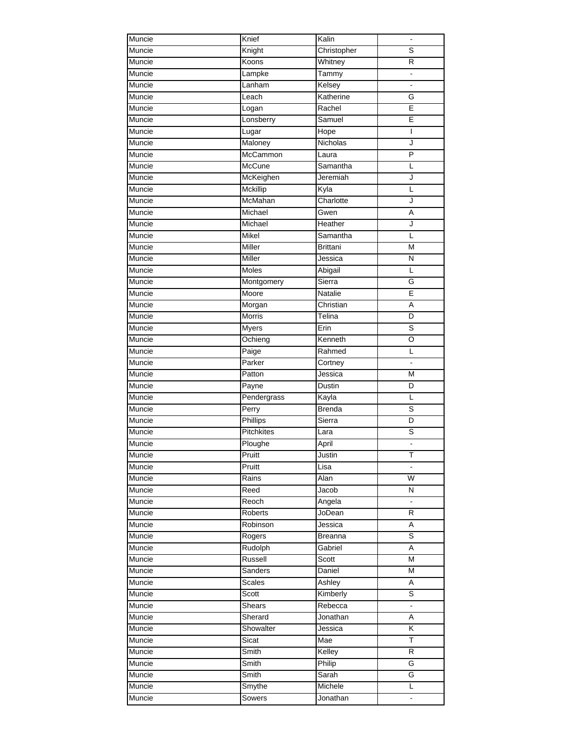| Muncie | Knief           | Kalin           |                         |
|--------|-----------------|-----------------|-------------------------|
| Muncie | Knight          | Christopher     | S                       |
| Muncie | Koons           | Whitney         | $\overline{\mathsf{R}}$ |
| Muncie | Lampke          | Tammy           | L.                      |
| Muncie | Lanham          | Kelsey          |                         |
| Muncie | Leach           | Katherine       | G                       |
| Muncie | Logan           | Rachel          | E                       |
| Muncie | Lonsberry       | Samuel          | Ē                       |
| Muncie | Lugar           | Hope            | I                       |
| Muncie | Maloney         | Nicholas        | J                       |
| Muncie | McCammon        | Laura           | P                       |
| Muncie | McCune          | Samantha        | L                       |
| Muncie | McKeighen       | Jeremiah        | J                       |
| Muncie | <b>Mckillip</b> | Kyla            | L                       |
| Muncie | McMahan         | Charlotte       | J                       |
| Muncie | Michael         | Gwen            | A                       |
| Muncie | Michael         | Heather         | J                       |
| Muncie | Mikel           | Samantha        | L                       |
| Muncie | Miller          | <b>Brittani</b> | M                       |
| Muncie | Miller          |                 | N                       |
|        | Moles           | Jessica         |                         |
| Muncie |                 | Abigail         | L                       |
| Muncie | Montgomery      | Sierra          | G                       |
| Muncie | Moore           | Natalie         | E                       |
| Muncie | Morgan          | Christian       | Α                       |
| Muncie | Morris          | Telina          | D                       |
| Muncie | Myers           | Erin            | S                       |
| Muncie | Ochieng         | Kenneth         | O                       |
| Muncie | Paige           | Rahmed          | L                       |
| Muncie | Parker          | Cortney         | $\blacksquare$          |
| Muncie | Patton          | Jessica         | M                       |
| Muncie | Payne           | Dustin          | D                       |
| Muncie | Pendergrass     | Kayla           | L                       |
| Muncie | Perry           | <b>Brenda</b>   | S                       |
| Muncie | Phillips        | Sierra          | D                       |
| Muncie | Pitchkites      | Lara            | $\overline{s}$          |
| Muncie | Ploughe         | April           | -                       |
| Muncie | Pruitt          | Justin          | T                       |
| Muncie | Pruitt          | Lisa            |                         |
| Muncie | Rains           | Alan            | W                       |
| Muncie | Reed            | Jacob           | N                       |
| Muncie | Reoch           | Angela          |                         |
| Muncie | Roberts         | JoDean          | R                       |
| Muncie | Robinson        | Jessica         | Α                       |
| Muncie | Rogers          | <b>Breanna</b>  | S                       |
| Muncie | Rudolph         | Gabriel         | Α                       |
| Muncie | Russell         | Scott           | M                       |
| Muncie | Sanders         | Daniel          | M                       |
| Muncie | Scales          | Ashley          | A                       |
| Muncie | Scott           | Kimberly        | S                       |
| Muncie | Shears          | Rebecca         | $\blacksquare$          |
| Muncie | Sherard         | Jonathan        | Α                       |
| Muncie | Showalter       | Jessica         | $\overline{\mathsf{x}}$ |
| Muncie |                 | Mae             | Ŧ                       |
|        | Sicat           |                 |                         |
| Muncie | Smith           | Kelley          | $\overline{R}$          |
| Muncie | Smith           | Philip          | G                       |
| Muncie | Smith           | Sarah           | G                       |
| Muncie | Smythe          | Michele         | L                       |
| Muncie | Sowers          | Jonathan        | ÷                       |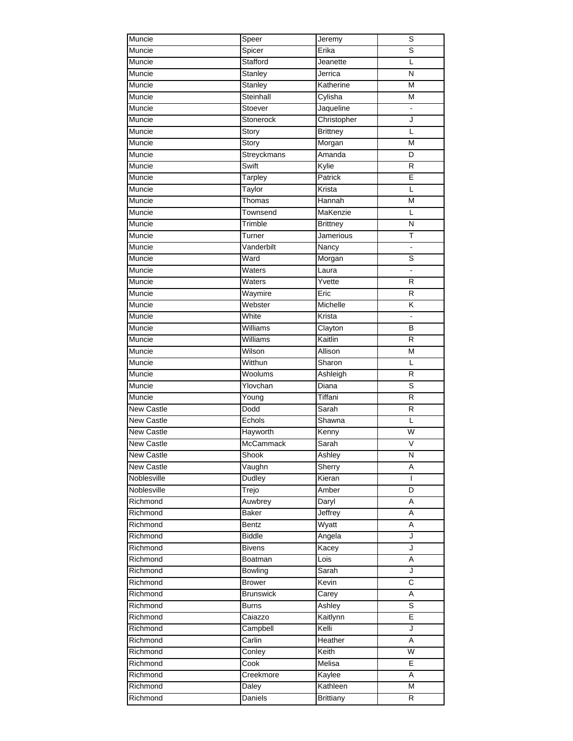| Muncie            | Speer            | Jeremy           | S                        |
|-------------------|------------------|------------------|--------------------------|
| Muncie            | Spicer           | Erika            | ड                        |
| Muncie            | Stafford         | Jeanette         | L                        |
| Muncie            | Stanley          | Jerrica          | $\overline{\mathsf{N}}$  |
| Muncie            | Stanley          | Katherine        | M                        |
| Muncie            | Steinhall        | Cylisha          | M                        |
| Muncie            | Stoever          | Jaqueline        |                          |
| Muncie            | Stonerock        | Christopher      | J                        |
| Muncie            | Story            | <b>Brittney</b>  | L                        |
| Muncie            | Story            | Morgan           | M                        |
| Muncie            | Streyckmans      | Amanda           | D                        |
| Muncie            | Swift            | Kylie            | R                        |
| Muncie            | Tarpley          | Patrick          | E                        |
| Muncie            | Taylor           | Krista           | L                        |
| Muncie            | Thomas           | Hannah           | M                        |
| Muncie            | Townsend         | MaKenzie         | L                        |
| Muncie            | Trimble          | <b>Brittney</b>  | ${\sf N}$                |
| Muncie            | Turner           | Jamerious        | T                        |
| Muncie            | Vanderbilt       | Nancy            | L.                       |
|                   | Ward             |                  | S                        |
| Muncie            | Waters           | Morgan           | $\overline{\phantom{a}}$ |
| Muncie            |                  | Laura            |                          |
| Muncie            | Waters           | Yvette           | R                        |
| Muncie            | Waymire          | Eric             | R                        |
| Muncie            | Webster          | Michelle         | Κ                        |
| Muncie            | White            | Krista           |                          |
| Muncie            | Williams         | Clayton          | B                        |
| Muncie            | Williams         | Kaitlin          | $\overline{R}$           |
| Muncie            | Wilson           | Allison          | M                        |
| Muncie            | Witthun          | Sharon           | L                        |
| Muncie            | Woolums          | Ashleigh         | R                        |
| Muncie            | Ylovchan         | Diana            | S                        |
| Muncie            | Young            | Tiffani          | $\mathsf{R}$             |
| New Castle        | Dodd             | Sarah            | $\mathsf{R}$             |
| <b>New Castle</b> | Echols           | Shawna           | L                        |
| New Castle        | Hayworth         | Kenny            | W                        |
| New Castle        | McCammack        | Sarah            | $\overline{\vee}$        |
| New Castle        | Shook            | Ashley           | N                        |
| New Castle        | Vaughn           | Sherry           | Α                        |
| Noblesville       | Dudley           | Kieran           | L                        |
| Noblesville       | Trejo            | Amber            | D                        |
| Richmond          | Auwbrey          | Daryl            | Α                        |
| Richmond          | Baker            | Jeffrey          | Α                        |
| Richmond          | Bentz            | Wyatt            | Α                        |
| Richmond          | <b>Biddle</b>    | Angela           | J                        |
| Richmond          | Bivens           | Kacey            | J                        |
| Richmond          | <b>Boatman</b>   | Lois             | Α                        |
| Richmond          | Bowling          | Sarah            | J                        |
| Richmond          | <b>Brower</b>    | Kevin            | C                        |
| Richmond          | <b>Brunswick</b> | Carey            | Α                        |
| Richmond          | <b>Burns</b>     | Ashley           | $\overline{s}$           |
| Richmond          | Caiazzo          | Kaitlynn         | E                        |
| Richmond          |                  | Kelli            | J                        |
|                   | Campbell         |                  |                          |
| Richmond          | Carlin           | Heather          | A                        |
| Richmond          | Conley           | Keith            | $\overline{\mathsf{W}}$  |
| Richmond          | Cook             | Melisa           | Ε                        |
| Richmond          | Creekmore        | Kaylee           | A                        |
| Richmond          | Daley            | Kathleen         | M                        |
| Richmond          | Daniels          | <b>Brittiany</b> | R                        |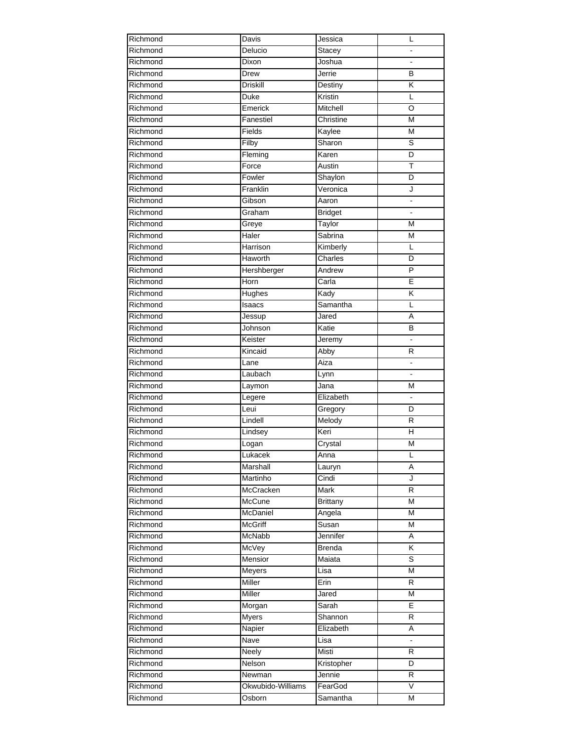| Richmond | Davis             | Jessica         | L              |
|----------|-------------------|-----------------|----------------|
| Richmond | Delucio           | Stacey          |                |
| Richmond | Dixon             | Joshua          |                |
| Richmond | Drew              | Jerrie          | B              |
| Richmond | <b>Driskill</b>   | Destiny         | K              |
| Richmond | Duke              | Kristin         | L              |
| Richmond | Emerick           | Mitchell        | O              |
| Richmond | Fanestiel         | Christine       | M              |
| Richmond | Fields            | Kaylee          | M              |
| Richmond | Filby             | Sharon          | S              |
| Richmond | Fleming           | Karen           | D              |
| Richmond | Force             | Austin          | Τ              |
| Richmond | Fowler            | Shaylon         | D              |
| Richmond | Franklin          | Veronica        | J              |
| Richmond | Gibson            | Aaron           |                |
| Richmond | Graham            | <b>Bridget</b>  |                |
| Richmond | Greye             | Taylor          | M              |
| Richmond | Haler             | Sabrina         | M              |
| Richmond | Harrison          | Kimberly        | L              |
| Richmond | Haworth           | Charles         | D              |
| Richmond | Hershberger       | Andrew          | P              |
| Richmond | Horn              | Carla           | E              |
| Richmond | Hughes            | Kady            | K              |
| Richmond | Isaacs            | Samantha        | L              |
| Richmond | Jessup            | Jared           | Α              |
|          |                   |                 |                |
| Richmond | Johnson           | Katie           | B              |
| Richmond | Keister           | Jeremy          |                |
| Richmond | Kincaid           | Abby            | $\mathsf{R}$   |
| Richmond | Lane              | Aiza            | $\blacksquare$ |
| Richmond | Laubach           | Lynn            | ÷,             |
| Richmond | Laymon            | Jana            | M              |
| Richmond | Legere            | Elizabeth       |                |
| Richmond | Leui              | Gregory         | D              |
| Richmond | Lindell           | Melody          | ${\sf R}$      |
| Richmond | Lindsey           | Keri            | H              |
| Richmond | Logan             | Crystal         | M              |
| Richmond | Lukacek           | Anna            | Г              |
| Richmond | Marshall          | Lauryn          | Α              |
| Richmond | Martinho          | Cindi           | J              |
| Richmond | McCracken         | Mark            | R              |
| Richmond | McCune            | <b>Brittany</b> | M              |
| Richmond | McDaniel          | Angela          | M              |
| Richmond | McGriff           | Susan           | М              |
| Richmond | McNabb            | Jennifer        | Α              |
| Richmond | McVey             | <b>Brenda</b>   | Κ              |
| Richmond | Mensior           | Maiata          | S              |
| Richmond | Meyers            | Lisa            | M              |
| Richmond | Miller            | Erin            | $\mathsf{R}$   |
| Richmond | Miller            | Jared           | M              |
| Richmond | Morgan            | Sarah           | E              |
| Richmond | <b>Myers</b>      | Shannon         | R              |
| Richmond | Napier            | Elizabeth       | A              |
| Richmond | Nave              | Lisa            | $\blacksquare$ |
| Richmond | Neely             | Misti           | R              |
| Richmond | Nelson            | Kristopher      | D              |
| Richmond | Newman            | Jennie          | $\overline{R}$ |
| Richmond | Okwubido-Williams | FearGod         | V              |
|          |                   |                 |                |
| Richmond | Osborn            | Samantha        | M              |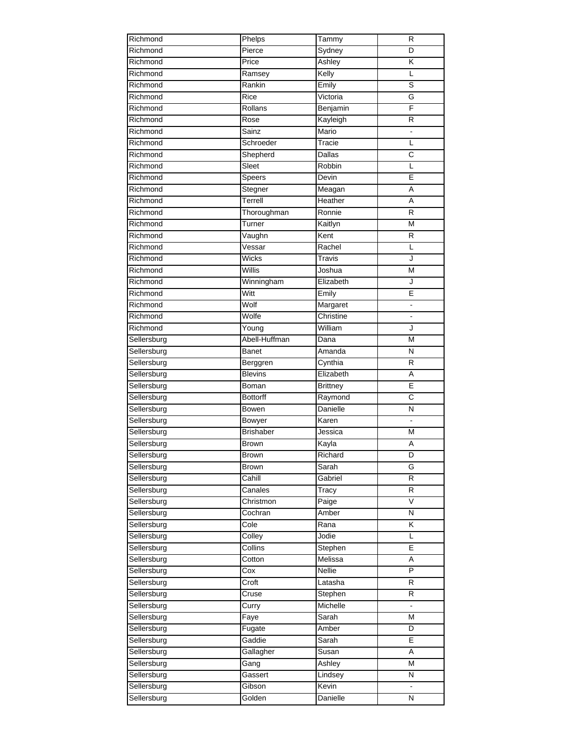| Richmond    | Phelps           | Tammy           | R              |
|-------------|------------------|-----------------|----------------|
| Richmond    | Pierce           | Sydney          | D              |
| Richmond    | Price            | Ashley          | K              |
| Richmond    | Ramsey           | Kelly           | L              |
| Richmond    | Rankin           | Emily           | S              |
| Richmond    | Rice             | Victoria        | G              |
| Richmond    | Rollans          | Benjamin        | F              |
| Richmond    | Rose             | Kayleigh        | R              |
| Richmond    | Sainz            | Mario           |                |
| Richmond    | Schroeder        | Tracie          | L              |
| Richmond    | Shepherd         | Dallas          | C              |
| Richmond    | Sleet            | Robbin          | L              |
| Richmond    | Speers           | Devin           | E              |
| Richmond    | Stegner          | Meagan          | A              |
| Richmond    | Terrell          | Heather         | A              |
| Richmond    | Thoroughman      | Ronnie          | R              |
| Richmond    | Turner           | Kaitlyn         | M              |
| Richmond    | Vaughn           | Kent            | $\mathsf{R}$   |
| Richmond    | Vessar           | Rachel          | L              |
| Richmond    | <b>Wicks</b>     | Travis          | J              |
| Richmond    |                  |                 |                |
|             | Willis           | Joshua          | M              |
| Richmond    | Winningham       | Elizabeth       | J              |
| Richmond    | Witt             | Emily           | E              |
| Richmond    | Wolf             | Margaret        |                |
| Richmond    | Wolfe            | Christine       |                |
| Richmond    | Young            | William         | J              |
| Sellersburg | Abell-Huffman    | Dana            | M              |
| Sellersburg | Banet            | Amanda          | Ν              |
| Sellersburg | Berggren         | Cynthia         | R              |
| Sellersburg | <b>Blevins</b>   | Elizabeth       | A              |
| Sellersburg | Boman            | <b>Brittney</b> | E              |
| Sellersburg | <b>Bottorff</b>  | Raymond         | C              |
| Sellersburg | Bowen            | Danielle        | N              |
| Sellersburg | Bowyer           | Karen           | L.             |
| Sellersburg | <b>Brishaber</b> | Jessica         | M              |
| Sellersburg | Brown            | Kayla           | Α              |
| Sellersburg | Brown            | Richard         | D              |
| Sellersburg | <b>Brown</b>     | Sarah           | G              |
| Sellersburg | Cahill           | Gabriel         | R              |
| Sellersburg | Canales          | Tracy           | R              |
| Sellersburg | Christmon        | Paige           | V              |
| Sellersburg | Cochran          | Amber           | N              |
| Sellersburg | Cole             | Rana            | K              |
| Sellersburg | Colley           | Jodie           | L              |
| Sellersburg | Collins          | Stephen         | Е              |
| Sellersburg | Cotton           | Melissa         | Α              |
| Sellersburg | Cox              | Nellie          | P              |
| Sellersburg | Croft            | Latasha         | $\mathsf{R}$   |
| Sellersburg | Cruse            | Stephen         | R              |
| Sellersburg | Curry            | Michelle        | $\blacksquare$ |
| Sellersburg | Faye             | Sarah           | M              |
| Sellersburg | Fugate           | Amber           | D              |
| Sellersburg | Gaddie           | Sarah           | E              |
|             |                  |                 |                |
| Sellersburg | Gallagher        | Susan           | Α              |
| Sellersburg | Gang             | Ashley          | M              |
| Sellersburg | Gassert          | Lindsey         | N              |
| Sellersburg | Gibson           | Kevin           |                |
| Sellersburg | Golden           | Danielle        | N              |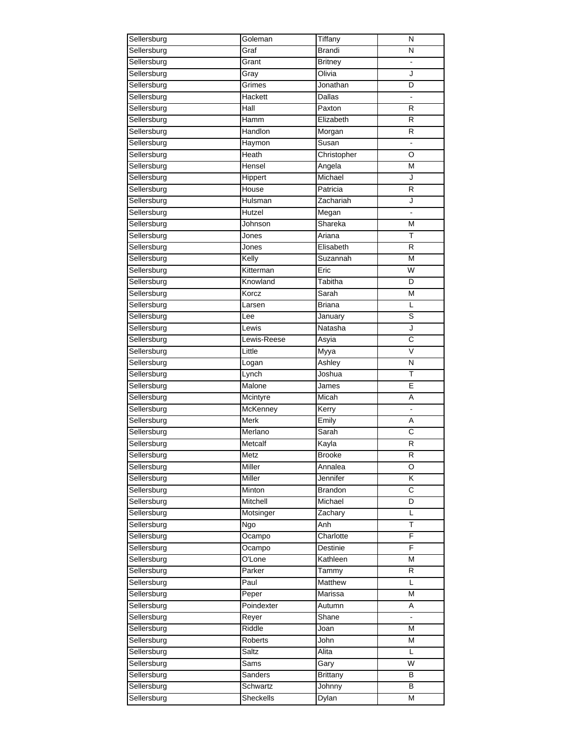| Sellersburg | Goleman       | Tiffany         | N                     |
|-------------|---------------|-----------------|-----------------------|
| Sellersburg | Graf          | <b>Brandi</b>   | N                     |
| Sellersburg | Grant         | <b>Britney</b>  |                       |
| Sellersburg | Gray          | Olivia          | J                     |
| Sellersburg | Grimes        | Jonathan        | D                     |
| Sellersburg | Hackett       | Dallas          |                       |
| Sellersburg | Hall          | Paxton          | $\mathsf{R}$          |
| Sellersburg | <b>Hamm</b>   | Elizabeth       | $\mathsf{R}$          |
| Sellersburg | Handlon       | Morgan          | $\mathsf{R}$          |
| Sellersburg | Haymon        | Susan           | $\blacksquare$        |
| Sellersburg | Heath         | Christopher     | O                     |
| Sellersburg | Hensel        | Angela          | Μ                     |
| Sellersburg | Hippert       | Michael         | J                     |
| Sellersburg | House         | Patricia        | $\mathsf{R}$          |
| Sellersburg | Hulsman       | Zachariah       | J                     |
| Sellersburg | Hutzel        | Megan           |                       |
| Sellersburg | Johnson       | Shareka         | M                     |
| Sellersburg | Jones         | Ariana          | Т                     |
| Sellersburg | Jones         | Elisabeth       | R                     |
| Sellersburg | Kelly         | Suzannah        | M                     |
| Sellersburg | Kitterman     | Eric            | W                     |
| Sellersburg | Knowland      | Tabitha         | D                     |
| Sellersburg | Korcz         | Sarah           | M                     |
| Sellersburg | Larsen        | <b>Briana</b>   | L                     |
|             |               |                 | S                     |
| Sellersburg | Lee           | January         |                       |
| Sellersburg | Lewis         | Natasha         | J                     |
| Sellersburg | Lewis-Reese   | Asyia           | $\overline{\text{c}}$ |
| Sellersburg | Little        | Myya            | V                     |
| Sellersburg | Logan         | Ashley          | N                     |
| Sellersburg | Lynch         | Joshua          | Т                     |
| Sellersburg | Malone        | James           | E                     |
| Sellersburg | Mcintyre      | Micah           | Α                     |
| Sellersburg | McKenney      | Kerry           | $\overline{a}$        |
| Sellersburg | <b>Merk</b>   | Emily           | A                     |
| Sellersburg | Merlano       | Sarah           | $\mathsf{C}$          |
| Sellersburg | Metcalf       | Kayla           | R                     |
| Sellersburg | Metz          | <b>Brooke</b>   | $\overline{R}$        |
| Sellersburg | Miller        | Annalea         | O                     |
| Sellersburg | <b>Miller</b> | Jennifer        | K                     |
| Sellersburg | Minton        | <b>Brandon</b>  | C                     |
| Sellersburg | Mitchell      | Michael         | D                     |
| Sellersburg | Motsinger     | Zachary         | Г                     |
| Sellersburg | Ngo           | Anh             | Т                     |
| Sellersburg | Ocampo        | Charlotte       | F                     |
| Sellersburg | Ocampo        | Destinie        | F                     |
| Sellersburg | O'Lone        | Kathleen        | M                     |
| Sellersburg | Parker        | Tammy           | R                     |
| Sellersburg | Paul          | Matthew         | L                     |
| Sellersburg | Peper         | Marissa         | M                     |
| Sellersburg | Poindexter    | Autumn          | Α                     |
| Sellersburg | Reyer         | Shane           | $\blacksquare$        |
| Sellersburg | Riddle        | Joan            | M                     |
| Sellersburg | Roberts       | John            | M                     |
| Sellersburg | <b>Saltz</b>  | Alita           | L                     |
| Sellersburg | Sams          | Gary            | $\overline{W}$        |
| Sellersburg | Sanders       | <b>Brittany</b> | B                     |
| Sellersburg | Schwartz      | Johnny          | В                     |
| Sellersburg | Sheckells     | Dylan           | M                     |
|             |               |                 |                       |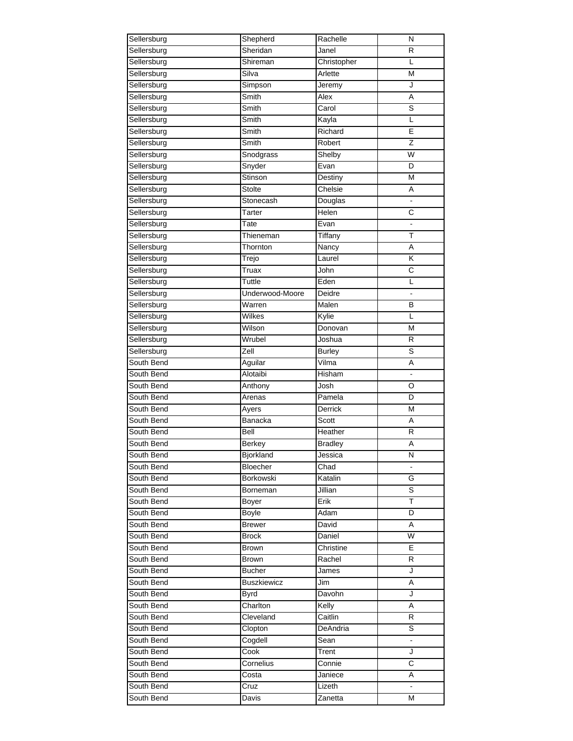| Sellersburg | Shepherd           | Rachelle       | N              |
|-------------|--------------------|----------------|----------------|
| Sellersburg | Sheridan           | Janel          | R              |
| Sellersburg | Shireman           | Christopher    | L              |
| Sellersburg | Silva              | Arlette        | M              |
| Sellersburg | Simpson            | Jeremy         | J              |
| Sellersburg | Smith              | Alex           | A              |
| Sellersburg | Smith              | Carol          | S              |
| Sellersburg | Smith              | Kayla          | L              |
| Sellersburg | Smith              | Richard        | E              |
| Sellersburg | Smith              | Robert         | Ζ              |
| Sellersburg | Snodgrass          | Shelby         | W              |
| Sellersburg | Snyder             | Evan           | D              |
|             | Stinson            |                |                |
| Sellersburg |                    | Destiny        | M              |
| Sellersburg | <b>Stolte</b>      | Chelsie        | Α              |
| Sellersburg | Stonecash          | Douglas        |                |
| Sellersburg | Tarter             | Helen          | C              |
| Sellersburg | $\overline{T}$ ate | Evan           | $\blacksquare$ |
| Sellersburg | Thieneman          | Tiffany        | Τ              |
| Sellersburg | Thornton           | Nancy          | A              |
| Sellersburg | Trejo              | Laurel         | Κ              |
| Sellersburg | Truax              | John           | C              |
| Sellersburg | Tuttle             | Eden           | L              |
| Sellersburg | Underwood-Moore    | Deidre         |                |
| Sellersburg | Warren             | Malen          | B              |
| Sellersburg | <b>Wilkes</b>      | Kylie          | L              |
| Sellersburg | Wilson             | Donovan        | M              |
| Sellersburg | Wrubel             | Joshua         | R              |
| Sellersburg | Zell               | <b>Burley</b>  | S              |
| South Bend  | Aguilar            | Vilma          | Α              |
| South Bend  | Alotaibi           | <b>Hisham</b>  | $\blacksquare$ |
|             |                    |                |                |
| South Bend  | Anthony            | Josh           | O              |
| South Bend  | Arenas             | Pamela         | D              |
| South Bend  | Ayers              | Derrick        | M              |
| South Bend  | Banacka            | Scott          | Α              |
| South Bend  | Bell               | Heather        | $\mathsf{R}$   |
| South Bend  | <b>Berkey</b>      | <b>Bradley</b> | A              |
| South Bend  | Bjorkland          | Jessica        | N              |
| South Bend  | Bloecher           | Chad           |                |
| South Bend  | Borkowski          | Katalin        | G              |
| South Bend  | Borneman           | Jillian        | S              |
| South Bend  | Boyer              | Erik           | T.             |
| South Bend  | Boyle              | Adam           | D              |
| South Bend  | Brewer             | David          | Α              |
| South Bend  | Brock              | Daniel         | W              |
| South Bend  | Brown              | Christine      | Е              |
| South Bend  | Brown              | Rachel         | R              |
| South Bend  | <b>Bucher</b>      | James          | J              |
| South Bend  | <b>Buszkiewicz</b> | Jim            | Α              |
| South Bend  | <b>Byrd</b>        | Davohn         | J              |
| South Bend  | Charlton           | Kelly          | A              |
| South Bend  | Cleveland          | Caitlin        | R              |
|             |                    |                |                |
| South Bend  | Clopton            | DeAndria       | S              |
| South Bend  | Cogdell            | Sean           | $\blacksquare$ |
| South Bend  | Cook               | Trent          | J              |
| South Bend  | Cornelius          | Connie         | $\overline{c}$ |
| South Bend  | Costa              | Janiece        | A              |
| South Bend  | Cruz               | Lizeth         |                |
| South Bend  | Davis              | Zanetta        | M              |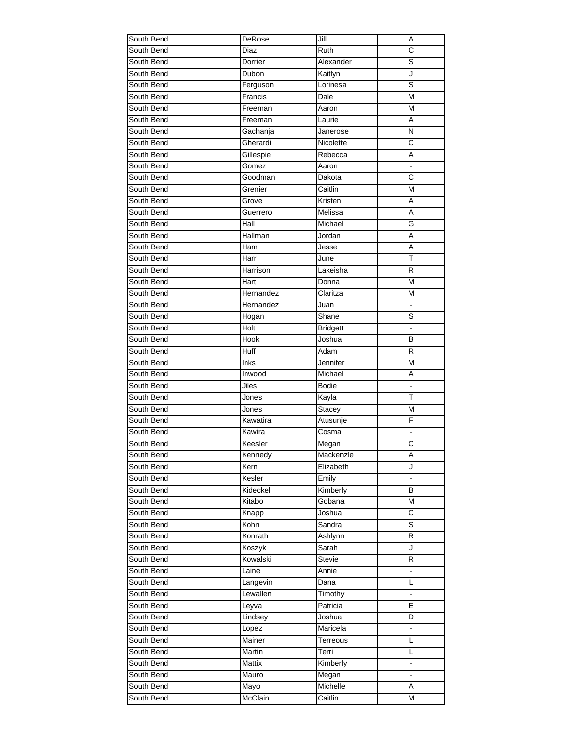| South Bend | DeRose      | Jill            | A                     |
|------------|-------------|-----------------|-----------------------|
| South Bend | Diaz        | Ruth            | $\overline{\text{c}}$ |
| South Bend | Dorrier     | Alexander       | S                     |
| South Bend | Dubon       | Kaitlyn         | J                     |
| South Bend | Ferguson    | Lorinesa        | S                     |
| South Bend | Francis     | Dale            | M                     |
| South Bend | Freeman     | Aaron           | M                     |
| South Bend | Freeman     | Laurie          | Α                     |
| South Bend | Gachanja    | Janerose        | N                     |
| South Bend | Gherardi    | Nicolette       | С                     |
| South Bend | Gillespie   | Rebecca         | Α                     |
| South Bend | Gomez       | Aaron           | $\blacksquare$        |
| South Bend | Goodman     | Dakota          | С                     |
| South Bend | Grenier     | Caitlin         | M                     |
| South Bend | Grove       | Kristen         | A                     |
| South Bend | Guerrero    | Melissa         | A                     |
| South Bend | Hall        |                 | G                     |
|            |             | Michael         |                       |
| South Bend | Hallman     | Jordan          | Α                     |
| South Bend | Ham         | Jesse           | Α                     |
| South Bend | Harr        | June            | Τ                     |
| South Bend | Harrison    | Lakeisha        | R                     |
| South Bend | Hart        | Donna           | M                     |
| South Bend | Hernandez   | Claritza        | M                     |
| South Bend | Hernandez   | Juan            | $\sim$                |
| South Bend | Hogan       | Shane           | S                     |
| South Bend | Holt        | <b>Bridgett</b> |                       |
| South Bend | <b>Hook</b> | Joshua          | В                     |
| South Bend | Huff        | Adam            | R                     |
| South Bend | Inks        | Jennifer        | M                     |
| South Bend | Inwood      | Michael         | Α                     |
| South Bend | Jiles       | <b>Bodie</b>    | $\blacksquare$        |
| South Bend | Jones       | Kayla           | Ŧ                     |
| South Bend | Jones       | Stacey          | M                     |
| South Bend | Kawatira    | Atusunje        | F                     |
| South Bend | Kawira      | Cosma           |                       |
| South Bend | Keesler     | Megan           | С                     |
| South Bend | Kennedy     | Mackenzie       | Α                     |
| South Bend | Kern        | Elizabeth       | J                     |
| South Bend | Kesler      | Emily           |                       |
| South Bend | Kideckel    | Kimberly        | B                     |
| South Bend | Kitabo      | Gobana          | M                     |
| South Bend | Knapp       | Joshua          | С                     |
| South Bend | Kohn        | Sandra          | S                     |
| South Bend | Konrath     | Ashlynn         | R                     |
| South Bend | Koszyk      | Sarah           | J                     |
| South Bend | Kowalski    | Stevie          | R                     |
| South Bend | Laine       | Annie           | $\blacksquare$        |
| South Bend | Langevin    | Dana            | Г                     |
| South Bend | Lewallen    | Timothy         | $\blacksquare$        |
| South Bend | Leyva       | Patricia        | E                     |
| South Bend | Lindsey     | Joshua          | D                     |
| South Bend | Lopez       | Maricela        | $\blacksquare$        |
| South Bend | Mainer      | Terreous        | L                     |
| South Bend | Martin      | Terri           | L                     |
| South Bend | Mattix      | Kimberly        |                       |
| South Bend | Mauro       | Megan           |                       |
| South Bend | Mayo        | Michelle        | Α                     |
| South Bend | McClain     | Caitlin         | M                     |
|            |             |                 |                       |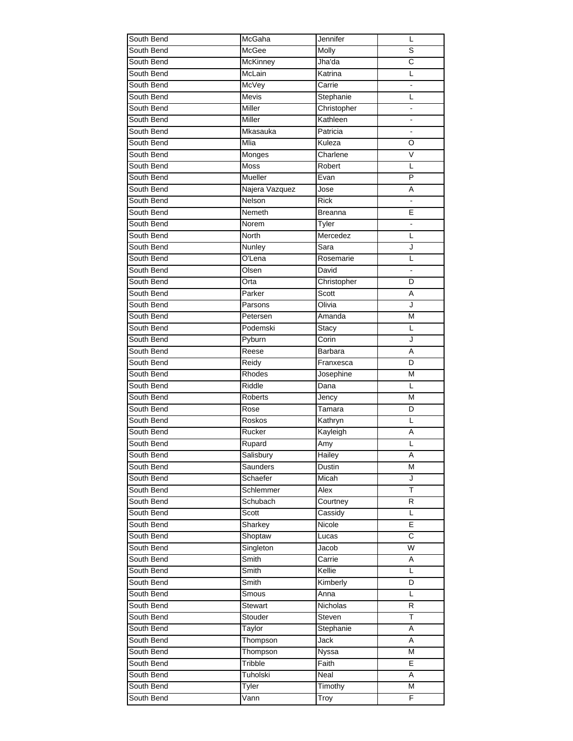| South Bend | McGaha          | Jennifer    | L                     |
|------------|-----------------|-------------|-----------------------|
| South Bend | <b>McGee</b>    | Molly       | S                     |
| South Bend | <b>McKinney</b> | Jha'da      | $\overline{\text{c}}$ |
| South Bend | McLain          | Katrina     | L                     |
| South Bend | McVey           | Carrie      |                       |
| South Bend | <b>Mevis</b>    | Stephanie   | L                     |
| South Bend | Miller          | Christopher |                       |
| South Bend | Miller          | Kathleen    |                       |
| South Bend | Mkasauka        | Patricia    |                       |
| South Bend | Mlia            | Kuleza      | O                     |
| South Bend | Monges          | Charlene    | V                     |
| South Bend | Moss            | Robert      | L                     |
| South Bend | Mueller         | Evan        | P                     |
| South Bend | Najera Vazquez  | Jose        | Α                     |
| South Bend | Nelson          | <b>Rick</b> |                       |
| South Bend | Nemeth          | Breanna     | E                     |
| South Bend | Norem           |             | $\blacksquare$        |
| South Bend | <b>North</b>    | Tyler       | L                     |
|            |                 | Mercedez    |                       |
| South Bend | Nunley          | Sara        | J                     |
| South Bend | O'Lena          | Rosemarie   | L                     |
| South Bend | Olsen           | David       |                       |
| South Bend | Orta            | Christopher | D                     |
| South Bend | Parker          | Scott       | Α                     |
| South Bend | Parsons         | Olivia      | J                     |
| South Bend | Petersen        | Amanda      | M                     |
| South Bend | Podemski        | Stacy       | L                     |
| South Bend | Pyburn          | Corin       | J                     |
| South Bend | Reese           | Barbara     | A                     |
| South Bend | Reidy           | Franxesca   | D                     |
| South Bend | Rhodes          | Josephine   | M                     |
| South Bend | Riddle          | Dana        | L                     |
| South Bend | Roberts         | Jency       | M                     |
| South Bend | Rose            | Tamara      | D                     |
| South Bend | Roskos          | Kathryn     | L                     |
| South Bend | Rucker          | Kayleigh    | A                     |
| South Bend | Rupard          | Amy         | Г                     |
| South Bend | Salisbury       | Hailey      | Α                     |
| South Bend | Saunders        | Dustin      | M                     |
| South Bend | Schaefer        | Micah       | J                     |
| South Bend | Schlemmer       | Alex        | T                     |
| South Bend | Schubach        | Courtney    | R                     |
| South Bend | Scott           | Cassidy     | L                     |
| South Bend | Sharkey         | Nicole      | Е                     |
| South Bend | Shoptaw         | Lucas       | С                     |
| South Bend | Singleton       | Jacob       | W                     |
| South Bend | Smith           | Carrie      | Α                     |
| South Bend | Smith           | Kellie      | L                     |
| South Bend | Smith           | Kimberly    | D                     |
| South Bend | Smous           | Anna        | L                     |
| South Bend | Stewart         | Nicholas    | R                     |
| South Bend | Stouder         | Steven      | Ŧ                     |
| South Bend | Taylor          | Stephanie   | Α                     |
| South Bend | Thompson        | Jack        | Α                     |
| South Bend | Thompson        | Nyssa       | М                     |
| South Bend | Tribble         | Faith       | E.                    |
| South Bend | Tuholski        | Neal        | Α                     |
| South Bend | Tyler           | Timothy     | M                     |
| South Bend | Vann            | Troy        | F.                    |
|            |                 |             |                       |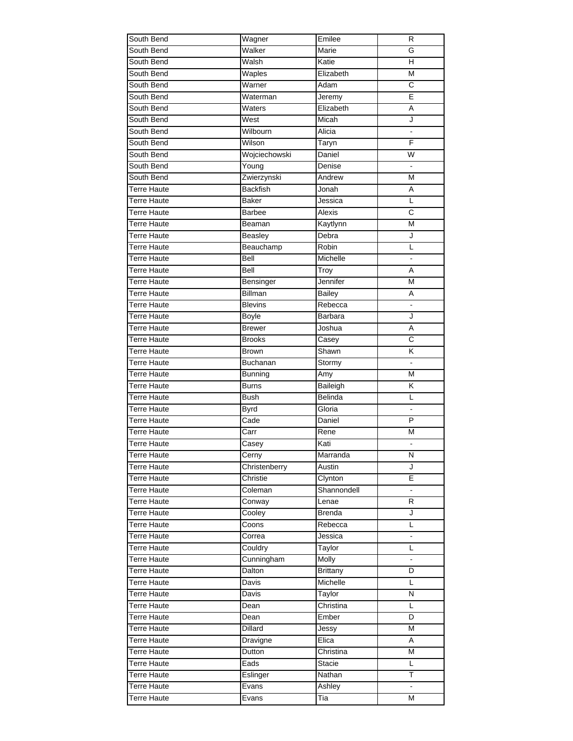| South Bend         | Wagner            | Emilee          | R                     |
|--------------------|-------------------|-----------------|-----------------------|
| South Bend         | Walker            | Marie           | G                     |
| South Bend         | Walsh             | Katie           | н                     |
| South Bend         | Waples            | Elizabeth       | M                     |
| South Bend         | Warner            | Adam            | $\overline{\text{c}}$ |
| South Bend         | Waterman          | Jeremy          | E                     |
| South Bend         | Waters            | Elizabeth       | Α                     |
| South Bend         | West              | Micah           | J                     |
| South Bend         | Wilbourn          | Alicia          | ۰                     |
| South Bend         | Wilson            | Taryn           | F                     |
| South Bend         | Wojciechowski     | Daniel          | W                     |
| South Bend         | Young             | Denise          |                       |
| South Bend         | Zwierzynski       | Andrew          | M                     |
| Terre Haute        | <b>Backfish</b>   | Jonah           | Α                     |
| <b>Terre Haute</b> | <b>Baker</b>      | Jessica         | L                     |
| <b>Terre Haute</b> | Barbee            | Alexis          | $\mathsf{C}$          |
| <b>Terre Haute</b> | Beaman            | Kaytlynn        | M                     |
| Terre Haute        | Beasley           | Debra           | J                     |
| Terre Haute        |                   | Robin           | L                     |
| Terre Haute        | Beauchamp<br>Bell | Michelle        | ÷,                    |
| Terre Haute        | Bell              |                 | A                     |
|                    |                   | Troy            |                       |
| Terre Haute        | Bensinger         | Jennifer        | M                     |
| Terre Haute        | Billman           | <b>Bailey</b>   | Α                     |
| <b>Terre Haute</b> | <b>Blevins</b>    | Rebecca         |                       |
| Terre Haute        | <b>Boyle</b>      | Barbara         | J                     |
| Terre Haute        | <b>Brewer</b>     | Joshua          | Α                     |
| Terre Haute        | <b>Brooks</b>     | Casey           | C                     |
| Terre Haute        | <b>Brown</b>      | Shawn           | Κ                     |
| Terre Haute        | Buchanan          | Stormy          | $\blacksquare$        |
| Terre Haute        | <b>Bunning</b>    | Amy             | M                     |
| <b>Terre Haute</b> | Burns             | Baileigh        | Κ                     |
| <b>Terre Haute</b> | <b>Bush</b>       | Belinda         | Г                     |
| <b>Terre Haute</b> | <b>Byrd</b>       | Gloria          | $\blacksquare$        |
| Terre Haute        | Cade              | Daniel          | P                     |
| <b>Terre Haute</b> | Carr              | Rene            | M                     |
| Terre Haute        | Casey             | Kati            |                       |
| <b>Terre Haute</b> | Cerny             | Marranda        | N                     |
| <b>Terre Haute</b> | Christenberry     | Austin          | J                     |
| Terre Haute        | Christie          | Clynton         | E                     |
| <b>Terre Haute</b> | Coleman           | Shannondell     |                       |
| Terre Haute        | Conway            | Lenae           | R                     |
| Terre Haute        | Cooley            | Brenda          | J                     |
| Terre Haute        | Coons             | Rebecca         | L                     |
| Terre Haute        | Correa            | Jessica         | ۰                     |
| Terre Haute        | Couldry           | Taylor          | L                     |
| Terre Haute        | Cunningham        | <b>Molly</b>    | $\blacksquare$        |
| Terre Haute        | Dalton            | <b>Brittany</b> | D                     |
| Terre Haute        | Davis             | Michelle        | L                     |
| Terre Haute        | Davis             | Taylor          | N                     |
| Terre Haute        | Dean              | Christina       | Г                     |
| <b>Terre Haute</b> | Dean              | Ember           | $\overline{D}$        |
| <b>Terre Haute</b> | <b>Dillard</b>    | Jessy           | M                     |
| <b>Terre Haute</b> | Dravigne          | Elica           | Α                     |
| <b>Terre Haute</b> | Dutton            | Christina       | M                     |
| <b>Terre Haute</b> | Eads              | Stacie          | L                     |
| Terre Haute        | Eslinger          | Nathan          | Т                     |
| Terre Haute        | Evans             | Ashley          |                       |
| Terre Haute        | Evans             | Tia             | M                     |
|                    |                   |                 |                       |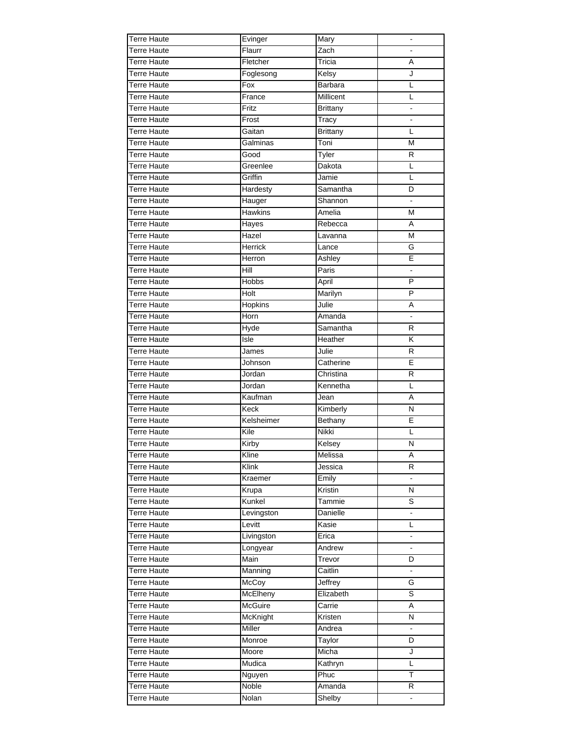| Terre Haute        | Evinger        | Mary            |                              |
|--------------------|----------------|-----------------|------------------------------|
| Terre Haute        | Flaurr         | Zach            |                              |
| Terre Haute        | Fletcher       | Tricia          | A                            |
| <b>Terre Haute</b> | Foglesong      | Kelsy           | J                            |
| <b>Terre Haute</b> | Fox            | <b>Barbara</b>  | L                            |
| <b>Terre Haute</b> | France         | Millicent       | Г                            |
| <b>Terre Haute</b> | Fritz          | <b>Brittany</b> |                              |
| <b>Terre Haute</b> | Frost          | Tracy           | $\qquad \qquad \blacksquare$ |
| Terre Haute        | Gaitan         | <b>Brittany</b> | L                            |
| <b>Terre Haute</b> | Galminas       | Toni            | M                            |
| <b>Terre Haute</b> | Good           | Tyler           | R                            |
| <b>Terre Haute</b> | Greenlee       | Dakota          | L                            |
| <b>Terre Haute</b> | Griffin        | Jamie           | L                            |
| <b>Terre Haute</b> | Hardesty       | Samantha        | D                            |
| <b>Terre Haute</b> | Hauger         | Shannon         | $\blacksquare$               |
| <b>Terre Haute</b> | <b>Hawkins</b> | Amelia          | M                            |
| <b>Terre Haute</b> | Hayes          | Rebecca         | A                            |
| <b>Terre Haute</b> | Hazel          | Lavanna         | M                            |
| <b>Terre Haute</b> | Herrick        | Lance           | G                            |
| <b>Terre Haute</b> | Herron         | Ashley          | E                            |
| <b>Terre Haute</b> | Hill           | Paris           |                              |
| <b>Terre Haute</b> | <b>Hobbs</b>   | April           | P                            |
| <b>Terre Haute</b> | Holt           | Marilyn         | $\overline{P}$               |
| <b>Terre Haute</b> | <b>Hopkins</b> | Julie           | A                            |
| Terre Haute        |                |                 |                              |
|                    | Horn           | Amanda          |                              |
| <b>Terre Haute</b> | Hyde           | Samantha        | R                            |
| <b>Terre Haute</b> | Isle           | Heather         | Κ                            |
| <b>Terre Haute</b> | James          | Julie           | R                            |
| <b>Terre Haute</b> | Johnson        | Catherine       | E                            |
| <b>Terre Haute</b> | Jordan         | Christina       | R                            |
| <b>Terre Haute</b> | Jordan         | Kennetha        | Г                            |
| <b>Terre Haute</b> | Kaufman        | Jean            | A                            |
| <b>Terre Haute</b> | Keck           | Kimberly        | N                            |
| <b>Terre Haute</b> | Kelsheimer     | <b>Bethany</b>  | E                            |
| <b>Terre Haute</b> | Kile           | Nikki           | L                            |
| <b>Terre Haute</b> | Kirby          | Kelsey          | N                            |
| <b>Terre Haute</b> | Kline          | Melissa         | А                            |
| <b>Terre Haute</b> | Klink          | Jessica         | R                            |
| Terre Haute        | Kraemer        | Emily           |                              |
| <b>Terre Haute</b> | Krupa          | Kristin         | N                            |
| Terre Haute        | Kunkel         | Tammie          | S                            |
| <b>Terre Haute</b> | Levingston     | Danielle        | $\frac{1}{2}$                |
| <b>Terre Haute</b> | Levitt         | Kasie           | L                            |
| <b>Terre Haute</b> | Livingston     | Erica           | ÷                            |
| <b>Terre Haute</b> | Longyear       | Andrew          | $\blacksquare$               |
| <b>Terre Haute</b> | Main           | Trevor          | D                            |
| <b>Terre Haute</b> | Manning        | Caitlin         | $\blacksquare$               |
| <b>Terre Haute</b> | McCoy          | Jeffrey         | G                            |
| <b>Terre Haute</b> | McElheny       | Elizabeth       | $\overline{s}$               |
| <b>Terre Haute</b> | McGuire        | Carrie          | A                            |
| <b>Terre Haute</b> | McKnight       | Kristen         | N                            |
| <b>Terre Haute</b> | Miller         | Andrea          | $\blacksquare$               |
| <b>Terre Haute</b> | Monroe         | Taylor          | D                            |
| <b>Terre Haute</b> | Moore          | Micha           | J                            |
| <b>Terre Haute</b> | Mudica         | Kathryn         | L                            |
| <b>Terre Haute</b> | Nguyen         | Phuc            | Ŧ                            |
| <b>Terre Haute</b> | Noble          | Amanda          | R                            |
|                    |                |                 |                              |
| Terre Haute        | Nolan          | Shelby          | ۰                            |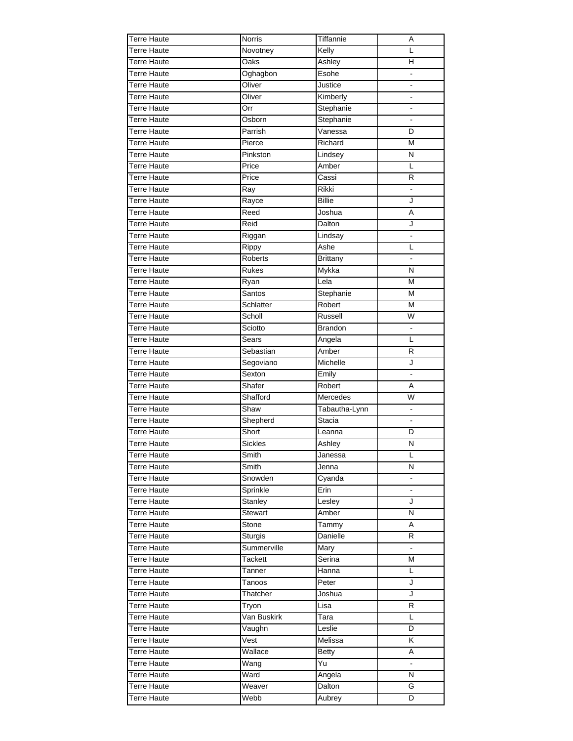| <b>Terre Haute</b> | Norris         | Tiffannie       | Α              |
|--------------------|----------------|-----------------|----------------|
| <b>Terre Haute</b> | Novotney       | Kelly           | L              |
| <b>Terre Haute</b> | Oaks           | Ashley          | Η              |
| <b>Terre Haute</b> | Oghagbon       | Esohe           |                |
| <b>Terre Haute</b> | Oliver         | Justice         |                |
| <b>Terre Haute</b> | Oliver         | Kimberly        |                |
| <b>Terre Haute</b> | Orr            | Stephanie       |                |
| <b>Terre Haute</b> | Osborn         | Stephanie       |                |
| Terre Haute        | Parrish        | Vanessa         | D              |
| <b>Terre Haute</b> | Pierce         | Richard         | M              |
| <b>Terre Haute</b> | Pinkston       | Lindsey         | Ν              |
| <b>Terre Haute</b> | Price          | Amber           | L              |
| <b>Terre Haute</b> | Price          | Cassi           | R              |
| <b>Terre Haute</b> | Ray            | Rikki           |                |
| <b>Terre Haute</b> | Rayce          | <b>Billie</b>   | J              |
| <b>Terre Haute</b> | Reed           | Joshua          | A              |
| <b>Terre Haute</b> | Reid           | Dalton          | J              |
|                    |                |                 |                |
| <b>Terre Haute</b> | Riggan         | Lindsay         |                |
| <b>Terre Haute</b> | Rippy          | Ashe            | L              |
| <b>Terre Haute</b> | Roberts        | <b>Brittany</b> |                |
| <b>Terre Haute</b> | Rukes          | Mykka           | N              |
| <b>Terre Haute</b> | Ryan           | Lela            | M              |
| <b>Terre Haute</b> | Santos         | Stephanie       | M              |
| <b>Terre Haute</b> | Schlatter      | Robert          | M              |
| <b>Terre Haute</b> | Scholl         | Russell         | W              |
| <b>Terre Haute</b> | Sciotto        | <b>Brandon</b>  |                |
| <b>Terre Haute</b> | Sears          | Angela          | L              |
| <b>Terre Haute</b> | Sebastian      | Amber           | R              |
| <b>Terre Haute</b> | Segoviano      | Michelle        | J              |
| <b>Terre Haute</b> | Sexton         | Emily           |                |
| <b>Terre Haute</b> | Shafer         | Robert          | Α              |
| <b>Terre Haute</b> | Shafford       | Mercedes        | $\overline{W}$ |
| <b>Terre Haute</b> | Shaw           | Tabautha-Lynn   | $\blacksquare$ |
| <b>Terre Haute</b> | Shepherd       | Stacia          | $\overline{a}$ |
| <b>Terre Haute</b> | Short          | Leanna          | D              |
| <b>Terre Haute</b> | <b>Sickles</b> | Ashley          | N              |
| <b>Terre Haute</b> | Smith          | Janessa         | Г              |
| <b>Terre Haute</b> | Smith          | Jenna           | N              |
| <b>Terre Haute</b> | Snowden        | Cyanda          |                |
| <b>Terre Haute</b> | Sprinkle       | Erin            |                |
| <b>Terre Haute</b> | Stanley        | Lesley          | J              |
| <b>Terre Haute</b> | <b>Stewart</b> | Amber           | И              |
| <b>Terre Haute</b> | Stone          | Tammy           | Α              |
| <b>Terre Haute</b> | Sturgis        | Danielle        | R              |
| <b>Terre Haute</b> | Summerville    | Mary            | $\blacksquare$ |
| <b>Terre Haute</b> | Tackett        | Serina          | M              |
|                    |                |                 |                |
| <b>Terre Haute</b> | Tanner         | Hanna           | L              |
| <b>Terre Haute</b> | Tanoos         | Peter           | J              |
| <b>Terre Haute</b> | Thatcher       | Joshua          | J              |
| <b>Terre Haute</b> | Tryon          | Lisa            | R              |
| <b>Terre Haute</b> | Van Buskirk    | Tara            | Г              |
| <b>Terre Haute</b> | Vaughn         | Leslie          | D              |
| <b>Terre Haute</b> | Vest           | Melissa         | K              |
| <b>Terre Haute</b> | Wallace        | <b>Betty</b>    | A              |
| <b>Terre Haute</b> | Wang           | Yu              |                |
| <b>Terre Haute</b> | Ward           | Angela          | И              |
| <b>Terre Haute</b> | Weaver         | Dalton          | G              |
| Terre Haute        | Webb           | Aubrey          | D              |
|                    |                |                 |                |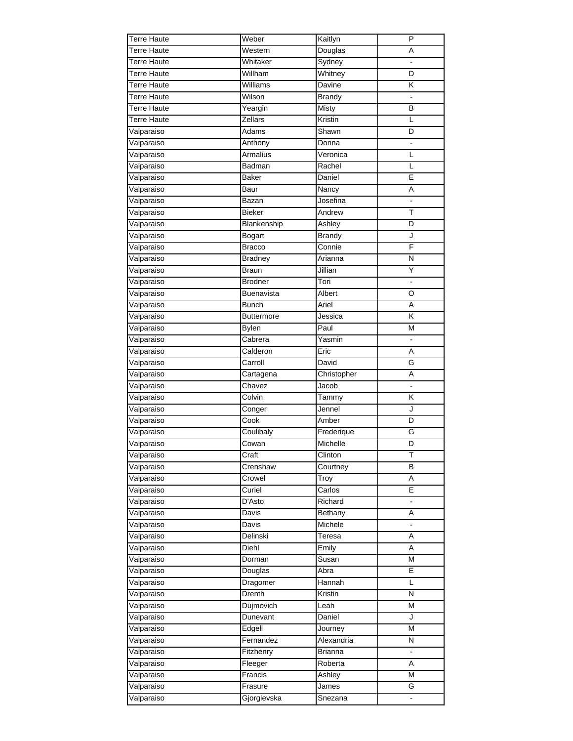| Terre Haute        | Weber               | Kaitlyn                      | P             |
|--------------------|---------------------|------------------------------|---------------|
| Terre Haute        | Western             | Douglas                      | A             |
| <b>Terre Haute</b> | Whitaker            | Sydney                       |               |
| <b>Terre Haute</b> | Willham             | Whitney                      | D             |
| Terre Haute        | Williams            | Davine                       | K             |
| <b>Terre Haute</b> | Wilson              | Brandy                       |               |
| <b>Terre Haute</b> | Yeargin             | Misty                        | B             |
| <b>Terre Haute</b> | Zellars             | Kristin                      | L             |
| Valparaiso         | Adams               | Shawn                        | D             |
| Valparaiso         | Anthony             | Donna                        | $\frac{1}{2}$ |
| Valparaiso         | <b>Armalius</b>     | Veronica                     | L             |
| Valparaiso         | Badman              | Rachel                       | L             |
| Valparaiso         | Baker               | Daniel                       | E             |
| Valparaiso         | Baur                | Nancy                        | Α             |
|                    |                     | Josefina                     |               |
| Valparaiso         | Bazan               |                              |               |
| Valparaiso         | Bieker              | Andrew                       | T             |
| Valparaiso         | Blankenship         | Ashley                       | D             |
| Valparaiso         | Bogart              | <b>Brandy</b>                | J             |
| Valparaiso         | <b>Bracco</b>       | Connie                       | F             |
| Valparaiso         | Bradney             | Arianna                      | Ν             |
| Valparaiso         | Braun               | Jillian                      | Υ             |
| Valparaiso         | <b>Brodner</b>      | Tori                         |               |
| Valparaiso         | <b>Buenavista</b>   | Albert                       | O             |
| Valparaiso         | <b>Bunch</b>        | Ariel                        | Α             |
| Valparaiso         | <b>Buttermore</b>   | Jessica                      | Κ             |
| Valparaiso         | <b>Bylen</b>        | Paul                         | M             |
| Valparaiso         | Cabrera             | Yasmin                       |               |
| Valparaiso         | Calderon            | Eric                         | Α             |
| Valparaiso         | Carroll             | David                        | G             |
| Valparaiso         | Cartagena           | Christopher                  | A             |
| Valparaiso         | Chavez              | Jacob                        |               |
| Valparaiso         | Colvin              | Tammy                        | K             |
| Valparaiso         | Conger              | Jennel                       | J             |
| Valparaiso         | Cook                | Amber                        | D             |
| Valparaiso         | Coulibaly           | Frederique                   | G             |
| Valparaiso         | Cowan               | Michelle                     | D             |
| Valparaiso         | $\overline{C}$ raft | $\overline{\text{C}}$ linton | T             |
| Valparaiso         | Crenshaw            | Courtney                     | В             |
| Valparaiso         | Crowel              | Troy                         | Α             |
| Valparaiso         | Curiel              | Carlos                       | E             |
| Valparaiso         | D'Asto              | Richard                      |               |
| Valparaiso         | Davis               | Bethany                      | Α             |
| Valparaiso         | Davis               | Michele                      | ۰             |
| Valparaiso         | Delinski            | Teresa                       | Α             |
| Valparaiso         | Diehl               | Emily                        | Α             |
| Valparaiso         | Dorman              | Susan                        | M             |
| Valparaiso         | Douglas             | Abra                         | E             |
| Valparaiso         | Dragomer            | Hannah                       | L             |
| Valparaiso         | Drenth              | Kristin                      | N             |
| Valparaiso         | Dujmovich           | Leah                         | M             |
| Valparaiso         | Dunevant            | Daniel                       | J             |
| Valparaiso         | Edgell              | Journey                      | M             |
| Valparaiso         | Fernandez           | Alexandria                   | Ν             |
| Valparaiso         | Fitzhenry           | <b>Brianna</b>               | ۰             |
| Valparaiso         | Fleeger             | Roberta                      | A             |
| Valparaiso         | Francis             | Ashley                       | M             |
| Valparaiso         | Frasure             | James                        | G             |
| Valparaiso         | Gjorgievska         | Snezana                      |               |
|                    |                     |                              |               |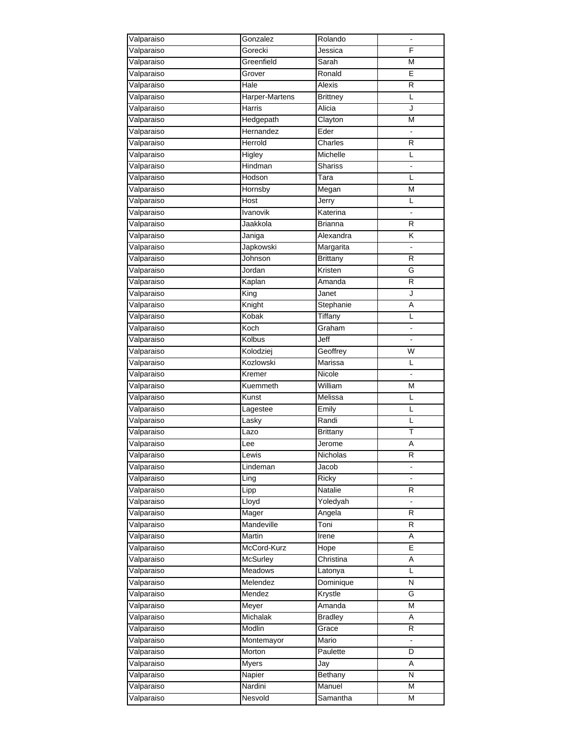| Valparaiso | Gonzalez        | Rolando         |                              |
|------------|-----------------|-----------------|------------------------------|
| Valparaiso | Gorecki         | Jessica         | F                            |
| Valparaiso | Greenfield      | Sarah           | M                            |
| Valparaiso | Grover          | Ronald          | E                            |
| Valparaiso | Hale            | Alexis          | R                            |
| Valparaiso | Harper-Martens  | <b>Brittney</b> | L                            |
| Valparaiso | <b>Harris</b>   | Alicia          | J                            |
| Valparaiso | Hedgepath       | Clayton         | M                            |
| Valparaiso | Hernandez       | Eder            |                              |
| Valparaiso | Herrold         | Charles         | R                            |
| Valparaiso | Higley          | Michelle        | L                            |
| Valparaiso | Hindman         | <b>Shariss</b>  |                              |
|            |                 |                 |                              |
| Valparaiso | Hodson          | Tara            | L                            |
| Valparaiso | Hornsby         | Megan           | M                            |
| Valparaiso | Host            | Jerry           | L                            |
| Valparaiso | Ivanovik        | Katerina        |                              |
| Valparaiso | Jaakkola        | <b>Brianna</b>  | R                            |
| Valparaiso | Janiga          | Alexandra       | Κ                            |
| Valparaiso | Japkowski       | Margarita       | $\overline{a}$               |
| Valparaiso | Johnson         | <b>Brittany</b> | R                            |
| Valparaiso | Jordan          | Kristen         | G                            |
| Valparaiso | Kaplan          | Amanda          | R                            |
| Valparaiso | King            | Janet           | J                            |
| Valparaiso | Knight          | Stephanie       | Α                            |
| Valparaiso | Kobak           | Tiffany         | Г                            |
| Valparaiso | Koch            | Graham          | $\overline{a}$               |
| Valparaiso | Kolbus          | Jeff            |                              |
| Valparaiso | Kolodziej       | Geoffrey        | W                            |
| Valparaiso | Kozlowski       | Marissa         | L                            |
| Valparaiso | Kremer          | Nicole          | $\blacksquare$               |
| Valparaiso | Kuemmeth        | William         | M                            |
| Valparaiso | Kunst           | Melissa         | L                            |
| Valparaiso | Lagestee        | Emily           | L                            |
|            |                 | Randi           |                              |
| Valparaiso | Lasky           |                 | L                            |
| Valparaiso | Lazo            | <b>Brittany</b> | Т                            |
| Valparaiso | Lee             | Jerome          | Α                            |
| Valparaiso | Lewis           | Nicholas        | $\overline{\mathsf{R}}$      |
| Valparaiso | Lindeman        | Jacob           | $\qquad \qquad \blacksquare$ |
| Valparaiso | Ling            | Ricky           |                              |
| Valparaiso | Lipp            | Natalie         | R                            |
| Valparaiso | Lloyd           | Yoledyah        |                              |
| Valparaiso | Mager           | Angela          | R                            |
| Valparaiso | Mandeville      | Toni            | R                            |
| Valparaiso | Martin          | Irene           | Α                            |
| Valparaiso | McCord-Kurz     | Hope            | Е                            |
| Valparaiso | <b>McSurley</b> | Christina       | Α                            |
| Valparaiso | Meadows         | Latonya         | L                            |
| Valparaiso | Melendez        | Dominique       | Ν                            |
| Valparaiso | Mendez          | Krystle         | G                            |
| Valparaiso | Meyer           | Amanda          | М                            |
| Valparaiso | Michalak        | <b>Bradley</b>  | Α                            |
| Valparaiso | Modlin          | Grace           | R                            |
| Valparaiso | Montemayor      | Mario           |                              |
| Valparaiso | Morton          | Paulette        | D                            |
| Valparaiso | <b>Myers</b>    | Jay             | Α                            |
|            |                 | Bethany         | N                            |
| Valparaiso | Napier          |                 |                              |
| Valparaiso | Nardini         | Manuel          | M                            |
| Valparaiso | Nesvold         | Samantha        | M                            |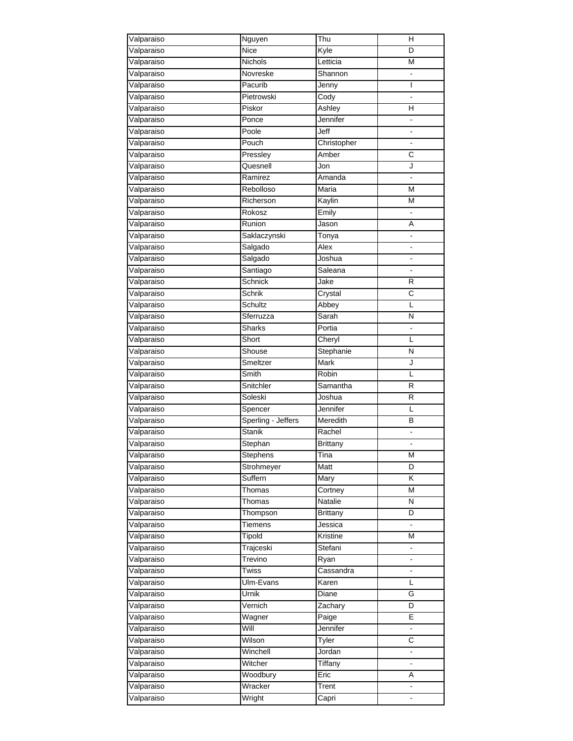| Valparaiso | Nguyen             | Thu             | H                     |
|------------|--------------------|-----------------|-----------------------|
| Valparaiso | <b>Nice</b>        | Kyle            | D                     |
| Valparaiso | <b>Nichols</b>     | Letticia        | M                     |
| Valparaiso | Novreske           | Shannon         |                       |
| Valparaiso | Pacurib            | Jenny           | ı                     |
| Valparaiso | Pietrowski         | Cody            |                       |
| Valparaiso | Piskor             | Ashley          | н                     |
| Valparaiso | Ponce              | Jennifer        |                       |
| Valparaiso | Poole              | Jeff            |                       |
| Valparaiso | Pouch              | Christopher     |                       |
| Valparaiso | Pressley           | Amber           | C                     |
| Valparaiso | Quesnell           | Jon             | J                     |
| Valparaiso | Ramirez            | Amanda          |                       |
| Valparaiso | Rebolloso          | Maria           | M                     |
| Valparaiso | Richerson          | Kaylin          | M                     |
| Valparaiso | Rokosz             | Emily           |                       |
| Valparaiso | Runion             | Jason           | A                     |
| Valparaiso | Saklaczynski       | Tonya           | $\blacksquare$        |
| Valparaiso | Salgado            | Alex            |                       |
| Valparaiso | Salgado            | Joshua          |                       |
| Valparaiso | Santiago           | Saleana         | ÷,                    |
| Valparaiso | <b>Schnick</b>     | Jake            | R                     |
| Valparaiso | Schrik             | Crystal         | C                     |
| Valparaiso | Schultz            | Abbey           | L                     |
|            | Sferruzza          | Sarah           | $\mathsf{N}$          |
| Valparaiso |                    |                 |                       |
| Valparaiso | Sharks<br>Short    | Portia          | L                     |
| Valparaiso |                    | Cheryl          |                       |
| Valparaiso | Shouse             | Stephanie       | Ν                     |
| Valparaiso | Smeltzer           | Mark            | J                     |
| Valparaiso | Smith              | Robin           | L                     |
| Valparaiso | Snitchler          | Samantha        | R                     |
| Valparaiso | Soleski            | Joshua          | R                     |
| Valparaiso | Spencer            | Jennifer        | L                     |
| Valparaiso | Sperling - Jeffers | Meredith        | B                     |
| Valparaiso | Stanik             | Rachel          | $\blacksquare$        |
| Valparaiso | Stephan            | <b>Brittany</b> |                       |
| Valparaiso | Stephens           | Tina            | M                     |
| Valparaiso | Strohmeyer         | Matt            | D                     |
| Valparaiso | Suffern            | Mary            | K                     |
| Valparaiso | Thomas             | Cortney         | M                     |
| Valparaiso | Thomas             | Natalie         | N                     |
| Valparaiso | Thompson           | <b>Brittany</b> | D                     |
| Valparaiso | <b>Tiemens</b>     | Jessica         | ۰                     |
| Valparaiso | Tipold             | Kristine        | M                     |
| Valparaiso | Trajceski          | Stefani         | ۰                     |
| Valparaiso | Trevino            | Ryan            | ÷,                    |
| Valparaiso | Twiss              | Cassandra       | ÷                     |
| Valparaiso | Ulm-Evans          | Karen           | L                     |
| Valparaiso | Urnik              | Diane           | G                     |
| Valparaiso | Vernich            | Zachary         | D                     |
| Valparaiso | Wagner             | Paige           | E                     |
| Valparaiso | Will               | Jennifer        | L,                    |
| Valparaiso | Wilson             | Tyler           | $\overline{\text{c}}$ |
| Valparaiso | Winchell           | Jordan          | ÷,                    |
| Valparaiso | Witcher            | Tiffany         | ä,                    |
| Valparaiso | Woodbury           | Eric            | Α                     |
| Valparaiso | Wracker            | Trent           |                       |
| Valparaiso | Wright             | Capri           |                       |
|            |                    |                 |                       |